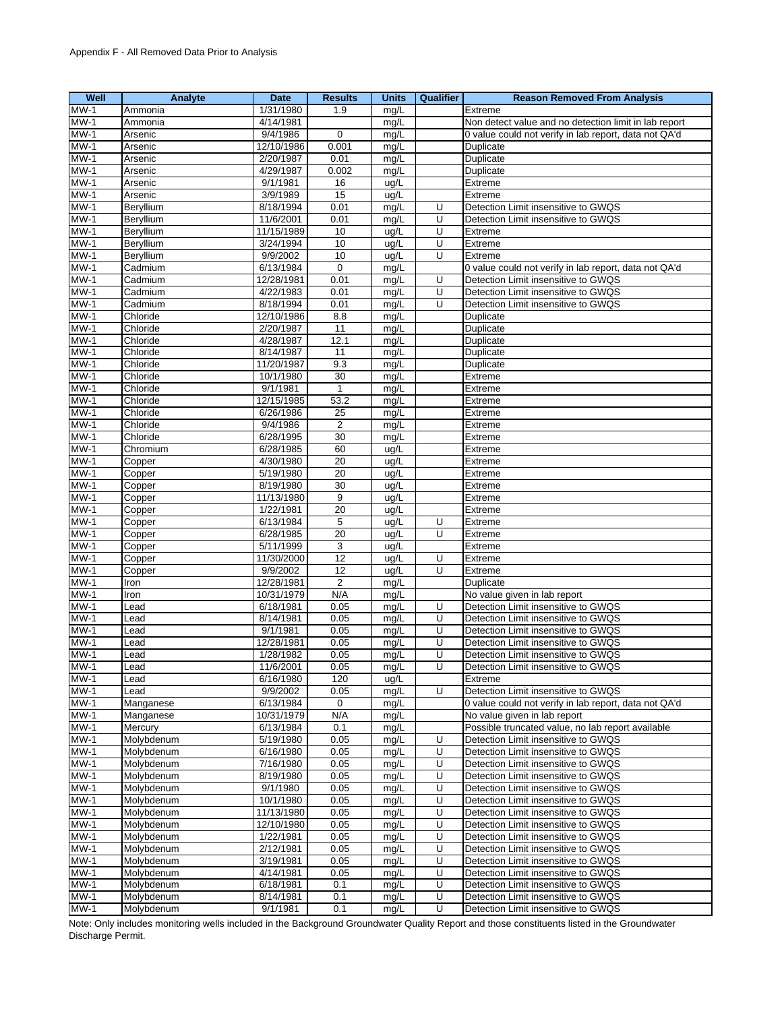| Well                               | Analyte                  | Date                    | <b>Results</b>                     | <b>Units</b> | Qualifier      | <b>Reason Removed From Analysis</b>                                                   |
|------------------------------------|--------------------------|-------------------------|------------------------------------|--------------|----------------|---------------------------------------------------------------------------------------|
| $MW-1$                             | Ammonia                  | 1/31/1980               | 1.9                                | mg/L         |                | Extreme                                                                               |
| $MW-1$                             | Ammonia                  | 4/14/1981               |                                    | mg/L         |                | Non detect value and no detection limit in lab report                                 |
| $MW-1$                             | Arsenic                  | 9/4/1986                | 0                                  | mg/L         |                | 0 value could not verify in lab report, data not QA'd                                 |
| $MW-1$                             | Arsenic                  | 12/10/1986              | 0.001                              | mg/L         |                | Duplicate                                                                             |
| $MW-1$                             | Arsenic                  | 2/20/1987               | 0.01                               | mg/L         |                | Duplicate                                                                             |
| $MW-1$                             | Arsenic                  | 4/29/1987               | 0.002                              | mg/L         |                | Duplicate                                                                             |
| $MW-1$                             | Arsenic                  | 9/1/1981                | 16                                 | ug/L         |                | Extreme                                                                               |
| $MW-1$                             | Arsenic                  | 3/9/1989                | 15                                 | ug/L         |                | Extreme                                                                               |
| $MW-1$                             | Beryllium                | 8/18/1994               | 0.01                               | mg/L         | U              | Detection Limit insensitive to GWQS                                                   |
| $MW-1$                             | Beryllium                | 11/6/2001               | 0.01                               | mg/L         | U              | Detection Limit insensitive to GWQS                                                   |
| $MW-1$                             | Bervllium                | 11/15/1989              | 10                                 | ug/L         | U              | Extreme                                                                               |
| $MW-1$                             | Beryllium                | 3/24/1994               | 10                                 | ug/L         | U              | Extreme                                                                               |
| $MW-1$                             | Beryllium                | 9/9/2002                | 10                                 | ug/L         | U              | Extreme                                                                               |
| $MW-1$                             | Cadmium                  | 6/13/1984               | 0                                  | mg/L         |                | 0 value could not verify in lab report, data not QA'd                                 |
| $MW-1$                             | Cadmium                  | 12/28/1981              | 0.01                               | mg/L         | U              | Detection Limit insensitive to GWQS                                                   |
| $MW-1$                             | Cadmium                  | 4/22/1983               | 0.01                               | mg/L         | U              | Detection Limit insensitive to GWQS                                                   |
| $MW-1$                             | Cadmium                  | 8/18/1994               | 0.01                               | mg/L         | U              | Detection Limit insensitive to GWQS                                                   |
| $MW-1$                             | Chloride                 | 12/10/1986              | 8.8                                | mg/L         |                | Duplicate                                                                             |
| $MW-1$                             | Chloride                 | 2/20/1987               | 11                                 | mg/L         |                | Duplicate                                                                             |
| $MW-1$                             | Chloride                 | 4/28/1987               | 12.1                               | mg/L         |                | Duplicate                                                                             |
| $MW-1$                             | Chloride                 | 8/14/1987               | 11                                 | mg/L         |                | Duplicate                                                                             |
| $MW-1$                             | Chloride                 | 11/20/1987              | 9.3                                | mg/L         |                |                                                                                       |
| $MW-1$                             | Chloride                 | 10/1/1980               | 30                                 | mg/L         |                | Duplicate<br>Extreme                                                                  |
| $MW-1$                             | Chloride                 | 9/1/1981                | $\overline{1}$                     |              |                |                                                                                       |
| $MW-1$                             | Chloride                 | 12/15/1985              | 53.2                               | mg/L<br>mg/L |                | Extreme                                                                               |
|                                    |                          |                         |                                    |              |                | Extreme                                                                               |
| $MW-1$<br>$MW-1$                   | Chloride                 | 6/26/1986<br>9/4/1986   | 25                                 | mg/L         |                | Extreme                                                                               |
|                                    | Chloride                 |                         | $\overline{2}$                     | mq/L         |                | Extreme                                                                               |
| $MW-1$                             | Chloride                 | 6/28/1995               | 30                                 | mg/L         |                | Extreme                                                                               |
| $MW-1$                             | Chromium                 | 6/28/1985               | 60                                 | ug/L         |                | Extreme                                                                               |
| $MW-1$                             | Copper                   | 4/30/1980               | 20                                 | ug/L         |                | Extreme                                                                               |
| $MW-1$                             | Copper                   | 5/19/1980               | $\overline{20}$                    | ug/L         |                | Extreme                                                                               |
| $MW-1$                             | Copper                   | 8/19/1980               | 30                                 | ug/L         |                | Extreme                                                                               |
| $MW-1$                             | Copper                   | 11/13/1980              | 9                                  | ug/L         |                | Extreme                                                                               |
| $MW-1$                             | Copper                   | 1/22/1981               | 20                                 | ug/L         |                | Extreme                                                                               |
| $MW-1$                             | Copper                   | 6/13/1984               | $\,$ 5 $\,$                        | ug/L         | U              | Extreme                                                                               |
| $MW-1$                             | Copper                   | 6/28/1985               | 20                                 | ug/L         | U              | Extreme                                                                               |
| $MW-1$                             | Copper                   | 5/11/1999               | 3                                  | ug/L         | $\overline{U}$ | Extreme                                                                               |
| $MW-1$<br>$MW-1$                   | Copper                   | 11/30/2000<br>9/9/2002  | $\overline{12}$<br>$\overline{12}$ | ug/L<br>ug/L | U              | Extreme<br>Extreme                                                                    |
| $MW-1$                             | Copper                   | 12/28/1981              |                                    |              |                | Duplicate                                                                             |
| $MW-1$                             | Iron<br>Iron             | 10/31/1979              | $\overline{2}$<br>N/A              | mg/L<br>mg/L |                | No value given in lab report                                                          |
| $MW-1$                             | _ead                     | 6/18/1981               | 0.05                               | mg/L         | U              | Detection Limit insensitive to GWQS                                                   |
| $MW-1$                             |                          | 8/14/1981               | 0.05                               |              | U              | Detection Limit insensitive to GWQS                                                   |
| $MW-1$                             | _ead<br>Lead             | 9/1/1981                | 0.05                               | mg/L         | U              |                                                                                       |
| $MW-1$                             | _ead                     | 12/28/1981              | 0.05                               | mg/L         | U              | Detection Limit insensitive to GWQS<br>Detection Limit insensitive to GWQS            |
| $MW-1$                             | Lead                     | 1/28/1982               | 0.05                               | mg/L         | U              | Detection Limit insensitive to GWQS                                                   |
|                                    |                          |                         |                                    | mg/L         |                |                                                                                       |
| $MW-1$<br>$MW-1$                   | Lead                     | 11/6/2001               | 0.05                               | mg/L         | U              | Detection Limit insensitive to GWQS                                                   |
| $MW-1$                             | Lead<br>Lead             | 6/16/1980<br>9/9/2002   | 120                                | ug/L         | U              | Extreme<br>Detection Limit insensitive to GWQS                                        |
|                                    |                          |                         | 0.05                               | mg/L         |                |                                                                                       |
| $MW-1$<br>$\overline{\text{MW-1}}$ | Manganese<br>Manganese   | 6/13/1984<br>10/31/1979 | $\mathbf 0$<br>N/A                 | mg/L         |                | 0 value could not verify in lab report, data not QA'd<br>No value given in lab report |
| $MW-1$                             | Mercury                  | 6/13/1984               | 0.1                                | mg/L         |                | Possible truncated value, no lab report available                                     |
| $MW-1$                             | Molybdenum               | 5/19/1980               | 0.05                               | mg/L         | U              |                                                                                       |
|                                    |                          |                         |                                    | mg/L         |                | Detection Limit insensitive to GWQS<br>Detection Limit insensitive to GWQS            |
| $MW-1$                             | Molybdenum               | 6/16/1980               | 0.05                               | mg/L         | U<br>U         |                                                                                       |
| $MW-1$                             | Molybdenum<br>Molvbdenum | 7/16/1980               | 0.05                               | mg/L         | U              | Detection Limit insensitive to GWQS                                                   |
| $MW-1$                             |                          | 8/19/1980<br>9/1/1980   | 0.05                               | mg/L         |                | Detection Limit insensitive to GWQS                                                   |
| $MW-1$                             | Molybdenum               |                         | 0.05                               | mg/L         | U              | Detection Limit insensitive to GWQS                                                   |
| $MW-1$                             | Molybdenum               | 10/1/1980               | 0.05                               | mg/L         | U              | Detection Limit insensitive to GWQS                                                   |
| $MW-1$                             | Molybdenum               | 11/13/1980              | 0.05                               | mg/L         | U              | Detection Limit insensitive to GWQS                                                   |
| $MW-1$                             | Molybdenum               | 12/10/1980              | 0.05                               | mg/L         | $\overline{U}$ | Detection Limit insensitive to GWQS                                                   |
| $MW-1$                             | Molybdenum               | 1/22/1981               | 0.05                               | mg/L         | U              | Detection Limit insensitive to GWQS                                                   |
| $MW-1$                             | Molybdenum               | 2/12/1981               | 0.05                               | mg/L         | U              | Detection Limit insensitive to GWQS                                                   |
| $MW-1$                             | Molybdenum               | 3/19/1981               | 0.05                               | mg/L         | U              | Detection Limit insensitive to GWQS                                                   |
| $MW-1$                             | Molybdenum               | 4/14/1981               | 0.05                               | mg/L         | U              | Detection Limit insensitive to GWQS                                                   |
| $MW-1$                             | Molybdenum               | 6/18/1981               | 0.1                                | mg/L         | $\overline{U}$ | Detection Limit insensitive to GWQS                                                   |
| $MW-1$                             | Molybdenum               | 8/14/1981               | 0.1                                | mg/L         | U              | Detection Limit insensitive to GWQS                                                   |
| $MW-1$                             | Molybdenum               | 9/1/1981                | 0.1                                | mg/L         | $\overline{U}$ | Detection Limit insensitive to GWQS                                                   |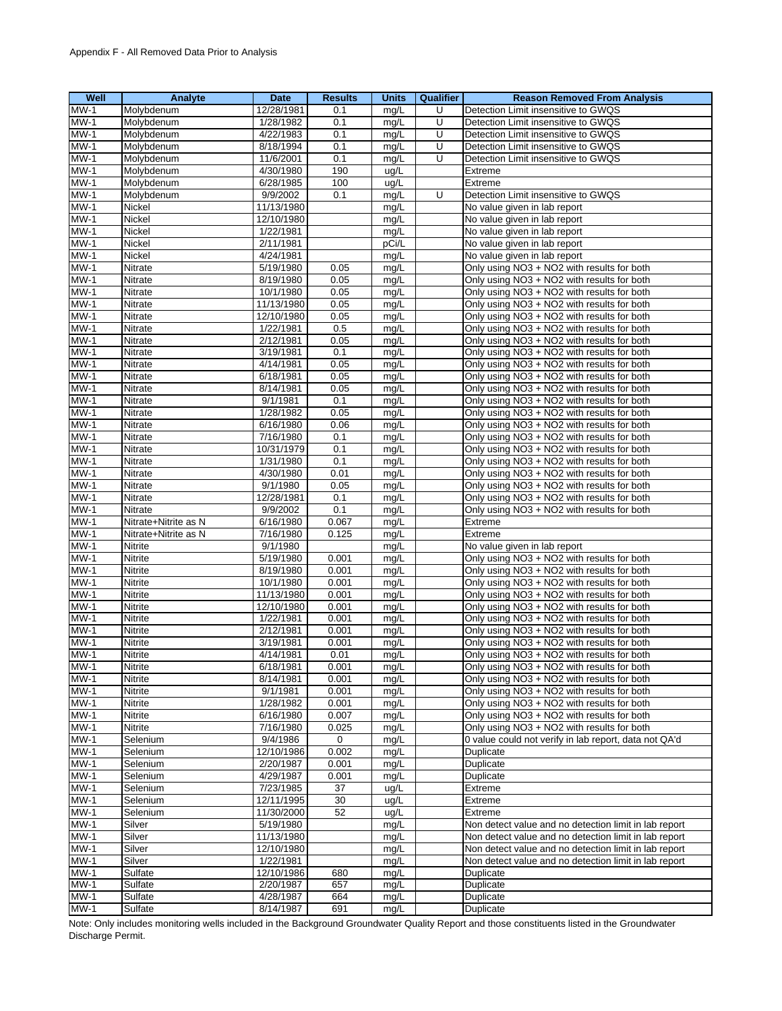| Well                     | Analyte              | Date       | <b>Results</b> | <b>Units</b> | <b>Qualifier</b> | <b>Reason Removed From Analysis</b>                   |
|--------------------------|----------------------|------------|----------------|--------------|------------------|-------------------------------------------------------|
| $MW-1$                   | Molybdenum           | 12/28/1981 | 0.1            | mg/L         | U                | Detection Limit insensitive to GWQS                   |
| $MW-1$                   | Molybdenum           | 1/28/1982  | 0.1            | mg/L         | U                | Detection Limit insensitive to GWQS                   |
| $MW-1$                   | Molybdenum           | 4/22/1983  | 0.1            | mg/L         | U                | Detection Limit insensitive to GWQS                   |
| $MW-1$                   | Molybdenum           | 8/18/1994  | 0.1            | mq/L         | U                | Detection Limit insensitive to GWQS                   |
| $MW-1$                   | Molybdenum           | 11/6/2001  | 0.1            | mg/L         | U                | Detection Limit insensitive to GWQS                   |
| $MW-1$                   | Molybdenum           | 4/30/1980  | 190            | ug/L         |                  | Extreme                                               |
| $MW-1$                   | Molybdenum           | 6/28/1985  | 100            | ug/L         |                  | Extreme                                               |
| $MW-1$                   | Molybdenum           | 9/9/2002   | 0.1            | mg/L         | U                | Detection Limit insensitive to GWQS                   |
| $MW-1$                   | Nickel               | 11/13/1980 |                | mg/L         |                  | No value given in lab report                          |
| $MW-1$                   | Nickel               | 12/10/1980 |                | mg/L         |                  | No value given in lab report                          |
| $MW-1$                   | Nickel               | 1/22/1981  |                | mg/L         |                  | No value given in lab report                          |
| $MW-1$                   | Nickel               | 2/11/1981  |                | pCi/L        |                  | No value given in lab report                          |
| $MW-1$                   | Nickel               | 4/24/1981  |                | mg/L         |                  | No value given in lab report                          |
| $MW-1$                   | Nitrate              | 5/19/1980  | 0.05           | mg/L         |                  | Only using NO3 + NO2 with results for both            |
| $MW-1$                   | Nitrate              | 8/19/1980  | 0.05           | mg/L         |                  | Only using NO3 + NO2 with results for both            |
| $MW-1$                   | Nitrate              | 10/1/1980  | 0.05           | mg/L         |                  | Only using NO3 + NO2 with results for both            |
| $MW-1$                   | Nitrate              | 11/13/1980 | 0.05           | mg/L         |                  | Only using NO3 + NO2 with results for both            |
| $\overline{\text{MW-1}}$ | Nitrate              | 12/10/1980 | 0.05           | mg/L         |                  | Only using NO3 + NO2 with results for both            |
| $MW-1$                   | Nitrate              | 1/22/1981  | 0.5            | mg/L         |                  | Only using NO3 + NO2 with results for both            |
| $MW-1$                   | Nitrate              | 2/12/1981  | 0.05           | mg/L         |                  | Only using NO3 + NO2 with results for both            |
| $MW-1$                   |                      | 3/19/1981  | 0.1            |              |                  |                                                       |
| $MW-1$                   | Nitrate              |            |                | mg/L         |                  | Only using NO3 + NO2 with results for both            |
| $MW-1$                   | Nitrate              | 4/14/1981  | 0.05           | mg/L         |                  | Only using NO3 + NO2 with results for both            |
|                          | Nitrate              | 6/18/1981  | 0.05           | mq/L         |                  | Only using NO3 + NO2 with results for both            |
| $MW-1$                   | Nitrate              | 8/14/1981  | 0.05           | mg/L         |                  | Only using NO3 + NO2 with results for both            |
| $MW-1$                   | Nitrate              | 9/1/1981   | 0.1            | mg/L         |                  | Only using NO3 + NO2 with results for both            |
| $MW-1$                   | Nitrate              | 1/28/1982  | 0.05           | mg/L         |                  | Only using NO3 + NO2 with results for both            |
| $MW-1$                   | Nitrate              | 6/16/1980  | 0.06           | mg/L         |                  | Only using NO3 + NO2 with results for both            |
| $MW-1$                   | <b>Nitrate</b>       | 7/16/1980  | 0.1            | mg/L         |                  | Only using NO3 + NO2 with results for both            |
| $MW-1$                   | <b>Nitrate</b>       | 10/31/1979 | 0.1            | mg/L         |                  | Only using NO3 + NO2 with results for both            |
| $MW-1$                   | Nitrate              | 1/31/1980  | 0.1            | mg/L         |                  | Only using NO3 + NO2 with results for both            |
| $MW-1$                   | Nitrate              | 4/30/1980  | 0.01           | mg/L         |                  | Only using NO3 + NO2 with results for both            |
| $MW-1$                   | Nitrate              | 9/1/1980   | 0.05           | mg/L         |                  | Only using NO3 + NO2 with results for both            |
| $MW-1$                   | Nitrate              | 12/28/1981 | 0.1            | mg/L         |                  | Only using NO3 + NO2 with results for both            |
| $MW-1$                   | Nitrate              | 9/9/2002   | 0.1            | mg/L         |                  | Only using NO3 + NO2 with results for both            |
| $MW-1$                   | Nitrate+Nitrite as N | 6/16/1980  | 0.067          | mg/L         |                  | Extreme                                               |
| $MW-1$                   | Nitrate+Nitrite as N | 7/16/1980  | 0.125          | mg/L         |                  | Extreme                                               |
| $MW-1$                   | <b>Nitrite</b>       | 9/1/1980   |                | mg/L         |                  | No value given in lab report                          |
| $MW-1$                   | Nitrite              | 5/19/1980  | 0.001          | mg/L         |                  | Only using NO3 + NO2 with results for both            |
| $MW-1$                   | <b>Nitrite</b>       | 8/19/1980  | 0.001          | mg/L         |                  | Only using NO3 + NO2 with results for both            |
| $MW-1$                   | Nitrite              | 10/1/1980  | 0.001          | mg/L         |                  | Only using NO3 + NO2 with results for both            |
| $MW-1$                   | <b>Nitrite</b>       | 11/13/1980 | 0.001          | mg/L         |                  | Only using NO3 + NO2 with results for both            |
| $MW-1$                   | Nitrite              | 12/10/1980 | 0.001          | mg/L         |                  | Only using NO3 + NO2 with results for both            |
| $MW-1$                   | Nitrite              | 1/22/1981  | 0.001          | mg/L         |                  | Only using NO3 + NO2 with results for both            |
| $\overline{\text{MW-1}}$ | Nitrite              | 2/12/1981  | 0.001          | mg/L         |                  | Only using NO3 + NO2 with results for both            |
| $MW-1$                   | <b>Nitrite</b>       | 3/19/1981  | 0.001          | mg/L         |                  | Only using NO3 + NO2 with results for both            |
| $MW-1$                   | Nitrite              | 4/14/1981  | 0.01           | mg/L         |                  | Only using NO3 + NO2 with results for both            |
| <b>MW-1</b>              | Nitrite              | 6/18/1981  | 0.001          | mg/L         |                  | Only using NO3 + NO2 with results for both            |
| $MW-1$                   | Nitrite              | 8/14/1981  | 0.001          | mg/L         |                  | Only using NO3 + NO2 with results for both            |
| $MW-1$                   | Nitrite              | 9/1/1981   | 0.001          | mg/L         |                  | Only using NO3 + NO2 with results for both            |
| $MW-1$                   | Nitrite              | 1/28/1982  | 0.001          | mg/L         |                  | Only using NO3 + NO2 with results for both            |
| $MW-1$                   | Nitrite              | 6/16/1980  | 0.007          | mg/L         |                  | Only using NO3 + NO2 with results for both            |
| $MW-1$                   | Nitrite              | 7/16/1980  | 0.025          | mg/L         |                  | Only using NO3 + NO2 with results for both            |
| $MW-1$                   | Selenium             | 9/4/1986   | 0              | mg/L         |                  | 0 value could not verify in lab report, data not QA'd |
| $MW-1$                   | Selenium             | 12/10/1986 | 0.002          | mg/L         |                  | Duplicate                                             |
| $MW-1$                   | Selenium             | 2/20/1987  | 0.001          | mg/L         |                  | Duplicate                                             |
| $MW-1$                   | Selenium             | 4/29/1987  | 0.001          | mg/L         |                  | Duplicate                                             |
| $MW-1$                   | Selenium             | 7/23/1985  | 37             | ug/L         |                  | Extreme                                               |
| $MW-1$                   | Selenium             | 12/11/1995 | 30             | ug/L         |                  | Extreme                                               |
| $MW-1$                   | Selenium             | 11/30/2000 | 52             | ug/L         |                  | Extreme                                               |
| $MW-1$                   | Silver               | 5/19/1980  |                | mg/L         |                  | Non detect value and no detection limit in lab report |
| $MW-1$                   | Silver               | 11/13/1980 |                | mg/L         |                  | Non detect value and no detection limit in lab report |
| $MW-1$                   | Silver               | 12/10/1980 |                | mg/L         |                  | Non detect value and no detection limit in lab report |
| $MW-1$                   | Silver               | 1/22/1981  |                | mg/L         |                  | Non detect value and no detection limit in lab report |
| $MW-1$                   | Sulfate              | 12/10/1986 | 680            | mg/L         |                  | Duplicate                                             |
| $MW-1$                   | Sulfate              | 2/20/1987  | 657            | mg/L         |                  | Duplicate                                             |
| $MW-1$                   | Sulfate              | 4/28/1987  | 664            | mg/L         |                  | Duplicate                                             |
| $MW-1$                   | Sulfate              | 8/14/1987  | 691            | mg/L         |                  | Duplicate                                             |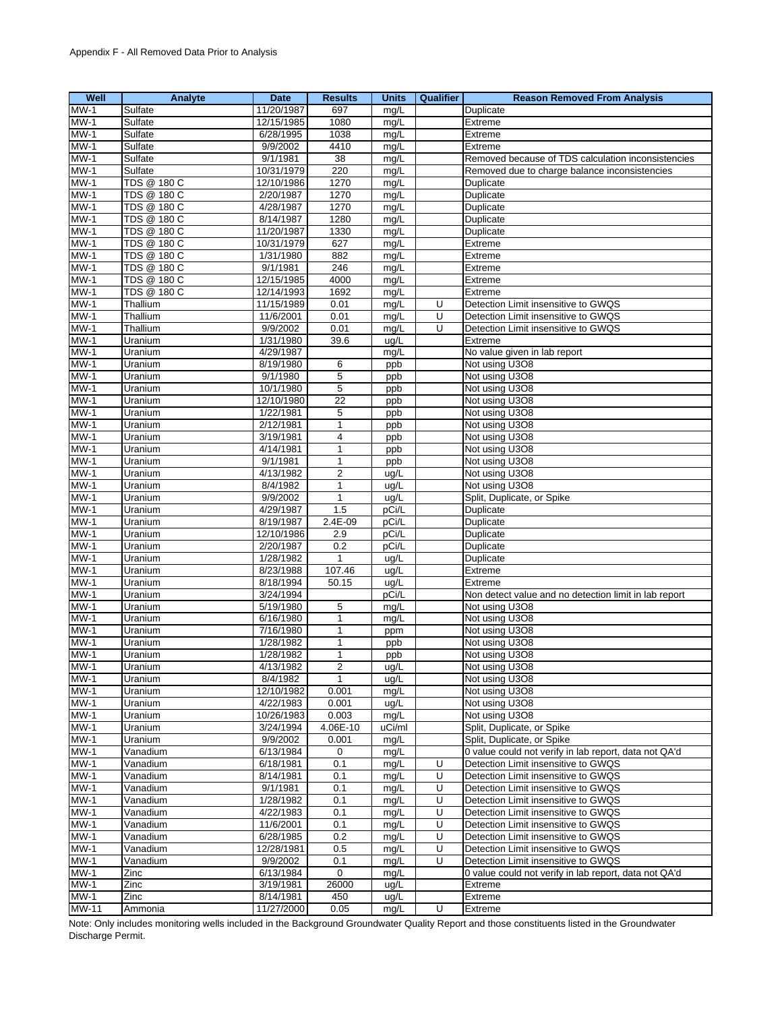| Well         | Analyte            | <b>Date</b> | <b>Results</b>  | <b>Units</b> | <b>Qualifier</b> | <b>Reason Removed From Analysis</b>                   |
|--------------|--------------------|-------------|-----------------|--------------|------------------|-------------------------------------------------------|
| $MW-1$       | Sulfate            | 11/20/1987  | 697             | mg/L         |                  | Duplicate                                             |
| $MW-1$       | Sulfate            | 12/15/1985  | 1080            | mg/L         |                  | Extreme                                               |
| $MW-1$       | Sulfate            | 6/28/1995   | 1038            | mg/L         |                  | Extreme                                               |
| $MW-1$       | Sulfate            | 9/9/2002    | 4410            | mg/L         |                  | Extreme                                               |
| $MW-1$       | Sulfate            | 9/1/1981    | 38              | mg/L         |                  | Removed because of TDS calculation inconsistencies    |
| $MW-1$       | Sulfate            | 10/31/1979  | 220             | mg/L         |                  | Removed due to charge balance inconsistencies         |
| $MW-1$       | <b>TDS @ 180 C</b> | 12/10/1986  | 1270            | mg/L         |                  | Duplicate                                             |
| $MW-1$       | TDS @ 180 C        | 2/20/1987   | 1270            | mg/L         |                  | Duplicate                                             |
| $MW-1$       | TDS @ 180 C        | 4/28/1987   | 1270            | mg/L         |                  | Duplicate                                             |
| $MW-1$       | TDS @ 180 C        | 8/14/1987   | 1280            | mg/L         |                  | Duplicate                                             |
| $MW-1$       | TDS @ 180 C        | 11/20/1987  | 1330            | mg/L         |                  | Duplicate                                             |
| $MW-1$       | TDS @ 180 C        | 10/31/1979  | 627             | mg/L         |                  | Extreme                                               |
| $MW-1$       | <b>TDS @ 180 C</b> | 1/31/1980   | 882             | mg/L         |                  | Extreme                                               |
| $MW-1$       | <b>TDS @ 180 C</b> | 9/1/1981    | 246             | mg/L         |                  | Extreme                                               |
| $MW-1$       | TDS @ 180 C        | 12/15/1985  | 4000            | mg/L         |                  | Extreme                                               |
| $MW-1$       | TDS @ 180 C        | 12/14/1993  | 1692            | mg/L         |                  | Extreme                                               |
| $MW-1$       | Thallium           | 11/15/1989  | 0.01            | mg/L         | U                | Detection Limit insensitive to GWQS                   |
| $MW-1$       | Thallium           | 11/6/2001   | 0.01            | mg/L         | U                | Detection Limit insensitive to GWQS                   |
| $MW-1$       | Thallium           | 9/9/2002    | 0.01            | mg/L         | U                | Detection Limit insensitive to GWQS                   |
| $MW-1$       | Uranium            | 1/31/1980   | 39.6            | ug/L         |                  | Extreme                                               |
| $MW-1$       | Uranium            | 4/29/1987   |                 | mg/L         |                  | No value given in lab report                          |
| $MW-1$       | Uranium            | 8/19/1980   | 6               | ppb          |                  | Not using U3O8                                        |
| $MW-1$       | Uranium            | 9/1/1980    | 5               | ppb          |                  | Not using U3O8                                        |
| $MW-1$       | Uranium            | 10/1/1980   | $\overline{5}$  | ppb          |                  | Not using U3O8                                        |
| $MW-1$       | Uranium            | 12/10/1980  | $\overline{22}$ | ppb          |                  | Not using U3O8                                        |
| $MW-1$       | Uranium            | 1/22/1981   | 5               | ppb          |                  | Not using U3O8                                        |
| $MW-1$       | Uranium            | 2/12/1981   | $\mathbf{1}$    | ppb          |                  | Not using U3O8                                        |
| $MW-1$       | Uranium            | 3/19/1981   | 4               | ppb          |                  | Not using U3O8                                        |
| $MW-1$       | Uranium            | 4/14/1981   | $\mathbf{1}$    | ppb          |                  | Not using U3O8                                        |
| $MW-1$       | Uranium            | 9/1/1981    | 1               | ppb          |                  | Not using U3O8                                        |
| $MW-1$       | Uranium            | 4/13/1982   | $\overline{2}$  | ug/L         |                  | Not using U3O8                                        |
| $MW-1$       | Uranium            | 8/4/1982    | $\mathbf{1}$    | ug/L         |                  | Not using U3O8                                        |
| $MW-1$       | Uranium            | 9/9/2002    | $\mathbf{1}$    | ug/L         |                  | Split, Duplicate, or Spike                            |
| $MW-1$       | Uranium            | 4/29/1987   | 1.5             | pCi/L        |                  | Duplicate                                             |
| $MW-1$       | Uranium            | 8/19/1987   | $2.4E - 09$     | pCi/L        |                  | Duplicate                                             |
| $MW-1$       | Uranium            | 12/10/1986  | 2.9             | pCi/L        |                  | Duplicate                                             |
| $MW-1$       | Uranium            | 2/20/1987   | 0.2             | pCi/L        |                  | Duplicate                                             |
| $MW-1$       | Uranium            | 1/28/1982   | $\mathbf{1}$    | ug/L         |                  | Duplicate                                             |
| $MW-1$       | Uranium            | 8/23/1988   | 107.46          | ug/L         |                  | Extreme                                               |
| $MW-1$       | Uranium            | 8/18/1994   | 50.15           | ug/L         |                  | Extreme                                               |
| $MW-1$       | Uranium            | 3/24/1994   |                 | pCi/L        |                  | Non detect value and no detection limit in lab report |
| $MW-1$       | Uranium            | 5/19/1980   | 5               | mg/L         |                  | Not using U3O8                                        |
| $MW-1$       | Uranium            | 6/16/1980   | $\mathbf{1}$    | mg/L         |                  | Not using U3O8                                        |
| $MW-1$       | Uranium            | 7/16/1980   | 1               | ppm          |                  | Not using U3O8                                        |
| $MW-1$       | Uranium            | 1/28/1982   | 1               | ppb          |                  | Not using U3O8                                        |
| $MW-1$       | Uranium            | 1/28/1982   | $\mathbf{1}$    | ppb          |                  | Not using U3O8                                        |
| $MW-1$       | Uranium            | 4/13/1982   | 2               | uq/L         |                  | Not using U3O8                                        |
| $MW-1$       | Uranium            | 8/4/1982    | $\mathbf{1}$    | ug/L         |                  | Not using U3O8                                        |
| $MW-1$       | Uranium            | 12/10/1982  | 0.001           | mg/L         |                  | Not using U3O8                                        |
| $MW-1$       | Uranium            | 4/22/1983   | 0.001           | ug/L         |                  | Not using U3O8                                        |
| $MW-1$       | Uranium            | 10/26/1983  | 0.003           | mg/L         |                  | Not using U3O8                                        |
| $MW-1$       | Uranium            | 3/24/1994   | 4.06E-10        | uCi/ml       |                  | Split, Duplicate, or Spike                            |
| $MW-1$       | Uranium            | 9/9/2002    | 0.001           | mg/L         |                  | Split, Duplicate, or Spike                            |
| $MW-1$       | Vanadium           | 6/13/1984   | 0               | mg/L         |                  | 0 value could not verify in lab report, data not QA'd |
| $MW-1$       | Vanadium           | 6/18/1981   | 0.1             | mg/L         | U                | Detection Limit insensitive to GWQS                   |
| $MW-1$       | Vanadium           | 8/14/1981   | 0.1             | mg/L         | U                | Detection Limit insensitive to GWQS                   |
| $MW-1$       | Vanadium           | 9/1/1981    | 0.1             | mg/L         | $\overline{U}$   | Detection Limit insensitive to GWQS                   |
| $MW-1$       | Vanadium           | 1/28/1982   | 0.1             | mq/L         | U                | Detection Limit insensitive to GWQS                   |
| $MW-1$       | Vanadium           | 4/22/1983   | 0.1             | mg/L         | U                | Detection Limit insensitive to GWQS                   |
| $MW-1$       | Vanadium           | 11/6/2001   | 0.1             | mg/L         | U                | Detection Limit insensitive to GWQS                   |
| $MW-1$       | Vanadium           | 6/28/1985   | 0.2             | mg/L         | U                | Detection Limit insensitive to GWQS                   |
| $MW-1$       | Vanadium           | 12/28/1981  | 0.5             | mg/L         | U                | Detection Limit insensitive to GWQS                   |
| $MW-1$       | Vanadium           | 9/9/2002    | 0.1             | mg/L         | U                | Detection Limit insensitive to GWQS                   |
| <b>MW-1</b>  | Zinc               | 6/13/1984   | 0               | mg/L         |                  | 0 value could not verify in lab report, data not QA'd |
| $MW-1$       | Zinc               | 3/19/1981   | 26000           | ug/L         |                  | Extreme                                               |
| $MW-1$       | Zinc               | 8/14/1981   | 450             | ug/L         |                  | Extreme                                               |
| <b>MW-11</b> | Ammonia            | 11/27/2000  | 0.05            | mg/L         | U                | Extreme                                               |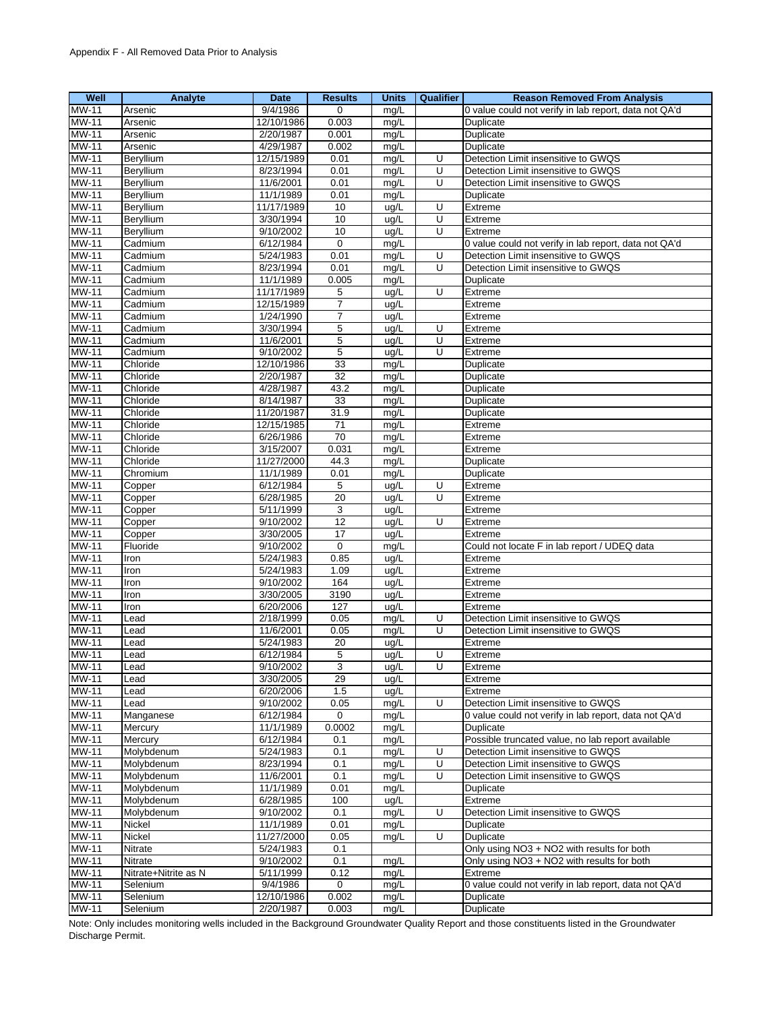| Well                         | Analyte              | <b>Date</b>            | <b>Results</b>    | <b>Units</b> | <b>Qualifier</b>    | <b>Reason Removed From Analysis</b>                              |
|------------------------------|----------------------|------------------------|-------------------|--------------|---------------------|------------------------------------------------------------------|
| <b>MW-11</b>                 | Arsenic              | 9/4/1986               | $\mathbf 0$       | mq/L         |                     | 0 value could not verify in lab report, data not QA'd            |
| <b>MW-11</b>                 | Arsenic              | 12/10/1986             | 0.003             | mg/L         |                     | Duplicate                                                        |
| <b>MW-11</b>                 | Arsenic              | 2/20/1987              | 0.001             | mg/L         |                     | Duplicate                                                        |
| MW-11                        | Arsenic              | 4/29/1987              | 0.002             | mg/L         |                     | Duplicate                                                        |
| MW-11                        | Beryllium            | 12/15/1989             | 0.01              | mg/L         | U                   | Detection Limit insensitive to GWQS                              |
| <b>MW-11</b>                 | Beryllium            | 8/23/1994              | 0.01              | mg/L         | U                   | Detection Limit insensitive to GWQS                              |
| MW-11                        | Beryllium            | 11/6/2001              | 0.01              | mg/L         | U                   | Detection Limit insensitive to GWQS                              |
| <b>MW-11</b>                 | Beryllium            | 11/1/1989              | 0.01              | mg/L         |                     | Duplicate                                                        |
| MW-11                        | Beryllium            | 11/17/1989             | 10                | ug/L         | U                   | Extreme                                                          |
| <b>MW-11</b>                 | Beryllium            | 3/30/1994<br>9/10/2002 | 10                | ug/L         | $\overline{U}$<br>U | Extreme                                                          |
| MW-11<br>MW-11               | Beryllium<br>Cadmium | 6/12/1984              | 10<br>$\mathbf 0$ | ug/L<br>mg/L |                     | Extreme<br>0 value could not verify in lab report, data not QA'd |
| <b>MW-11</b>                 | Cadmium              | 5/24/1983              | 0.01              | mg/L         | U                   | Detection Limit insensitive to GWQS                              |
| MW-11                        | Cadmium              | 8/23/1994              | 0.01              | mg/L         | U                   | Detection Limit insensitive to GWQS                              |
| <b>MW-11</b>                 | Cadmium              | 11/1/1989              | 0.005             | mg/L         |                     | Duplicate                                                        |
| MW-11                        | Cadmium              | 11/17/1989             | 5                 | ug/L         | U                   | Extreme                                                          |
| MW-11                        | Cadmium              | 12/15/1989             | $\overline{7}$    | ug/L         |                     | Extreme                                                          |
| MW-11                        | Cadmium              | 1/24/1990              | 7                 | ug/L         |                     | Extreme                                                          |
| MW-11                        | Cadmium              | 3/30/1994              | 5                 | ug/L         | U                   | Extreme                                                          |
| <b>MW-11</b>                 | Cadmium              | 11/6/2001              | 5                 | ug/L         | U                   | Extreme                                                          |
| <b>MW-11</b>                 | Cadmium              | 9/10/2002              | 5                 | ug/L         | U                   | Extreme                                                          |
| <b>MW-11</b>                 | Chloride             | 12/10/1986             | 33                | mg/L         |                     | Duplicate                                                        |
| MW-11                        | Chloride             | 2/20/1987              | 32                | mq/L         |                     | Duplicate                                                        |
| <b>MW-11</b>                 | Chloride             | 4/28/1987              | 43.2              | mg/L         |                     | Duplicate                                                        |
| <b>MW-11</b>                 | Chloride             | 8/14/1987              | 33                | mg/L         |                     | Duplicate                                                        |
| MW-11                        | Chloride             | 11/20/1987             | 31.9              | mg/L         |                     | Duplicate                                                        |
| <b>MW-11</b>                 | Chloride             | 12/15/1985             | 71                | mg/L         |                     | Extreme                                                          |
| <b>MW-11</b>                 | Chloride             | 6/26/1986              | 70                | mg/L         |                     | Extreme                                                          |
| <b>MW-11</b>                 | Chloride             | 3/15/2007              | 0.031             | mg/L         |                     | Extreme                                                          |
| MW-11                        | Chloride             | 11/27/2000             | 44.3              | mg/L         |                     | Duplicate                                                        |
| <b>MW-11</b><br><b>MW-11</b> | Chromium<br>Copper   | 11/1/1989<br>6/12/1984 | 0.01<br>5         | mg/L<br>ug/L | U                   | Duplicate<br>Extreme                                             |
| MW-11                        | Copper               | 6/28/1985              | 20                | ug/L         | U                   | Extreme                                                          |
| <b>MW-11</b>                 | Copper               | 5/11/1999              | 3                 | ug/L         |                     | Extreme                                                          |
| <b>MW-11</b>                 | Copper               | 9/10/2002              | $\overline{12}$   | ug/L         | U                   | Extreme                                                          |
| MW-11                        | Copper               | 3/30/2005              | 17                | ug/L         |                     | Extreme                                                          |
| <b>MW-11</b>                 | Fluoride             | 9/10/2002              | 0                 | mg/L         |                     | Could not locate F in lab report / UDEQ data                     |
| MW-11                        | Iron                 | 5/24/1983              | 0.85              | ug/L         |                     | Extreme                                                          |
| <b>MW-11</b>                 | Iron                 | 5/24/1983              | 1.09              | ug/L         |                     | Extreme                                                          |
| MW-11                        | Iron                 | 9/10/2002              | 164               | ug/L         |                     | Extreme                                                          |
| <b>MW-11</b>                 | Iron                 | 3/30/2005              | 3190              | ug/L         |                     | Extreme                                                          |
| <b>MW-11</b>                 | Iron                 | 6/20/2006              | 127               | ug/L         |                     | Extreme                                                          |
| MW-11                        | Lead                 | 2/18/1999              | 0.05              | mg/L         | U                   | Detection Limit insensitive to GWQS                              |
| MW-11                        | Lead                 | 11/6/2001              | 0.05              | mg/L         | U                   | Detection Limit insensitive to GWQS                              |
| MW-11                        | Lead                 | 5/24/1983              | 20                | ug/L         |                     | Extreme                                                          |
| <b>MW-11</b>                 | Lead                 | 6/12/1984              | 5                 | ug/L         | U                   | Extreme                                                          |
| <b>MW-11</b>                 | Lead                 | 9/10/2002              | 3                 | ug/L         | U                   | Extreme                                                          |
| <b>MW-11</b><br>MW-11        | Lead<br>Lead         | 3/30/2005<br>6/20/2006 | 29<br>1.5         | ug/L<br>ug/L |                     | Extreme<br>Extreme                                               |
| MW-11                        | Lead                 | 9/10/2002              | 0.05              | mg/L         | U                   | Detection Limit insensitive to GWQS                              |
| <b>MW-11</b>                 | Manganese            | 6/12/1984              | 0                 | mg/L         |                     | 0 value could not verify in lab report, data not QA'd            |
| <b>MW-11</b>                 | Mercury              | 11/1/1989              | 0.0002            | mg/L         |                     | Duplicate                                                        |
| <b>MW-11</b>                 | Mercury              | 6/12/1984              | 0.1               | mg/L         |                     | Possible truncated value, no lab report available                |
| MW-11                        | Molvbdenum           | 5/24/1983              | 0.1               | mg/L         | U                   | Detection Limit insensitive to GWQS                              |
| MW-11                        | Molybdenum           | 8/23/1994              | 0.1               | mg/L         | U                   | Detection Limit insensitive to GWQS                              |
| <b>MW-11</b>                 | Molybdenum           | 11/6/2001              | 0.1               | mg/L         | U                   | Detection Limit insensitive to GWQS                              |
| MW-11                        | Molybdenum           | 11/1/1989              | 0.01              | mg/L         |                     | Duplicate                                                        |
| MW-11                        | Molybdenum           | 6/28/1985              | 100               | ug/L         |                     | Extreme                                                          |
| MW-11                        | Molybdenum           | 9/10/2002              | 0.1               | mg/L         | U                   | Detection Limit insensitive to GWQS                              |
| <b>MW-11</b>                 | Nickel               | 11/1/1989              | 0.01              | mg/L         |                     | Duplicate                                                        |
| MW-11                        | Nickel               | 11/27/2000             | 0.05              | mg/L         | U                   | Duplicate                                                        |
| MW-11                        | Nitrate              | 5/24/1983              | 0.1               |              |                     | Only using NO3 + NO2 with results for both                       |
| MW-11                        | Nitrate              | 9/10/2002              | 0.1               | mg/L         |                     | Only using NO3 + NO2 with results for both                       |
| MW-11                        | Nitrate+Nitrite as N | 5/11/1999              | 0.12              | mg/L         |                     | Extreme                                                          |
| MW-11<br>MW-11               | Selenium<br>Selenium | 9/4/1986<br>12/10/1986 | 0                 | mg/L         |                     | 0 value could not verify in lab report, data not QA'd            |
| <b>MW-11</b>                 | Selenium             | 2/20/1987              | 0.002<br>0.003    | mg/L<br>mg/L |                     | Duplicate<br>Duplicate                                           |
|                              |                      |                        |                   |              |                     |                                                                  |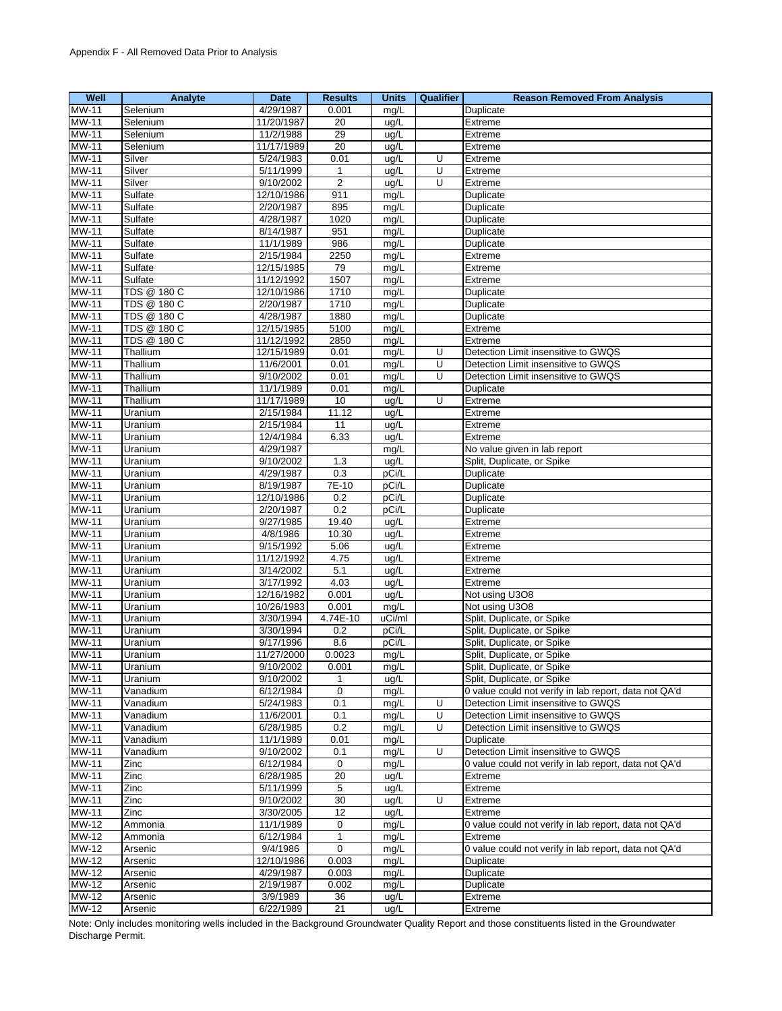| Well                       | Analyte            | <b>Date</b> | <b>Results</b>      | <b>Units</b> | Qualifier | <b>Reason Removed From Analysis</b>                   |
|----------------------------|--------------------|-------------|---------------------|--------------|-----------|-------------------------------------------------------|
| $MW-11$                    | Selenium           | 4/29/1987   | 0.001               | mg/L         |           | Duplicate                                             |
| <b>MW-11</b>               | Selenium           | 11/20/1987  | 20                  | ug/L         |           | Extreme                                               |
| <b>MW-11</b>               | Selenium           | 11/2/1988   | 29                  | ug/L         |           | Extreme                                               |
| MW-11                      | Selenium           | 11/17/1989  | 20                  | ug/L         |           | Extreme                                               |
| MW-11                      | Silver             | 5/24/1983   | 0.01                | ug/L         | U         | Extreme                                               |
| MW-11                      | Silver             | 5/11/1999   |                     | ug/L         | Ū         | Extreme                                               |
|                            | Silver             |             | 1<br>$\overline{2}$ |              | U         |                                                       |
| <b>MW-11</b>               |                    | 9/10/2002   |                     | ug/L         |           | Extreme                                               |
| MW-11                      | Sulfate            | 12/10/1986  | 911                 | mg/L         |           | Duplicate                                             |
| MW-11                      | Sulfate            | 2/20/1987   | 895                 | mg/L         |           | Duplicate                                             |
| <b>MW-11</b>               | Sulfate            | 4/28/1987   | 1020                | mg/L         |           | Duplicate                                             |
| MW-11                      | Sulfate            | 8/14/1987   | 951                 | mg/L         |           | Duplicate                                             |
| <b>MW-11</b>               | Sulfate            | 11/1/1989   | 986                 | mg/L         |           | Duplicate                                             |
| <b>MW-11</b>               | Sulfate            | 2/15/1984   | 2250                | mg/L         |           | Extreme                                               |
| <b>MW-11</b>               | Sulfate            | 12/15/1985  | 79                  | mg/L         |           | Extreme                                               |
| MW-11                      | Sulfate            | 11/12/1992  | 1507                | mg/L         |           | Extreme                                               |
| MW-11                      | TDS @ 180 C        | 12/10/1986  | 1710                | mg/L         |           | Duplicate                                             |
| <b>MW-11</b>               | <b>TDS @ 180 C</b> | 2/20/1987   | 1710                | mg/L         |           | Duplicate                                             |
| MW-11                      | TDS @ 180 C        | 4/28/1987   | 1880                | mg/L         |           | Duplicate                                             |
| <b>MW-11</b>               | TDS @ 180 C        |             | 5100                |              |           |                                                       |
|                            |                    | 12/15/1985  |                     | mg/L         |           | Extreme                                               |
| <b>MW-11</b>               | TDS @ 180 C        | 11/12/1992  | 2850                | mg/L         |           | Extreme                                               |
| <b>MW-11</b>               | Thallium           | 12/15/1989  | 0.01                | mg/L         | U         | Detection Limit insensitive to GWQS                   |
| MW-11                      | Thallium           | 11/6/2001   | 0.01                | mg/L         | U         | Detection Limit insensitive to GWQS                   |
| MW-11                      | Thallium           | 9/10/2002   | 0.01                | mg/L         | U         | Detection Limit insensitive to GWQS                   |
| MW-11                      | Thallium           | 11/1/1989   | 0.01                | mg/L         |           | Duplicate                                             |
| MW-11                      | Thallium           | 11/17/1989  | 10                  | ug/L         | Ū         | Extreme                                               |
| <b>MW-11</b>               | Uranium            | 2/15/1984   | 11.12               | ug/L         |           | Extreme                                               |
| MW-11                      | Uranium            | 2/15/1984   | 11                  | ug/L         |           | Extreme                                               |
| MW-11                      | Uranium            | 12/4/1984   | 6.33                | ug/L         |           | Extreme                                               |
| <b>MW-11</b>               | Uranium            | 4/29/1987   |                     | mg/L         |           | No value given in lab report                          |
| MW-11                      | Uranium            | 9/10/2002   | 1.3                 | ug/L         |           | Split, Duplicate, or Spike                            |
| <b>MW-11</b>               | Uranium            | 4/29/1987   | 0.3                 | pCi/L        |           | Duplicate                                             |
| MW-11                      | Uranium            | 8/19/1987   | 7E-10               | pCi/L        |           | Duplicate                                             |
| <b>MW-11</b>               |                    |             |                     |              |           |                                                       |
|                            | Uranium            | 12/10/1986  | 0.2                 | pCi/L        |           | Duplicate                                             |
| MW-11                      | Uranium            | 2/20/1987   | 0.2                 | pCi/L        |           | Duplicate                                             |
| MW-11                      | Uranium            | 9/27/1985   | 19.40               | ug/L         |           | Extreme                                               |
| MW-11                      | Uranium            | 4/8/1986    | 10.30               | ug/L         |           | Extreme                                               |
| MW-11                      | Uranium            | 9/15/1992   | 5.06                | ug/L         |           | Extreme                                               |
| <b>MW-11</b>               | Uranium            | 11/12/1992  | 4.75                | ug/L         |           | Extreme                                               |
| <b>MW-11</b>               | Uranium            | 3/14/2002   | 5.1                 | ug/L         |           | Extreme                                               |
| MW-11                      | Uranium            | 3/17/1992   | 4.03                | ug/L         |           | Extreme                                               |
| MW-11                      | Uranium            | 12/16/1982  | 0.001               | ug/L         |           | Not using U3O8                                        |
| MW-11                      | Uranium            | 10/26/1983  | 0.001               | mg/L         |           | Not using U3O8                                        |
| <b>MW-11</b>               | Uranium            | 3/30/1994   | 4.74E-10            | uCi/ml       |           | Split, Duplicate, or Spike                            |
| <b>MW-11</b>               | Uranium            | 3/30/1994   | 0.2                 | pCi/L        |           | Split, Duplicate, or Spike                            |
| <b>MW-11</b>               | Uranium            | 9/17/1996   | 8.6                 | pCi/L        |           | Split, Duplicate, or Spike                            |
| MW-11                      | Uranium            | 11/27/2000  | 0.0023              | mg/L         |           | Split, Duplicate, or Spike                            |
| <b>MW-11</b>               |                    | 9/10/2002   | 0.001               |              |           | Split, Duplicate, or Spike                            |
|                            | Uranium            |             |                     | mg/L         |           |                                                       |
| $\overline{\text{MW}}$ -11 | Uranium            | 9/10/2002   | 1                   | ug/L         |           | Split, Duplicate, or Spike                            |
| <b>MW-11</b>               | Vanadium           | 6/12/1984   | 0                   | mg/L         |           | 0 value could not verify in lab report, data not QA'd |
| MW-11                      | Vanadium           | 5/24/1983   | 0.1                 | mg/L         | U         | Detection Limit insensitive to GWQS                   |
| MW-11                      | Vanadium           | 11/6/2001   | 0.1                 | mg/L         | U         | Detection Limit insensitive to GWQS                   |
| MW-11                      | Vanadium           | 6/28/1985   | 0.2                 | mg/L         | U         | Detection Limit insensitive to GWQS                   |
| <b>MW-11</b>               | Vanadium           | 11/1/1989   | 0.01                | mg/L         |           | Duplicate                                             |
| MW-11                      | Vanadium           | 9/10/2002   | 0.1                 | mg/L         | U         | Detection Limit insensitive to GWQS                   |
| MW-11                      | Zinc               | 6/12/1984   | 0                   | mg/L         |           | 0 value could not verify in lab report, data not QA'd |
| MW-11                      | Zinc               | 6/28/1985   | 20                  | ug/L         |           | Extreme                                               |
| MW-11                      | Zinc               | 5/11/1999   | 5                   | ug/L         |           | Extreme                                               |
| MW-11                      | Zinc               | 9/10/2002   | 30                  | ug/L         | U         | Extreme                                               |
| MW-11                      | Zinc               | 3/30/2005   | 12                  | ug/L         |           | Extreme                                               |
| <b>MW-12</b>               | Ammonia            | 11/1/1989   | 0                   | mg/L         |           | 0 value could not verify in lab report, data not QA'd |
|                            |                    |             |                     |              |           |                                                       |
| MW-12                      | Ammonia            | 6/12/1984   | 1                   | mg/L         |           | Extreme                                               |
| MW-12                      | Arsenic            | 9/4/1986    | $\mathbf 0$         | mg/L         |           | 0 value could not verify in lab report, data not QA'd |
| MW-12                      | Arsenic            | 12/10/1986  | 0.003               | mg/L         |           | Duplicate                                             |
| MW-12                      | Arsenic            | 4/29/1987   | 0.003               | mg/L         |           | Duplicate                                             |
| $MW-12$                    | Arsenic            | 2/19/1987   | 0.002               | mg/L         |           | Duplicate                                             |
| $\overline{\text{MW}}$ -12 | Arsenic            | 3/9/1989    | 36                  | ug/L         |           | Extreme                                               |
| $MW-12$                    | Arsenic            | 6/22/1989   | 21                  | ug/L         |           | Extreme                                               |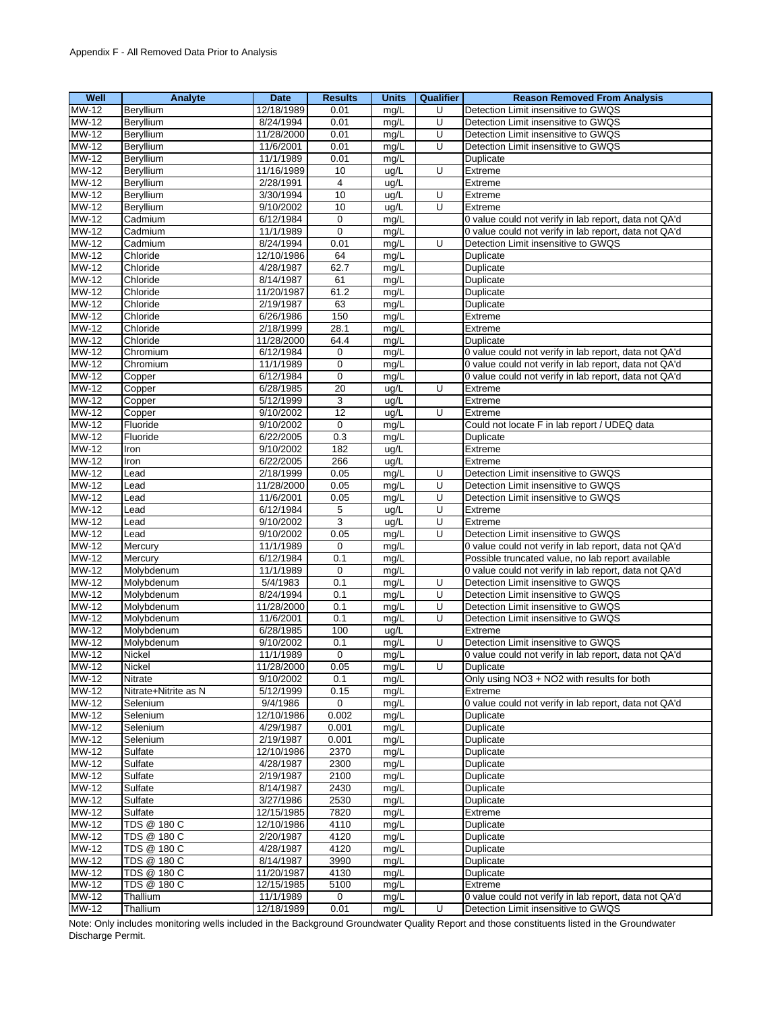| Well         | Analyte              | Date       | <b>Results</b>  | <b>Units</b> | <b>Qualifier</b> | <b>Reason Removed From Analysis</b>                                        |
|--------------|----------------------|------------|-----------------|--------------|------------------|----------------------------------------------------------------------------|
| <b>MW-12</b> | Beryllium            | 12/18/1989 | 0.01            | mq/L         | U                | Detection Limit insensitive to GWQS                                        |
| MW-12        | Beryllium            | 8/24/1994  | 0.01            | mg/L         | U                | Detection Limit insensitive to GWQS                                        |
| $MW-12$      | Beryllium            | 11/28/2000 | 0.01            | mg/L         | U                | Detection Limit insensitive to GWQS                                        |
| MW-12        | Beryllium            | 11/6/2001  | 0.01            | mg/L         | U                | Detection Limit insensitive to GWQS                                        |
| MW-12        | Beryllium            | 11/1/1989  | 0.01            | mg/L         |                  | Duplicate                                                                  |
| <b>MW-12</b> | Beryllium            | 11/16/1989 | 10              | ug/L         | Ū                | Extreme                                                                    |
| MW-12        | Beryllium            | 2/28/1991  | $\overline{4}$  | ug/L         |                  | Extreme                                                                    |
| <b>MW-12</b> | Beryllium            | 3/30/1994  | 10              | ug/L         | $\overline{U}$   | Extreme                                                                    |
| MW-12        | Beryllium            | 9/10/2002  | 10              | ug/L         | U                | Extreme                                                                    |
| <b>MW-12</b> | Cadmium              | 6/12/1984  | $\mathbf 0$     | mg/L         |                  | 0 value could not verify in lab report, data not QA'd                      |
| MW-12        | Cadmium              | 11/1/1989  | $\mathbf 0$     | mg/L         |                  | 0 value could not verify in lab report, data not QA'd                      |
| MW-12        | Cadmium              | 8/24/1994  | 0.01            | mg/L         | U                | Detection Limit insensitive to GWQS                                        |
| <b>MW-12</b> | Chloride             | 12/10/1986 | 64              | mg/L         |                  | Duplicate                                                                  |
| MW-12        | Chloride             | 4/28/1987  | 62.7            | mg/L         |                  | Duplicate                                                                  |
| MW-12        | Chloride             | 8/14/1987  | 61              | mg/L         |                  | Duplicate                                                                  |
| MW-12        | Chloride             | 11/20/1987 | 61.2            | mg/L         |                  | Duplicate                                                                  |
| $MW-12$      | Chloride             | 2/19/1987  | 63              | mg/L         |                  | Duplicate                                                                  |
| MW-12        | Chloride             | 6/26/1986  | 150             | mg/L         |                  | Extreme                                                                    |
| MW-12        | Chloride             | 2/18/1999  | 28.1            | mg/L         |                  | Extreme                                                                    |
| $MW-12$      | Chloride             | 11/28/2000 | 64.4            | mg/L         |                  | Duplicate                                                                  |
| MW-12        | Chromium             | 6/12/1984  | 0               | mg/L         |                  | 0 value could not verify in lab report, data not QA'd                      |
| $MW-12$      | Chromium             | 11/1/1989  | $\mathbf 0$     | mg/L         |                  | 0 value could not verify in lab report, data not QA'd                      |
| MW-12        | Copper               | 6/12/1984  | $\mathbf 0$     | mg/L         |                  | 0 value could not verify in lab report, data not QA'd                      |
| <b>MW-12</b> | Copper               | 6/28/1985  | $\overline{20}$ | ug/L         | U                | Extreme                                                                    |
| $MW-12$      | Copper               | 5/12/1999  | 3               | ug/L         |                  | Extreme                                                                    |
| MW-12        | Copper               | 9/10/2002  | 12              | ug/L         | U                | Extreme                                                                    |
| MW-12        | Fluoride             | 9/10/2002  | $\mathbf 0$     | mg/L         |                  | Could not locate F in lab report / UDEQ data                               |
| MW-12        | Fluoride             | 6/22/2005  | 0.3             | mg/L         |                  | Duplicate                                                                  |
| MW-12        | Iron                 | 9/10/2002  | 182             | ug/L         |                  | Extreme                                                                    |
| MW-12        | Iron                 | 6/22/2005  | 266             | ug/L         |                  | Extreme                                                                    |
| <b>MW-12</b> | Lead                 | 2/18/1999  | 0.05            |              | U                |                                                                            |
| <b>MW-12</b> | Lead                 | 11/28/2000 | 0.05            | mg/L<br>mg/L | U                | Detection Limit insensitive to GWQS<br>Detection Limit insensitive to GWQS |
| MW-12        | Lead                 | 11/6/2001  | 0.05            | mg/L         | U                | Detection Limit insensitive to GWQS                                        |
| MW-12        | Lead                 | 6/12/1984  | 5               | ug/L         | U                | Extreme                                                                    |
| <b>MW-12</b> | Lead                 | 9/10/2002  | 3               | ug/L         | Ū                | Extreme                                                                    |
| MW-12        | Lead                 | 9/10/2002  | 0.05            | mg/L         | U                | Detection Limit insensitive to GWQS                                        |
| <b>MW-12</b> | Mercury              | 11/1/1989  | 0               | mg/L         |                  | 0 value could not verify in lab report, data not QA'd                      |
| MW-12        | Mercury              | 6/12/1984  | 0.1             | mg/L         |                  | Possible truncated value, no lab report available                          |
| $MW-12$      | Molybdenum           | 11/1/1989  | 0               | mg/L         |                  | 0 value could not verify in lab report, data not QA'd                      |
| MW-12        | Molybdenum           | 5/4/1983   | 0.1             | mg/L         | U                | Detection Limit insensitive to GWQS                                        |
| MW-12        | Molybdenum           | 8/24/1994  | 0.1             | mg/L         | $\overline{U}$   | Detection Limit insensitive to GWQS                                        |
| <b>MW-12</b> | Molybdenum           | 11/28/2000 | 0.1             | mg/L         | U                | Detection Limit insensitive to GWQS                                        |
| <b>MW-12</b> | Molybdenum           | 11/6/2001  | 0.1             | mg/L         | U                | Detection Limit insensitive to GWQS                                        |
| MW-12        | Molybdenum           | 6/28/1985  | 100             | ug/L         |                  | Extreme                                                                    |
| MW-12        | Molybdenum           | 9/10/2002  | 0.1             | mg/L         | U                | Detection Limit insensitive to GWQS                                        |
| <b>MW-12</b> | Nickel               | 11/1/1989  | $\mathbf 0$     | mg/L         |                  | 0 value could not verify in lab report, data not QA'd                      |
| MW-12        | Nickel               | 11/28/2000 | 0.05            | mg/L         | U                | Duplicate                                                                  |
| MW-12        | Nitrate              | 9/10/2002  | 0.1             | mg/L         |                  | Only using NO3 + NO2 with results for both                                 |
| MW-12        | Nitrate+Nitrite as N | 5/12/1999  | 0.15            | mg/L         |                  | Extreme                                                                    |
| <b>MW-12</b> | Selenium             | 9/4/1986   | 0               | mg/L         |                  | 0 value could not verify in lab report, data not QA'd                      |
| <b>MW-12</b> | Selenium             | 12/10/1986 | 0.002           | mg/L         |                  | Duplicate                                                                  |
| $MW-12$      | Selenium             | 4/29/1987  | 0.001           | mg/L         |                  | Duplicate                                                                  |
| MW-12        | Selenium             | 2/19/1987  | 0.001           | mg/L         |                  | Duplicate                                                                  |
| MW-12        | Sulfate              | 12/10/1986 | 2370            | mg/L         |                  | Duplicate                                                                  |
| MW-12        | Sulfate              | 4/28/1987  | 2300            | mg/L         |                  | Duplicate                                                                  |
| $MW-12$      | Sulfate              | 2/19/1987  | 2100            | mg/L         |                  | Duplicate                                                                  |
| MW-12        | Sulfate              | 8/14/1987  | 2430            | mg/L         |                  | Duplicate                                                                  |
| MW-12        | Sulfate              | 3/27/1986  | 2530            | mg/L         |                  | Duplicate                                                                  |
| MW-12        | Sulfate              | 12/15/1985 | 7820            | mg/L         |                  | Extreme                                                                    |
| MW-12        | TDS @ 180 C          | 12/10/1986 | 4110            | mg/L         |                  | Duplicate                                                                  |
| MW-12        | TDS @ 180 C          | 2/20/1987  | 4120            | mg/L         |                  | Duplicate                                                                  |
| MW-12        | TDS @ 180 C          | 4/28/1987  | 4120            | mg/L         |                  | Duplicate                                                                  |
| MW-12        | TDS @ 180 C          | 8/14/1987  | 3990            | mg/L         |                  | Duplicate                                                                  |
| MW-12        | TDS @ 180 C          | 11/20/1987 | 4130            | mg/L         |                  | Duplicate                                                                  |
| MW-12        | TDS @ 180 C          | 12/15/1985 | 5100            | mg/L         |                  | Extreme                                                                    |
| MW-12        | Thallium             | 11/1/1989  | 0               | mg/L         |                  | 0 value could not verify in lab report, data not QA'd                      |
| MW-12        | Thallium             | 12/18/1989 | 0.01            | mg/L         | U                | Detection Limit insensitive to GWQS                                        |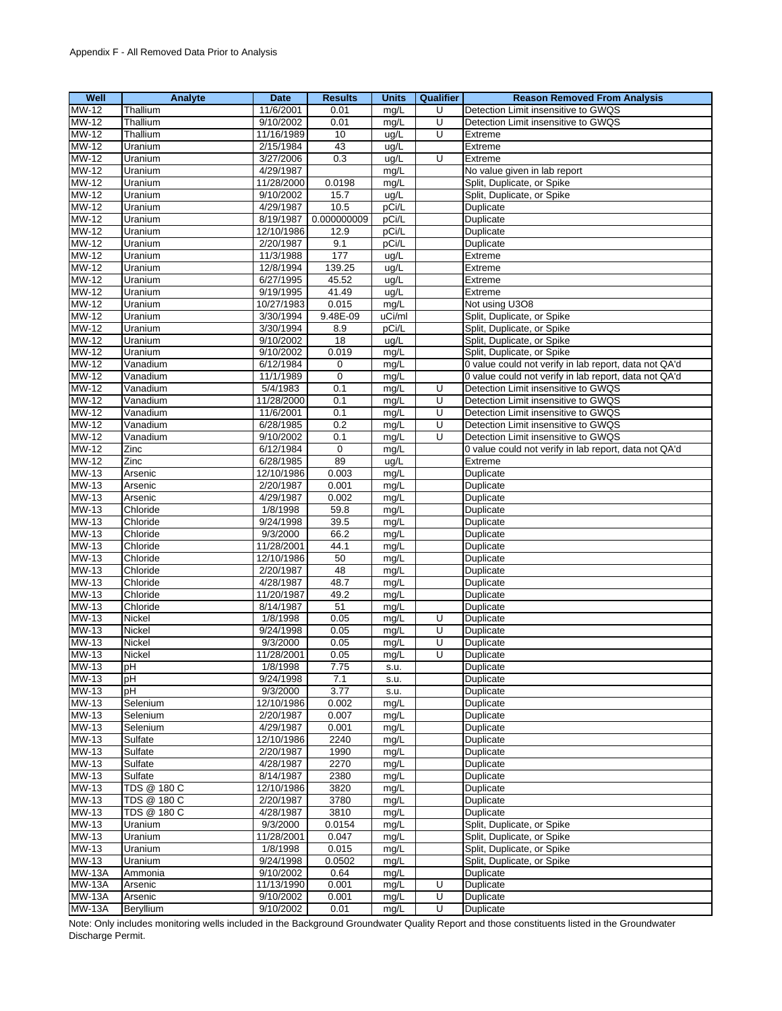| Well          | Analyte             | Date       | <b>Results</b> | <b>Units</b> | Qualifier | <b>Reason Removed From Analysis</b>                   |
|---------------|---------------------|------------|----------------|--------------|-----------|-------------------------------------------------------|
| <b>MW-12</b>  | Thallium            | 11/6/2001  | 0.01           | mq/L         | U         | Detection Limit insensitive to GWQS                   |
| MW-12         | Thallium            | 9/10/2002  | 0.01           | mg/L         | U         | Detection Limit insensitive to GWQS                   |
| $MW-12$       | Thallium            | 11/16/1989 | 10             | ug/L         | U         | Extreme                                               |
| MW-12         | Uranium             | 2/15/1984  | 43             | ug/L         |           | Extreme                                               |
| MW-12         | Uranium             | 3/27/2006  | 0.3            | ug/L         | U         | Extreme                                               |
| <b>MW-12</b>  | Uranium             | 4/29/1987  |                | mg/L         |           | No value given in lab report                          |
| <b>MW-12</b>  | Uranium             | 11/28/2000 | 0.0198         | mg/L         |           | Split, Duplicate, or Spike                            |
| <b>MW-12</b>  | Uranium             | 9/10/2002  | 15.7           | ug/L         |           | Split, Duplicate, or Spike                            |
| MW-12         | Uranium             | 4/29/1987  | 10.5           | pCi/L        |           | Duplicate                                             |
| <b>MW-12</b>  | Uranium             | 8/19/1987  | 0.000000009    | pCi/L        |           | Duplicate                                             |
| MW-12         | Uranium             | 12/10/1986 | 12.9           | pCi/L        |           | Duplicate                                             |
| MW-12         | Uranium             | 2/20/1987  | 9.1            | pCi/L        |           | Duplicate                                             |
| <b>MW-12</b>  | Uranium             | 11/3/1988  | 177            | ug/L         |           | Extreme                                               |
| MW-12         | Uranium             | 12/8/1994  | 139.25         | ug/L         |           | Extreme                                               |
|               |                     |            |                |              |           |                                                       |
| MW-12         | Uranium             | 6/27/1995  | 45.52<br>41.49 | ug/L         |           | Extreme                                               |
| MW-12         | Uranium             | 9/19/1995  |                | ug/L         |           | Extreme                                               |
| MW-12         | Uranium             | 10/27/1983 | 0.015          | mg/L         |           | Not using U3O8                                        |
| MW-12         | Uranium             | 3/30/1994  | 9.48E-09       | uCi/ml       |           | Split, Duplicate, or Spike                            |
| MW-12         | Uranium             | 3/30/1994  | 8.9            | pCi/L        |           | Split, Duplicate, or Spike                            |
| $MW-12$       | Uranium             | 9/10/2002  | 18             | ug/L         |           | Split, Duplicate, or Spike                            |
| <b>MW-12</b>  | Uranium             | 9/10/2002  | 0.019          | mg/L         |           | Split, Duplicate, or Spike                            |
| MW-12         | Vanadium            | 6/12/1984  | $\mathbf 0$    | mg/L         |           | 0 value could not verify in lab report, data not QA'd |
| MW-12         | Vanadium            | 11/1/1989  | $\mathbf 0$    | mg/L         |           | 0 value could not verify in lab report, data not QA'd |
| <b>MW-12</b>  | Vanadium            | 5/4/1983   | 0.1            | mg/L         | U         | Detection Limit insensitive to GWQS                   |
| $MW-12$       | Vanadium            | 11/28/2000 | 0.1            | mg/L         | U         | Detection Limit insensitive to GWQS                   |
| MW-12         | Vanadium            | 11/6/2001  | 0.1            | mg/L         | U         | Detection Limit insensitive to GWQS                   |
| $MW-12$       | Vanadium            | 6/28/1985  | 0.2            | mg/L         | U         | Detection Limit insensitive to GWQS                   |
| <b>MW-12</b>  | Vanadium            | 9/10/2002  | 0.1            | mg/L         | U         | Detection Limit insensitive to GWQS                   |
| MW-12         | Zinc                | 6/12/1984  | $\mathbf 0$    | mg/L         |           | 0 value could not verify in lab report, data not QA'd |
| MW-12         | Zinc                | 6/28/1985  | 89             | ug/L         |           | Extreme                                               |
| <b>MW-13</b>  | Arsenic             | 12/10/1986 | 0.003          | mg/L         |           | Duplicate                                             |
| <b>MW-13</b>  | Arsenic             | 2/20/1987  | 0.001          | mg/L         |           | Duplicate                                             |
| MW-13         | Arsenic             | 4/29/1987  | 0.002          | mg/L         |           | Duplicate                                             |
| MW-13         | Chloride            | 1/8/1998   | 59.8           | mg/L         |           | Duplicate                                             |
| <b>MW-13</b>  | Chloride            | 9/24/1998  | 39.5           | mg/L         |           | Duplicate                                             |
| MW-13         | Chloride            | 9/3/2000   | 66.2           | mg/L         |           | Duplicate                                             |
| <b>MW-13</b>  | Chloride            | 11/28/2001 | 44.1           | mg/L         |           | Duplicate                                             |
| MW-13         | Chloride            | 12/10/1986 | 50             | mg/L         |           | Duplicate                                             |
| <b>MW-13</b>  | Chloride            | 2/20/1987  | 48             | mg/L         |           | Duplicate                                             |
| <b>MW-13</b>  | Chloride            | 4/28/1987  | 48.7           | mg/L         |           | Duplicate                                             |
| MW-13         | Chloride            | 11/20/1987 | 49.2           | mg/L         |           | Duplicate                                             |
| <b>MW-13</b>  | Chloride            | 8/14/1987  | 51             | mg/L         |           | Duplicate                                             |
| <b>MW-13</b>  | Nickel              | 1/8/1998   | 0.05           | mg/L         | U         | Duplicate                                             |
| MW-13         | Nickel              | 9/24/1998  | 0.05           | mg/L         | U         | Duplicate                                             |
| MW-13         | Nickel              | 9/3/2000   | 0.05           | mg/L         | U         | Duplicate                                             |
| <b>MW-13</b>  | Nickel              | 11/28/2001 | 0.05           | mg/L         | U         | Duplicate                                             |
| MW-13         | рH                  | 1/8/1998   | 7.75           | s.u.         |           | Duplicate                                             |
| MW-13         | pH                  | 9/24/1998  | 7.1            | s.u.         |           | Duplicate                                             |
| MW-13         | рH                  | 9/3/2000   | 3.77           | s.u.         |           | Duplicate                                             |
| MW-13         | Selenium            | 12/10/1986 | 0.002          | mg/L         |           | Duplicate                                             |
| MW-13         | Selenium            | 2/20/1987  | 0.007          | mg/L         |           | Duplicate                                             |
| MW-13         |                     | 4/29/1987  | 0.001          |              |           |                                                       |
| MW-13         | Selenium<br>Sulfate | 12/10/1986 | 2240           | mg/L         |           | Duplicate                                             |
|               |                     | 2/20/1987  |                | mg/L         |           | Duplicate<br>Duplicate                                |
| MW-13         | Sulfate             |            | 1990           | mg/L         |           |                                                       |
| MW-13         | Sulfate             | 4/28/1987  | 2270           | mg/L         |           | Duplicate                                             |
| <b>MW-13</b>  | Sulfate             | 8/14/1987  | 2380           | mg/L         |           | Duplicate                                             |
| MW-13         | TDS @ 180 C         | 12/10/1986 | 3820           | mg/L         |           | Duplicate                                             |
| MW-13         | TDS @ 180 C         | 2/20/1987  | 3780           | mg/L         |           | Duplicate                                             |
| MW-13         | TDS @ 180 C         | 4/28/1987  | 3810           | mg/L         |           | Duplicate                                             |
| MW-13         | Uranium             | 9/3/2000   | 0.0154         | mg/L         |           | Split, Duplicate, or Spike                            |
| MW-13         | Uranium             | 11/28/2001 | 0.047          | mg/L         |           | Split, Duplicate, or Spike                            |
| MW-13         | Uranium             | 1/8/1998   | 0.015          | mg/L         |           | Split, Duplicate, or Spike                            |
| MW-13         | Uranium             | 9/24/1998  | 0.0502         | mg/L         |           | Split, Duplicate, or Spike                            |
| <b>MW-13A</b> | Ammonia             | 9/10/2002  | 0.64           | mg/L         |           | Duplicate                                             |
| <b>MW-13A</b> | Arsenic             | 11/13/1990 | 0.001          | mg/L         | U         | Duplicate                                             |
| <b>MW-13A</b> | Arsenic             | 9/10/2002  | 0.001          | mg/L         | U         | Duplicate                                             |
| <b>MW-13A</b> | Beryllium           | 9/10/2002  | 0.01           | mg/L         | U         | Duplicate                                             |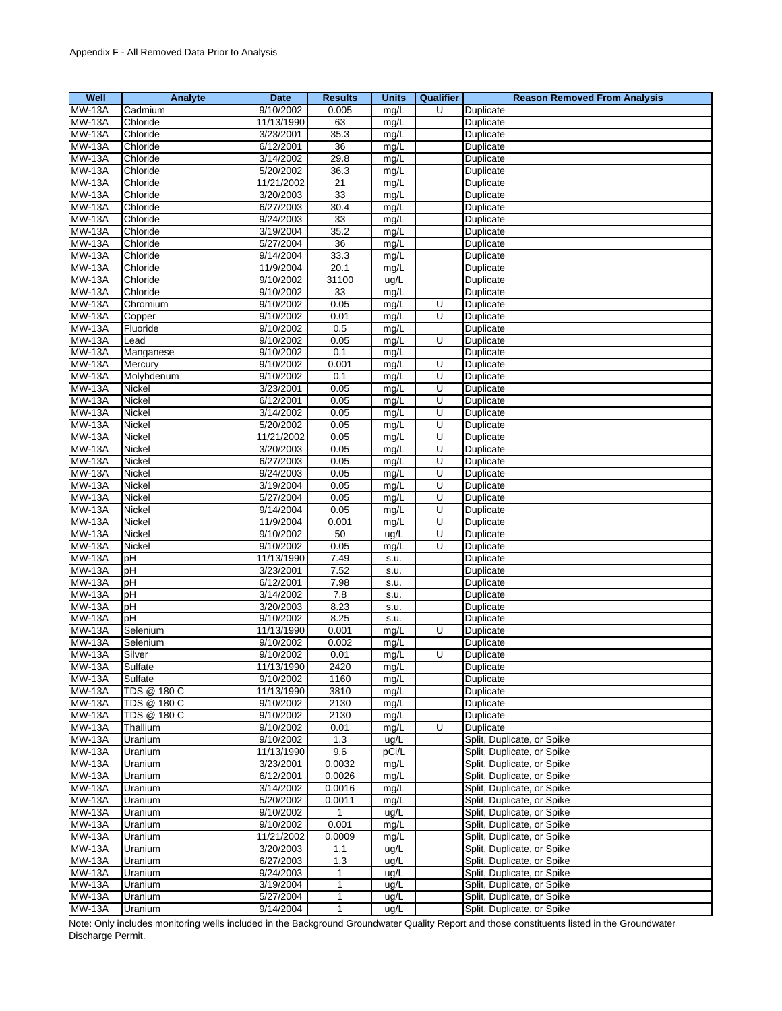| Well                           | Analyte             | <b>Date</b>             | <b>Results</b> | <b>Units</b>  | Qualifier      | <b>Reason Removed From Analysis</b>                      |
|--------------------------------|---------------------|-------------------------|----------------|---------------|----------------|----------------------------------------------------------|
| $MW-13A$                       | Cadmium             | 9/10/2002               | 0.005          | mg/L          | U              | Duplicate                                                |
| <b>MW-13A</b>                  | Chloride            | 11/13/1990              | 63             | mg/L          |                | Duplicate                                                |
| <b>MW-13A</b>                  | Chloride            | 3/23/2001               | 35.3           | mg/L          |                | Duplicate                                                |
| <b>MW-13A</b>                  | Chloride            | 6/12/2001               | 36             | mg/L          |                | Duplicate                                                |
| <b>MW-13A</b>                  | Chloride            | 3/14/2002               | 29.8           | mg/L          |                | Duplicate                                                |
| <b>MW-13A</b>                  | Chloride            | 5/20/2002               | 36.3           | mg/L          |                | Duplicate                                                |
| <b>MW-13A</b>                  | Chloride            | 11/21/2002              | 21             | mg/L          |                | Duplicate                                                |
| <b>MW-13A</b>                  | Chloride            | 3/20/2003               | 33             | mg/L          |                | Duplicate                                                |
| <b>MW-13A</b>                  | Chloride            | 6/27/2003               | 30.4           | mg/L          |                | Duplicate                                                |
| <b>MW-13A</b>                  | Chloride            | 9/24/2003               | 33             | mg/L          |                | Duplicate                                                |
| <b>MW-13A</b>                  | Chloride            | 3/19/2004               | 35.2           | mg/L          |                | Duplicate                                                |
| <b>MW-13A</b>                  | Chloride            | 5/27/2004               | 36             | mg/L          |                | Duplicate                                                |
| <b>MW-13A</b>                  | Chloride            | 9/14/2004               | 33.3           | mg/L          |                | Duplicate                                                |
| <b>MW-13A</b>                  | Chloride            | 11/9/2004               | 20.1           | mg/L          |                | Duplicate                                                |
| <b>MW-13A</b>                  | Chloride            | 9/10/2002               | 31100          | ug/L          |                | Duplicate                                                |
| <b>MW-13A</b>                  | Chloride            | 9/10/2002               | 33             | mg/L          |                | Duplicate                                                |
| <b>MW-13A</b>                  | Chromium            | 9/10/2002               | 0.05           | mg/L          | U              | Duplicate                                                |
| <b>MW-13A</b>                  | Copper              | 9/10/2002               | 0.01           | mg/L          | U              | Duplicate                                                |
| <b>MW-13A</b>                  | Fluoride            | 9/10/2002               | 0.5            | mg/L          |                | Duplicate                                                |
| <b>MW-13A</b>                  | Lead                | 9/10/2002               | 0.05           | mg/L          | U              | Duplicate                                                |
| <b>MW-13A</b>                  | Manganese           | 9/10/2002               | 0.1            | mg/L          |                | Duplicate                                                |
| <b>MW-13A</b>                  | Mercury             | 9/10/2002               | 0.001          | mg/L          | U              | Duplicate                                                |
| <b>MW-13A</b>                  | Molybdenum          | 9/10/2002               | 0.1            | mg/L          | U              | Duplicate                                                |
| <b>MW-13A</b>                  | <b>Nickel</b>       | 3/23/2001               | 0.05           | mg/L          | U              | Duplicate                                                |
| <b>MW-13A</b>                  | Nickel              | 6/12/2001               | 0.05           | mg/L          | U              | Duplicate                                                |
| <b>MW-13A</b>                  | Nickel              | 3/14/2002               | 0.05           | mg/L          | U              | Duplicate                                                |
| <b>MW-13A</b>                  | Nickel              | 5/20/2002               | 0.05           | mg/L          | U              | Duplicate                                                |
| <b>MW-13A</b>                  | Nickel              | 11/21/2002              | 0.05           | mg/L          | U              | Duplicate                                                |
| <b>MW-13A</b>                  | Nickel              | 3/20/2003               | 0.05           | mg/L          | $\overline{U}$ | Duplicate                                                |
| <b>MW-13A</b>                  | Nickel              | 6/27/2003               | 0.05           | mg/L          | U              | Duplicate                                                |
| <b>MW-13A</b>                  | Nickel              | 9/24/2003               | 0.05           | mg/L          | U              | Duplicate                                                |
| <b>MW-13A</b>                  | Nickel              | 3/19/2004               | 0.05           | mg/L          | U              | Duplicate                                                |
| <b>MW-13A</b>                  | Nickel              | 5/27/2004               | 0.05           | mg/L          | U              | Duplicate                                                |
| <b>MW-13A</b>                  | Nickel              | 9/14/2004               | 0.05           | mg/L          | U              | Duplicate                                                |
| <b>MW-13A</b>                  | Nickel              | 11/9/2004               | 0.001          | mg/L          | U              | Duplicate                                                |
| <b>MW-13A</b>                  | Nickel              | 9/10/2002               | 50             | ug/L          | U              | Duplicate                                                |
| <b>MW-13A</b>                  | Nickel              | 9/10/2002               | 0.05           | mg/L          | U              | Duplicate                                                |
| <b>MW-13A</b>                  | pH                  | 11/13/1990              | 7.49           | S.U.          |                | Duplicate                                                |
| <b>MW-13A</b>                  | pH                  | 3/23/2001               | 7.52           | s.u.          |                | Duplicate                                                |
| <b>MW-13A</b>                  | рH                  | 6/12/2001               | 7.98           | s.u.          |                | Duplicate                                                |
| <b>MW-13A</b>                  | pH                  | 3/14/2002               | 7.8            | s.u.          |                | Duplicate                                                |
| <b>MW-13A</b>                  | pH                  | 3/20/2003               | 8.23           | S.U.          |                | Duplicate                                                |
| <b>MW-13A</b>                  | рH                  | 9/10/2002               | 8.25           | s.u.          |                | Duplicate                                                |
| <b>MW-13A</b>                  | Selenium            | 11/13/1990              | 0.001          | mg/L          | U              | Duplicate                                                |
| <b>MW-13A</b>                  | Selenium            | 9/10/2002               | 0.002          | mg/L          |                | Duplicate                                                |
| <b>MW-13A</b>                  | Silver              | 9/10/2002               | 0.01           | mg/L          | U              | Duplicate                                                |
| <b>MW-13A</b>                  | Sulfate             | 11/13/1990              | 2420           | mg/L          |                | Duplicate                                                |
| $MW-13A$                       | Sulfate             | 9/10/2002               | 1160           | mg/L          |                | Duplicate                                                |
| <b>MW-13A</b>                  | TDS @ 180 C         | 11/13/1990              | 3810           | mg/L          |                | Duplicate                                                |
| <b>MW-13A</b>                  | TDS @ 180 C         | 9/10/2002               | 2130           | mg/L          |                | Duplicate                                                |
| <b>MW-13A</b>                  | TDS @ 180 C         | 9/10/2002<br>9/10/2002  | 2130           | mg/L          |                | Duplicate                                                |
| <b>MW-13A</b><br><b>MW-13A</b> | Thallium<br>Uranium |                         | 0.01<br>1.3    | mg/L          | U              | Duplicate                                                |
| <b>MW-13A</b>                  |                     | 9/10/2002<br>11/13/1990 | 9.6            | ug/L          |                | Split, Duplicate, or Spike<br>Split, Duplicate, or Spike |
| <b>MW-13A</b>                  | Uranium<br>Uranium  | 3/23/2001               | 0.0032         | pCi/L<br>mg/L |                | Split, Duplicate, or Spike                               |
| <b>MW-13A</b>                  | Uranium             | 6/12/2001               | 0.0026         | mg/L          |                | Split, Duplicate, or Spike                               |
| <b>MW-13A</b>                  | Uranium             | 3/14/2002               | 0.0016         | mg/L          |                | Split, Duplicate, or Spike                               |
| <b>MW-13A</b>                  | Uranium             | 5/20/2002               | 0.0011         | mg/L          |                | Split, Duplicate, or Spike                               |
| <b>MW-13A</b>                  | Uranium             | 9/10/2002               | 1              | ug/L          |                | Split, Duplicate, or Spike                               |
| <b>MW-13A</b>                  | Uranium             | 9/10/2002               | 0.001          | mg/L          |                | Split, Duplicate, or Spike                               |
| <b>MW-13A</b>                  | Uranium             | 11/21/2002              | 0.0009         | mg/L          |                | Split, Duplicate, or Spike                               |
| <b>MW-13A</b>                  | Uranium             | 3/20/2003               | 1.1            | ug/L          |                | Split, Duplicate, or Spike                               |
| <b>MW-13A</b>                  | Uranium             | 6/27/2003               | 1.3            | ug/L          |                | Split, Duplicate, or Spike                               |
| <b>MW-13A</b>                  | Uranium             | 9/24/2003               | 1              | ug/L          |                | Split, Duplicate, or Spike                               |
| <b>MW-13A</b>                  | Uranium             | 3/19/2004               | $\mathbf{1}$   | ug/L          |                | Split, Duplicate, or Spike                               |
| <b>MW-13A</b>                  | Uranium             | 5/27/2004               | $\mathbf{1}$   | ug/L          |                | Split, Duplicate, or Spike                               |
| <b>MW-13A</b>                  | Uranium             | 9/14/2004               | $\mathbf{1}$   | ug/L          |                | Split, Duplicate, or Spike                               |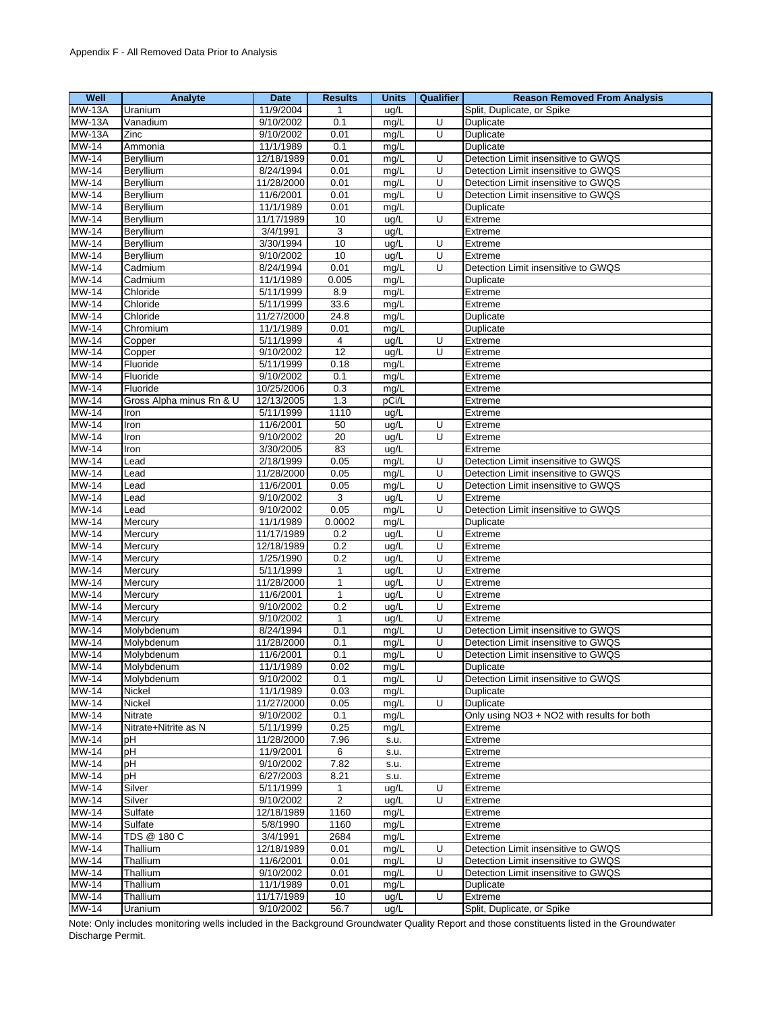| Well          | Analyte                  | <b>Date</b> | <b>Results</b>  | <b>Units</b> | Qualifier | <b>Reason Removed From Analysis</b>        |
|---------------|--------------------------|-------------|-----------------|--------------|-----------|--------------------------------------------|
| <b>MW-13A</b> | Uranium                  | 11/9/2004   | 1               | ug/L         |           | Split, Duplicate, or Spike                 |
| <b>MW-13A</b> | Vanadium                 | 9/10/2002   | 0.1             | mg/L         | U         | Duplicate                                  |
| <b>MW-13A</b> | Zinc                     | 9/10/2002   | 0.01            | mg/L         | U         | Duplicate                                  |
| <b>MW-14</b>  | Ammonia                  | 11/1/1989   | 0.1             | mg/L         |           | Duplicate                                  |
| <b>MW-14</b>  | Beryllium                | 12/18/1989  | 0.01            | mg/L         | U         | Detection Limit insensitive to GWQS        |
| <b>MW-14</b>  | Beryllium                | 8/24/1994   | 0.01            | mg/L         | U         | Detection Limit insensitive to GWQS        |
| MW-14         | Beryllium                | 11/28/2000  | 0.01            | mg/L         | U         | Detection Limit insensitive to GWQS        |
| <b>MW-14</b>  | Beryllium                | 11/6/2001   | 0.01            | mg/L         | U         | Detection Limit insensitive to GWQS        |
| MW-14         | Beryllium                | 11/1/1989   | 0.01            | mg/L         |           | Duplicate                                  |
| <b>MW-14</b>  | Beryllium                | 11/17/1989  | 10              | ug/L         | Ū         | Extreme                                    |
| MW-14         | Beryllium                | 3/4/1991    | 3               | ug/L         |           | Extreme                                    |
| MW-14         | Beryllium                | 3/30/1994   | 10              | ug/L         | U         | Extreme                                    |
| <b>MW-14</b>  | Beryllium                | 9/10/2002   | 10              | ug/L         | U         | Extreme                                    |
| MW-14         | Cadmium                  | 8/24/1994   | 0.01            | mg/L         | U         | Detection Limit insensitive to GWQS        |
| <b>MW-14</b>  | Cadmium                  | 11/1/1989   | 0.005           | mg/L         |           | Duplicate                                  |
| MW-14         | Chloride                 | 5/11/1999   | 8.9             | mg/L         |           | Extreme                                    |
| MW-14         | Chloride                 | 5/11/1999   | 33.6            | mg/L         |           | Extreme                                    |
| MW-14         | Chloride                 | 11/27/2000  | 24.8            | mg/L         |           | Duplicate                                  |
| MW-14         | Chromium                 | 11/1/1989   | 0.01            | mg/L         |           | Duplicate                                  |
| <b>MW-14</b>  | Copper                   | 5/11/1999   | $\overline{4}$  | ug/L         | Ū         | Extreme                                    |
| <b>MW-14</b>  | Copper                   | 9/10/2002   | $\overline{12}$ | ug/L         | U         | Extreme                                    |
| <b>MW-14</b>  | Fluoride                 | 5/11/1999   | 0.18            | mg/L         |           | Extreme                                    |
| MW-14         | Fluoride                 | 9/10/2002   | 0.1             | mg/L         |           | Extreme                                    |
| $MW-14$       | Fluoride                 | 10/25/2006  | 0.3             | mg/L         |           | Extreme                                    |
| <b>MW-14</b>  | Gross Alpha minus Rn & U | 12/13/2005  | 1.3             | pCi/L        |           | Extreme                                    |
| MW-14         | Iron                     | 5/11/1999   | 1110            | ug/L         |           | Extreme                                    |
| $MW-14$       | Iron                     | 11/6/2001   | 50              | ug/L         | U         | Extreme                                    |
| <b>MW-14</b>  | Iron                     | 9/10/2002   | 20              | ug/L         | U         | Extreme                                    |
| MW-14         | Iron                     | 3/30/2005   | 83              | ug/L         |           | Extreme                                    |
| <b>MW-14</b>  | Lead                     | 2/18/1999   | 0.05            | mg/L         | U         | Detection Limit insensitive to GWQS        |
| MW-14         | Lead                     | 11/28/2000  | 0.05            | mg/L         | U         | Detection Limit insensitive to GWQS        |
| <b>MW-14</b>  | Lead                     | 11/6/2001   | 0.05            | mg/L         | U         | Detection Limit insensitive to GWQS        |
| MW-14         | Lead                     | 9/10/2002   | 3               | ug/L         | U         | Extreme                                    |
| <b>MW-14</b>  | Lead                     | 9/10/2002   | 0.05            | mg/L         | U         | Detection Limit insensitive to GWQS        |
| <b>MW-14</b>  | Mercury                  | 11/1/1989   | 0.0002          | mg/L         |           | Duplicate                                  |
| <b>MW-14</b>  | Mercury                  | 11/17/1989  | 0.2             | ug/L         | U         | Extreme                                    |
| MW-14         | Mercury                  | 12/18/1989  | 0.2             | ug/L         | U         | Extreme                                    |
| <b>MW-14</b>  | Mercury                  | 1/25/1990   | 0.2             | ug/L         | U         | Extreme                                    |
| MW-14         | Mercury                  | 5/11/1999   | $\mathbf{1}$    | ug/L         | U         | Extreme                                    |
| MW-14         | Mercury                  | 11/28/2000  | $\mathbf{1}$    | ug/L         | U         | Extreme                                    |
| MW-14         | Mercury                  | 11/6/2001   | $\mathbf{1}$    | ug/L         | U         | Extreme                                    |
| <b>MW-14</b>  | Mercury                  | 9/10/2002   | 0.2             | ug/L         | U         | Extreme                                    |
| MW-14         | Mercury                  | 9/10/2002   | $\mathbf{1}$    | ug/L         | U         | Extreme                                    |
| MW-14         | Molybdenum               | 8/24/1994   | 0.1             | mg/L         | U         | Detection Limit insensitive to GWQS        |
| MW-14         | Molybdenum               | 11/28/2000  | 0.1             | mg/L         | U         | Detection Limit insensitive to GWQS        |
| <b>MW-14</b>  | Molybdenum               | 11/6/2001   | 0.1             | mg/L         | U         | Detection Limit insensitive to GWQS        |
| MW-14         | Molybdenum               | 11/1/1989   | 0.02            | mg/L         |           | Duplicate                                  |
| <b>MW-14</b>  | Molybdenum               | 9/10/2002   | 0.1             | mg/L         | U         | Detection Limit insensitive to GWQS        |
| $MW-14$       | <b>Nickel</b>            | 11/1/1989   | 0.03            | mg/L         |           | Duplicate                                  |
| <b>MW-14</b>  | Nickel                   | 11/27/2000  | 0.05            | mg/L         | U         | Duplicate                                  |
| <b>MW-14</b>  | <b>Nitrate</b>           | 9/10/2002   | 0.1             | mg/L         |           | Only using NO3 + NO2 with results for both |
| MW-14         | Nitrate+Nitrite as N     | 5/11/1999   | 0.25            | mg/L         |           | Extreme                                    |
| MW-14         | рH                       | 11/28/2000  | 7.96            | s.u.         |           | Extreme                                    |
| MW-14         | pH                       | 11/9/2001   | 6               | s.u.         |           | Extreme                                    |
| <b>MW-14</b>  | pH                       | 9/10/2002   | 7.82            | s.u.         |           | Extreme                                    |
| $MW-14$       | pH                       | 6/27/2003   | 8.21            | s.u.         |           | Extreme                                    |
| MW-14         | Silver                   | 5/11/1999   | 1               | ug/L         | U         | Extreme                                    |
| <b>MW-14</b>  | Silver                   | 9/10/2002   | $\overline{2}$  | ug/L         | U         | Extreme                                    |
| MW-14         | Sulfate                  | 12/18/1989  | 1160            | mg/L         |           | Extreme                                    |
| <b>MW-14</b>  | Sulfate                  | 5/8/1990    | 1160            | mg/L         |           | Extreme                                    |
| <b>MW-14</b>  | TDS @ 180 C              | 3/4/1991    | 2684            | mg/L         |           | Extreme                                    |
| <b>MW-14</b>  | Thallium                 | 12/18/1989  | 0.01            | mg/L         | U         | Detection Limit insensitive to GWQS        |
| $MW-14$       | Thallium                 | 11/6/2001   | 0.01            | mg/L         | U         | Detection Limit insensitive to GWQS        |
| MW-14         | Thallium                 | 9/10/2002   | 0.01            | mg/L         | U         | Detection Limit insensitive to GWQS        |
| <b>MW-14</b>  | Thallium                 | 11/1/1989   | 0.01            | mg/L         |           | Duplicate                                  |
| MW-14         | Thallium                 | 11/17/1989  | 10              | ug/L         | U         | Extreme<br>Split, Duplicate, or Spike      |
| MW-14         | Uranium                  | 9/10/2002   | 56.7            | ug/L         |           |                                            |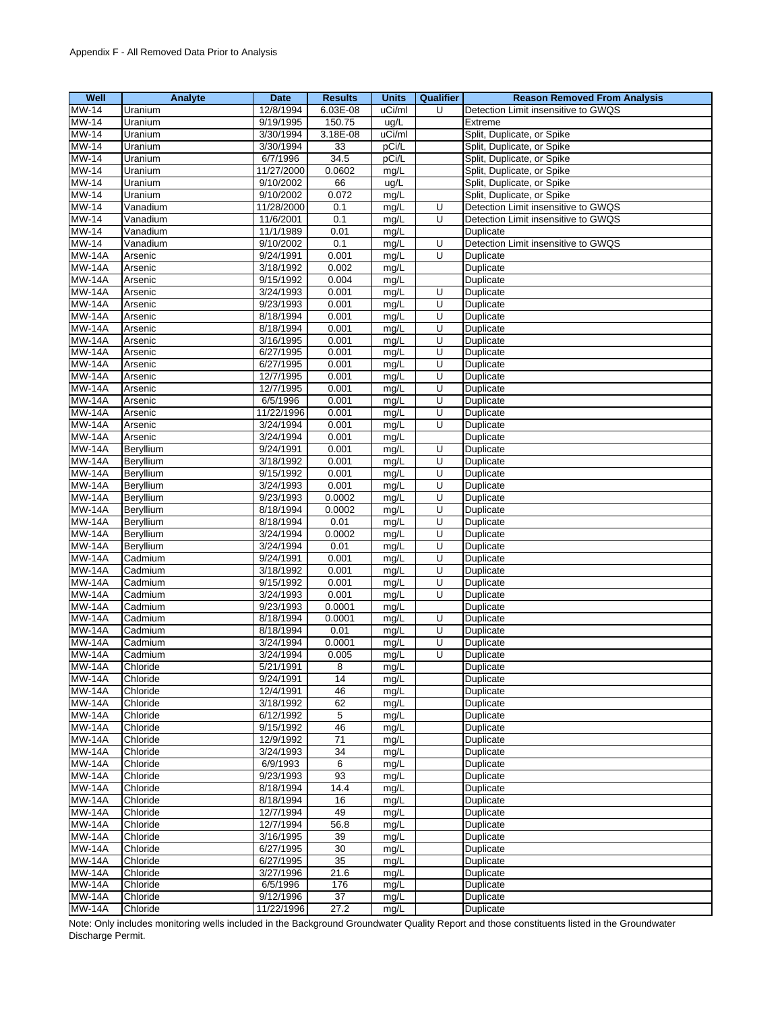| Well                           | Analyte              | Date                  | <b>Results</b> | <b>Units</b> | Qualifier | <b>Reason Removed From Analysis</b> |
|--------------------------------|----------------------|-----------------------|----------------|--------------|-----------|-------------------------------------|
| <b>MW-14</b>                   | Uranium              | 12/8/1994             | 6.03E-08       | uCi/ml       | U         | Detection Limit insensitive to GWQS |
| <b>MW-14</b>                   | Uranium              | 9/19/1995             | 150.75         | ug/L         |           | Extreme                             |
| <b>MW-14</b>                   | Uranium              | 3/30/1994             | 3.18E-08       | uCi/ml       |           | Split, Duplicate, or Spike          |
| MW-14                          | Uranium              | 3/30/1994             | 33             | pCi/L        |           | Split, Duplicate, or Spike          |
| <b>MW-14</b>                   | Uranium              | 6/7/1996              | 34.5           | pCi/L        |           | Split, Duplicate, or Spike          |
| MW-14                          | Uranium              | 11/27/2000            | 0.0602         | mg/L         |           | Split, Duplicate, or Spike          |
| MW-14                          | Uranium              | 9/10/2002             | 66             | ug/L         |           | Split, Duplicate, or Spike          |
| MW-14                          | Uranium              | 9/10/2002             | 0.072          | mg/L         |           | Split, Duplicate, or Spike          |
| MW-14                          | Vanadium             | 11/28/2000            | 0.1            | mg/L         | U         | Detection Limit insensitive to GWQS |
| <b>MW-14</b>                   | Vanadium             | 11/6/2001             | 0.1            | mg/L         | U         | Detection Limit insensitive to GWQS |
| MW-14                          | Vanadium             | 11/1/1989             | 0.01           | mg/L         |           | Duplicate                           |
| <b>MW-14</b>                   | Vanadium             | 9/10/2002             | 0.1            | mg/L         | U         | Detection Limit insensitive to GWQS |
| <b>MW-14A</b>                  | Arsenic              | 9/24/1991             | 0.001          | mg/L         | U         | Duplicate                           |
| <b>MW-14A</b>                  | Arsenic              | 3/18/1992             | 0.002          | mg/L         |           | Duplicate                           |
| <b>MW-14A</b>                  | Arsenic              | 9/15/1992             | 0.004          | mg/L         |           | Duplicate                           |
| <b>MW-14A</b>                  | Arsenic              | 3/24/1993             | 0.001          | mg/L         | U         | Duplicate                           |
| <b>MW-14A</b>                  | Arsenic              | 9/23/1993             | 0.001          | mg/L         | U         | Duplicate                           |
| <b>MW-14A</b>                  | Arsenic              | 8/18/1994             | 0.001          | mg/L         | U         | Duplicate                           |
| <b>MW-14A</b>                  | Arsenic              | 8/18/1994             | 0.001          | mg/L         | U         | Duplicate                           |
| <b>MW-14A</b>                  | Arsenic              | 3/16/1995             | 0.001          | mg/L         | U         | Duplicate                           |
| <b>MW-14A</b>                  | Arsenic              | 6/27/1995             | 0.001          | mg/L         | U         | Duplicate                           |
| <b>MW-14A</b>                  | Arsenic              | 6/27/1995             | 0.001          | mg/L         | U         | Duplicate                           |
| <b>MW-14A</b>                  | Arsenic              | 12/7/1995             | 0.001          | mg/L         | U         | Duplicate                           |
| <b>MW-14A</b>                  | Arsenic              | 12/7/1995             | 0.001          | mg/L         | U         | Duplicate                           |
| <b>MW-14A</b>                  | Arsenic              | 6/5/1996              | 0.001          | mg/L         | U         | Duplicate                           |
| <b>MW-14A</b>                  | Arsenic              | 11/22/1996            | 0.001          | mg/L         | U         | Duplicate                           |
| <b>MW-14A</b>                  | Arsenic              | 3/24/1994             | 0.001          | mg/L         | U         | Duplicate                           |
| <b>MW-14A</b>                  | Arsenic              | 3/24/1994             | 0.001          | mg/L         |           | Duplicate                           |
| <b>MW-14A</b>                  | Beryllium            | 9/24/1991             | 0.001          | mg/L         | U         | Duplicate                           |
| <b>MW-14A</b>                  | Beryllium            | 3/18/1992             | 0.001          | mg/L         | U         | Duplicate                           |
| <b>MW-14A</b>                  | Beryllium            | 9/15/1992             | 0.001          | mg/L         | U         | Duplicate                           |
| <b>MW-14A</b>                  | Beryllium            | 3/24/1993             | 0.001          | mg/L         | U         | Duplicate                           |
| <b>MW-14A</b>                  | Beryllium            | 9/23/1993             | 0.0002         | mg/L         | U         | Duplicate                           |
| <b>MW-14A</b>                  | Beryllium            | 8/18/1994             | 0.0002         | mg/L         | U         | Duplicate                           |
| <b>MW-14A</b>                  | Beryllium            | 8/18/1994             | 0.01           | mg/L         | U         | Duplicate                           |
| <b>MW-14A</b>                  | Beryllium            | 3/24/1994             | 0.0002         | mg/L         | U         | Duplicate                           |
| <b>MW-14A</b>                  | Beryllium            | 3/24/1994             | 0.01           | mg/L         | U         | Duplicate                           |
| <b>MW-14A</b>                  | Cadmium              | 9/24/1991             | 0.001          | mg/L         | U         | Duplicate                           |
| <b>MW-14A</b>                  | Cadmium              | 3/18/1992             | 0.001          | mg/L         | U         | Duplicate                           |
| <b>MW-14A</b>                  | Cadmium              | 9/15/1992             | 0.001          | mg/L         | U         | Duplicate                           |
| <b>MW-14A</b>                  | Cadmium              | 3/24/1993             | 0.001          | mg/L         | U         | Duplicate                           |
| <b>MW-14A</b>                  | Cadmium              | 9/23/1993             | 0.0001         | mg/L         |           | Duplicate                           |
| <b>MW-14A</b>                  | Cadmium              | 8/18/1994             | 0.0001         | mg/L         | U         | Duplicate                           |
| <b>MW-14A</b>                  | Cadmium              | 8/18/1994             | 0.01           | mg/L         | U         | Duplicate                           |
| <b>MW-14A</b>                  | Cadmium              | 3/24/1994             | 0.0001         | mg/L         | U         | Duplicate                           |
| <b>MW-14A</b>                  | Cadmium              | 3/24/1994             | 0.005          | mg/L         | U         | Duplicate                           |
| MW-14A                         | Chloride             | 5/21/1991             | 8              | mg/L         |           | Duplicate                           |
| <b>MW-14A</b>                  | Chloride             | 9/24/1991             | 14             | mg/L         |           | Duplicate                           |
| <b>MW-14A</b>                  | Chloride             | 12/4/1991             | 46             | mg/L         |           | Duplicate                           |
| <b>MW-14A</b>                  | Chloride             | 3/18/1992             | 62             | mg/L         |           | Duplicate                           |
| <b>MW-14A</b>                  | Chloride             | 6/12/1992             | 5              | mg/L         |           | Duplicate                           |
| <b>MW-14A</b>                  | Chloride             | 9/15/1992             | 46             | mg/L         |           | Duplicate                           |
| <b>MW-14A</b>                  | Chloride             | 12/9/1992             | 71             | mg/L         |           | Duplicate                           |
| <b>MW-14A</b><br><b>MW-14A</b> | Chloride<br>Chloride | 3/24/1993<br>6/9/1993 | 34<br>6        | mg/L         |           | Duplicate                           |
| <b>MW-14A</b>                  | Chloride             | 9/23/1993             | 93             | mg/L<br>mg/L |           | Duplicate<br>Duplicate              |
| <b>MW-14A</b>                  | Chloride             | 8/18/1994             | 14.4           |              |           | Duplicate                           |
| <b>MW-14A</b>                  | Chloride             | 8/18/1994             |                | mg/L         |           |                                     |
| <b>MW-14A</b>                  | Chloride             | 12/7/1994             | 16<br>49       | mg/L<br>mg/L |           | Duplicate<br>Duplicate              |
| <b>MW-14A</b>                  | Chloride             | 12/7/1994             | 56.8           | mg/L         |           | Duplicate                           |
| $MW-14A$                       | Chloride             | 3/16/1995             | 39             | mg/L         |           | Duplicate                           |
| <b>MW-14A</b>                  | Chloride             | 6/27/1995             | $30\,$         | mg/L         |           | Duplicate                           |
| <b>MW-14A</b>                  | Chloride             | 6/27/1995             | 35             | mg/L         |           | Duplicate                           |
| <b>MW-14A</b>                  | Chloride             | 3/27/1996             | 21.6           | mg/L         |           | Duplicate                           |
| <b>MW-14A</b>                  | Chloride             | 6/5/1996              | 176            | mg/L         |           | Duplicate                           |
| <b>MW-14A</b>                  | Chloride             | 9/12/1996             | 37             | mg/L         |           | Duplicate                           |
| <b>MW-14A</b>                  | Chloride             | 11/22/1996            | 27.2           | mg/L         |           | Duplicate                           |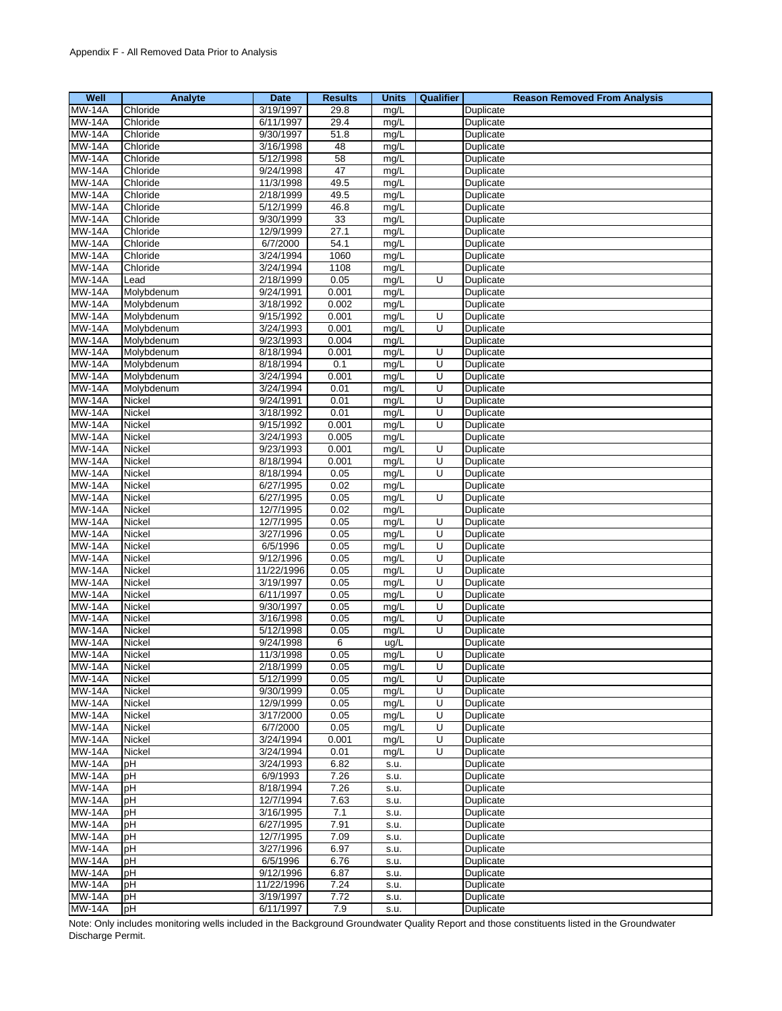| Well                | Analyte       | <b>Date</b> | <b>Results</b> | <b>Units</b> | <b>Qualifier</b> | <b>Reason Removed From Analysis</b> |
|---------------------|---------------|-------------|----------------|--------------|------------------|-------------------------------------|
| $\overline{M}W-14A$ | Chloride      | 3/19/1997   | 29.8           | mg/L         |                  | Duplicate                           |
| <b>MW-14A</b>       | Chloride      | 6/11/1997   | 29.4           | mg/L         |                  | Duplicate                           |
| <b>MW-14A</b>       | Chloride      | 9/30/1997   | 51.8           | mg/L         |                  | <b>Duplicate</b>                    |
| <b>MW-14A</b>       | Chloride      | 3/16/1998   | 48             | mg/L         |                  | Duplicate                           |
| <b>MW-14A</b>       | Chloride      | 5/12/1998   | 58             | mg/L         |                  | Duplicate                           |
| <b>MW-14A</b>       | Chloride      | 9/24/1998   | 47             | mg/L         |                  | Duplicate                           |
| <b>MW-14A</b>       | Chloride      | 11/3/1998   | 49.5           | mg/L         |                  | Duplicate                           |
| <b>MW-14A</b>       | Chloride      | 2/18/1999   | 49.5           | mg/L         |                  | Duplicate                           |
| <b>MW-14A</b>       | Chloride      | 5/12/1999   | 46.8           | mg/L         |                  | Duplicate                           |
| <b>MW-14A</b>       | Chloride      | 9/30/1999   | 33             | mg/L         |                  | Duplicate                           |
| <b>MW-14A</b>       | Chloride      | 12/9/1999   | 27.1           | mg/L         |                  | Duplicate                           |
| <b>MW-14A</b>       | Chloride      | 6/7/2000    | 54.1           | mg/L         |                  | Duplicate                           |
| <b>MW-14A</b>       | Chloride      | 3/24/1994   | 1060           | mg/L         |                  | Duplicate                           |
| <b>MW-14A</b>       | Chloride      | 3/24/1994   | 1108           | mg/L         |                  | Duplicate                           |
| <b>MW-14A</b>       | Lead          | 2/18/1999   | 0.05           | mg/L         | U                | Duplicate                           |
| <b>MW-14A</b>       | Molybdenum    | 9/24/1991   | 0.001          | mg/L         |                  | Duplicate                           |
| <b>MW-14A</b>       | Molybdenum    | 3/18/1992   | 0.002          | mg/L         |                  | Duplicate                           |
| <b>MW-14A</b>       | Molybdenum    | 9/15/1992   | 0.001          | mg/L         | U                | Duplicate                           |
| <b>MW-14A</b>       | Molybdenum    | 3/24/1993   | 0.001          | mg/L         | U                | Duplicate                           |
| <b>MW-14A</b>       | Molybdenum    | 9/23/1993   | 0.004          | mg/L         |                  | Duplicate                           |
| <b>MW-14A</b>       | Molybdenum    | 8/18/1994   | 0.001          | mg/L         | U                | Duplicate                           |
| <b>MW-14A</b>       | Molybdenum    | 8/18/1994   | 0.1            | mg/L         | $\overline{U}$   | Duplicate                           |
| <b>MW-14A</b>       | Molybdenum    | 3/24/1994   | 0.001          | mg/L         | U                | Duplicate                           |
| <b>MW-14A</b>       | Molybdenum    | 3/24/1994   | 0.01           | mg/L         | U                | Duplicate                           |
| <b>MW-14A</b>       | Nickel        | 9/24/1991   | 0.01           | mg/L         | U                | <b>Duplicate</b>                    |
|                     |               | 3/18/1992   |                |              |                  |                                     |
| <b>MW-14A</b>       | Nickel        | 9/15/1992   | 0.01<br>0.001  | mg/L         | U<br>U           | Duplicate<br>Duplicate              |
| <b>MW-14A</b>       | Nickel        |             | 0.005          | mg/L         |                  |                                     |
| <b>MW-14A</b>       | Nickel        | 3/24/1993   |                | mg/L         |                  | Duplicate                           |
| <b>MW-14A</b>       | Nickel        | 9/23/1993   | 0.001          | mg/L         | U                | Duplicate                           |
| <b>MW-14A</b>       | Nickel        | 8/18/1994   | 0.001          | mg/L         | U                | Duplicate                           |
| <b>MW-14A</b>       | Nickel        | 8/18/1994   | 0.05           | mg/L         | Ū                | Duplicate                           |
| <b>MW-14A</b>       | Nickel        | 6/27/1995   | 0.02           | mg/L         |                  | Duplicate                           |
| <b>MW-14A</b>       | Nickel        | 6/27/1995   | 0.05           | mg/L         | U                | Duplicate                           |
| <b>MW-14A</b>       | Nickel        | 12/7/1995   | 0.02           | mg/L         |                  | Duplicate                           |
| <b>MW-14A</b>       | Nickel        | 12/7/1995   | 0.05           | mg/L         | U                | Duplicate                           |
| <b>MW-14A</b>       | Nickel        | 3/27/1996   | 0.05           | mg/L         | U                | Duplicate                           |
| <b>MW-14A</b>       | Nickel        | 6/5/1996    | 0.05           | mg/L         | U                | Duplicate                           |
| <b>MW-14A</b>       | Nickel        | 9/12/1996   | 0.05           | mg/L         | U                | Duplicate                           |
| <b>MW-14A</b>       | Nickel        | 11/22/1996  | 0.05           | mg/L         | U                | Duplicate                           |
| <b>MW-14A</b>       | Nickel        | 3/19/1997   | 0.05           | mg/L         | U                | Duplicate                           |
| <b>MW-14A</b>       | Nickel        | 6/11/1997   | 0.05           | mg/L         | U                | Duplicate                           |
| <b>MW-14A</b>       | Nickel        | 9/30/1997   | 0.05           | mg/L         | Ū                | Duplicate                           |
| <b>MW-14A</b>       | Nickel        | 3/16/1998   | 0.05           | mg/L         | U                | Duplicate                           |
| <b>MW-14A</b>       | Nickel        | 5/12/1998   | 0.05           | mg/L         | U                | Duplicate                           |
| <b>MW-14A</b>       | Nickel        | 9/24/1998   | 6              | ug/L         |                  | Duplicate                           |
| <b>MW-14A</b>       | Nickel        | 11/3/1998   | 0.05           | mg/L         | U                | Duplicate                           |
| <b>MW-14A</b>       | Nickel        | 2/18/1999   | 0.05           | mg/L         | U                | Duplicate                           |
| <b>MW-14A</b>       | <b>Nickel</b> | 5/12/1999   | 0.05           | mg/L         | U                | Duplicate                           |
| <b>MW-14A</b>       | Nickel        | 9/30/1999   | 0.05           | mg/L         | U                | Duplicate                           |
| <b>MW-14A</b>       | Nickel        | 12/9/1999   | 0.05           | mg/L         | U                | Duplicate                           |
| <b>MW-14A</b>       | Nickel        | 3/17/2000   | 0.05           | mg/L         | U                | Duplicate                           |
| <b>MW-14A</b>       | Nickel        | 6/7/2000    | 0.05           | mg/L         | U                | Duplicate                           |
| $\overline{M}W-14A$ | Nickel        | 3/24/1994   | 0.001          | mg/L         | U                | Duplicate                           |
| <b>MW-14A</b>       | Nickel        | 3/24/1994   | 0.01           | mg/L         | U                | Duplicate                           |
| <b>MW-14A</b>       | pH            | 3/24/1993   | 6.82           | s.u.         |                  | Duplicate                           |
| <b>MW-14A</b>       | pH            | 6/9/1993    | 7.26           | S.U.         |                  | Duplicate                           |
| <b>MW-14A</b>       | рH            | 8/18/1994   | 7.26           | s.u.         |                  | Duplicate                           |
| <b>MW-14A</b>       | pH            | 12/7/1994   | 7.63           | s.u.         |                  | Duplicate                           |
| <b>MW-14A</b>       | pH            | 3/16/1995   | 7.1            | s.u.         |                  | Duplicate                           |
| <b>MW-14A</b>       | pH            | 6/27/1995   | 7.91           | S.U.         |                  | Duplicate                           |
| <b>MW-14A</b>       | pH            | 12/7/1995   | 7.09           | s.u.         |                  | Duplicate                           |
| <b>MW-14A</b>       | pH            | 3/27/1996   | 6.97           | s.u.         |                  | Duplicate                           |
| <b>MW-14A</b>       | pH            | 6/5/1996    | 6.76           | s.u.         |                  | Duplicate                           |
| <b>MW-14A</b>       | рH            | 9/12/1996   | 6.87           | s.u.         |                  | Duplicate                           |
| <b>MW-14A</b>       | pH            | 11/22/1996  | 7.24           | s.u.         |                  | Duplicate                           |
| <b>MW-14A</b>       | рH            | 3/19/1997   | 7.72           | s.u.         |                  | Duplicate                           |
| <b>MW-14A</b>       | pH            | 6/11/1997   | 7.9            | s.u.         |                  | Duplicate                           |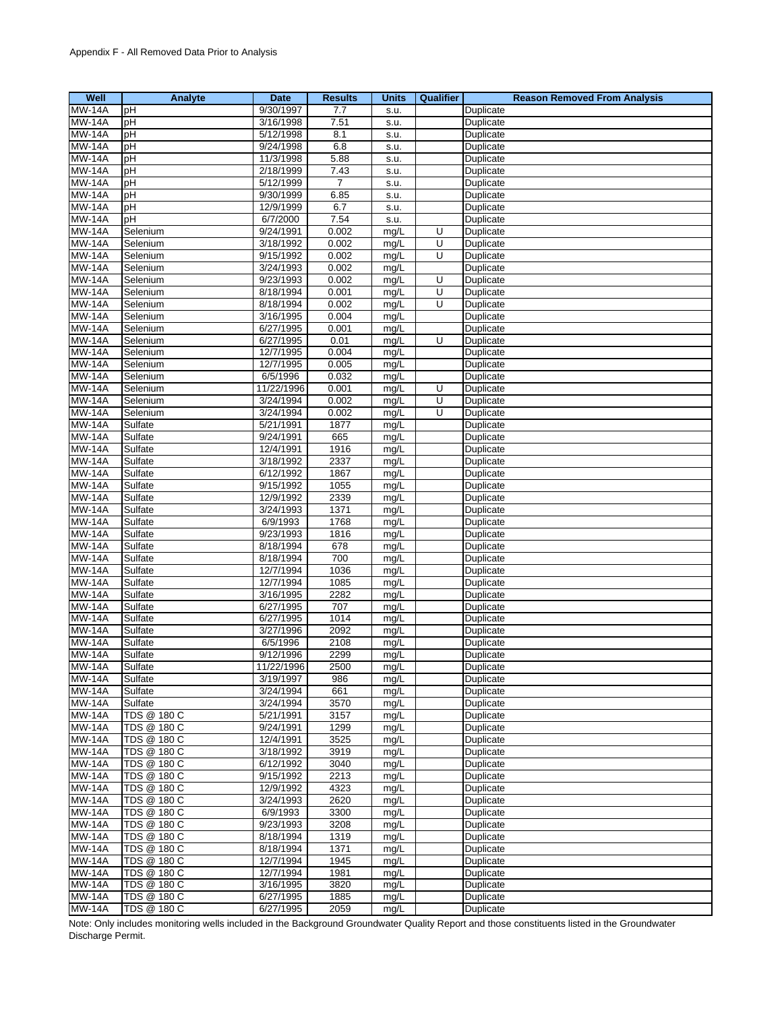| Well                           | Analyte                    | Date                   | <b>Results</b> | <b>Units</b> | Qualifier | <b>Reason Removed From Analysis</b> |
|--------------------------------|----------------------------|------------------------|----------------|--------------|-----------|-------------------------------------|
| <b>MW-14A</b>                  | pH                         | 9/30/1997              | 7.7            | S.U.         |           | Duplicate                           |
| <b>MW-14A</b>                  | рH                         | 3/16/1998              | 7.51           | S.U.         |           | Duplicate                           |
| <b>MW-14A</b>                  | pH                         | 5/12/1998              | 8.1            | s.u.         |           | Duplicate                           |
| <b>MW-14A</b>                  | pH                         | 9/24/1998              | 6.8            | S.U.         |           | Duplicate                           |
| <b>MW-14A</b>                  | pH                         | 11/3/1998              | 5.88           | S.U.         |           | Duplicate                           |
| <b>MW-14A</b>                  | pH                         | 2/18/1999              | 7.43           | s.u.         |           | Duplicate                           |
| <b>MW-14A</b>                  | pH                         | 5/12/1999              | 7              | S.U.         |           | Duplicate                           |
| <b>MW-14A</b>                  | pH                         | 9/30/1999              | 6.85           | s.u.         |           | Duplicate                           |
| <b>MW-14A</b>                  | pH                         | 12/9/1999              | 6.7            | S.U.         |           | Duplicate                           |
| <b>MW-14A</b>                  | pH                         | 6/7/2000               | 7.54           | s.u.         |           | Duplicate                           |
| <b>MW-14A</b>                  | Selenium                   | 9/24/1991              | 0.002          | mg/L         | U         | Duplicate                           |
| <b>MW-14A</b>                  | Selenium                   | 3/18/1992              | 0.002          | mg/L         | U         | Duplicate                           |
| <b>MW-14A</b>                  | Selenium                   | 9/15/1992              | 0.002          | mg/L         | U         | Duplicate                           |
| <b>MW-14A</b>                  | Selenium                   | 3/24/1993              | 0.002          | mg/L         |           | Duplicate                           |
| <b>MW-14A</b>                  | Selenium                   | 9/23/1993              | 0.002          | mg/L         | U         | Duplicate                           |
| <b>MW-14A</b>                  | Selenium                   | 8/18/1994              | 0.001          | mg/L         | U         | Duplicate                           |
| <b>MW-14A</b>                  | Selenium                   | 8/18/1994              | 0.002          | mg/L         | U         | Duplicate                           |
| <b>MW-14A</b>                  | Selenium                   | 3/16/1995              | 0.004          | mg/L         |           | Duplicate                           |
| <b>MW-14A</b>                  | Selenium                   | 6/27/1995              | 0.001          | mg/L         |           | Duplicate                           |
| <b>MW-14A</b>                  | Selenium                   | 6/27/1995              | 0.01           | mg/L         | Ū         | Duplicate                           |
| <b>MW-14A</b>                  | Selenium                   | 12/7/1995              | 0.004          | mg/L         |           | Duplicate                           |
| <b>MW-14A</b>                  | Selenium                   | 12/7/1995              | 0.005          | mg/L         |           | Duplicate                           |
| <b>MW-14A</b>                  | Selenium                   | 6/5/1996               | 0.032          | mg/L         |           | Duplicate                           |
| <b>MW-14A</b>                  | Selenium                   | 11/22/1996             | 0.001          | mg/L         | U         | Duplicate                           |
| <b>MW-14A</b>                  | Selenium                   | 3/24/1994              | 0.002          | mg/L         | U         | Duplicate                           |
| <b>MW-14A</b>                  | Selenium                   | 3/24/1994              | 0.002          | mg/L         | U         | Duplicate                           |
| <b>MW-14A</b>                  | Sulfate                    | 5/21/1991              | 1877           | mg/L         |           | Duplicate                           |
| <b>MW-14A</b>                  | Sulfate                    | 9/24/1991              | 665            | mg/L         |           | Duplicate                           |
| <b>MW-14A</b>                  | Sulfate                    | 12/4/1991              | 1916           | mg/L         |           | Duplicate                           |
| <b>MW-14A</b>                  | Sulfate                    | 3/18/1992              | 2337           | mg/L         |           | Duplicate                           |
| <b>MW-14A</b>                  | Sulfate                    | 6/12/1992              | 1867           | mg/L         |           | Duplicate                           |
| <b>MW-14A</b>                  | Sulfate                    | 9/15/1992              | 1055           | mg/L         |           | Duplicate                           |
| <b>MW-14A</b>                  | Sulfate                    | 12/9/1992              | 2339           | mg/L         |           | Duplicate                           |
| <b>MW-14A</b>                  | Sulfate                    | 3/24/1993              | 1371           | mg/L         |           | Duplicate                           |
| <b>MW-14A</b>                  | Sulfate                    | 6/9/1993               | 1768           | mg/L         |           | Duplicate                           |
| <b>MW-14A</b>                  | Sulfate                    | 9/23/1993              | 1816           | mg/L         |           | Duplicate                           |
| <b>MW-14A</b>                  | Sulfate                    | 8/18/1994              | 678            | mg/L         |           | Duplicate                           |
| <b>MW-14A</b>                  | Sulfate                    | 8/18/1994              | 700            | mg/L         |           | Duplicate                           |
| <b>MW-14A</b>                  | Sulfate                    | 12/7/1994              | 1036           | mg/L         |           | Duplicate                           |
| <b>MW-14A</b>                  | Sulfate                    | 12/7/1994              | 1085           | mg/L         |           | Duplicate                           |
| <b>MW-14A</b>                  | Sulfate                    | 3/16/1995              | 2282           | mg/L         |           | Duplicate                           |
| <b>MW-14A</b>                  | Sulfate                    | 6/27/1995              | 707            | mg/L         |           | Duplicate                           |
| <b>MW-14A</b>                  | Sulfate                    | 6/27/1995              | 1014           | mg/L         |           | Duplicate                           |
| <b>MW-14A</b>                  | Sulfate                    | 3/27/1996              | 2092           | mg/L         |           | Duplicate                           |
| <b>MW-14A</b>                  | Sulfate                    | 6/5/1996               | 2108           | mg/L         |           | Duplicate                           |
| <b>MW-14A</b>                  | Sulfate                    | 9/12/1996              | 2299           | mg/L         |           | Duplicate                           |
| <b>MW-14A</b>                  | Sulfate                    | 11/22/1996             | 2500           | mg/L         |           | Duplicate                           |
| <b>MW-14A</b>                  | Sulfate                    | 3/19/1997              | 986            | mg/L         |           | Duplicate                           |
| <b>MW-14A</b>                  | Sulfate                    | 3/24/1994              | 661            | mg/L         |           | Duplicate                           |
| <b>MW-14A</b>                  | Sulfate                    | 3/24/1994              | 3570           | mg/L         |           | Duplicate                           |
| <b>MW-14A</b>                  | TDS @ 180 C                | 5/21/1991              | 3157           | mg/L         |           | Duplicate                           |
| <b>MW-14A</b>                  | TDS @ 180 C                | 9/24/1991              | 1299           | mg/L         |           | Duplicate                           |
| <b>MW-14A</b>                  | TDS @ 180 C                | 12/4/1991              | 3525           | mg/L         |           | Duplicate                           |
| <b>MW-14A</b>                  | TDS @ 180 C                | 3/18/1992              | 3919           | mg/L         |           | Duplicate                           |
| <b>MW-14A</b>                  | TDS @ 180 C                | 6/12/1992              | 3040           | mg/L         |           | Duplicate                           |
| <b>MW-14A</b>                  | TDS @ 180 C                | $\overline{9/15/1992}$ | 2213           | mg/L         |           | Duplicate                           |
| <b>MW-14A</b>                  | TDS @ 180 C                | 12/9/1992              | 4323           | mg/L         |           | Duplicate                           |
| <b>MW-14A</b>                  | TDS @ 180 C                | 3/24/1993              | 2620           | mg/L         |           | Duplicate                           |
| <b>MW-14A</b><br><b>MW-14A</b> | TDS @ 180 C<br>TDS @ 180 C | 6/9/1993<br>9/23/1993  | 3300<br>3208   | mg/L         |           | Duplicate                           |
|                                |                            |                        |                | mg/L         |           | Duplicate                           |
| <b>MW-14A</b>                  | TDS @ 180 C<br>TDS @ 180 C | 8/18/1994<br>8/18/1994 | 1319<br>1371   | mg/L         |           | Duplicate<br>Duplicate              |
| <b>MW-14A</b><br><b>MW-14A</b> | TDS @ 180 C                | 12/7/1994              | 1945           | mg/L<br>mg/L |           | Duplicate                           |
| <b>MW-14A</b>                  | TDS @ 180 C                | 12/7/1994              | 1981           | mg/L         |           | Duplicate                           |
| <b>MW-14A</b>                  | TDS @ 180 C                | 3/16/1995              | 3820           | mg/L         |           | Duplicate                           |
| <b>MW-14A</b>                  | TDS @ 180 C                | 6/27/1995              | 1885           | mg/L         |           | Duplicate                           |
| <b>MW-14A</b>                  | TDS @ 180 C                | 6/27/1995              | 2059           | mg/L         |           | Duplicate                           |
|                                |                            |                        |                |              |           |                                     |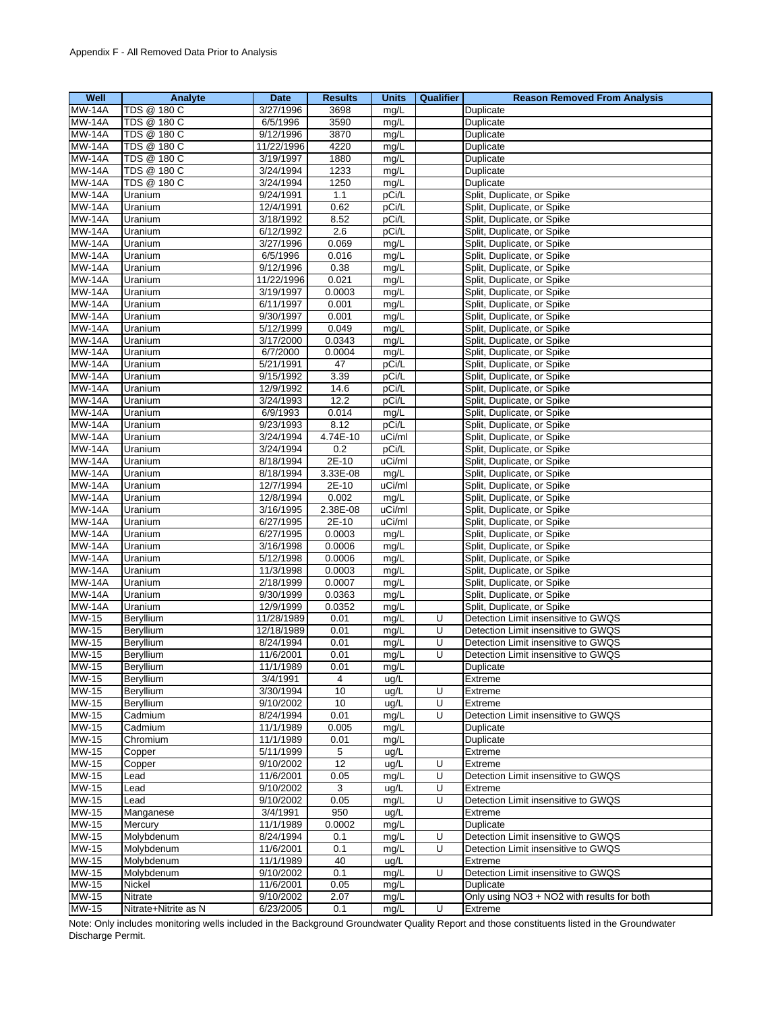| Well                  | Analyte              | Date                   | <b>Results</b> | <b>Units</b> | Qualifier | <b>Reason Removed From Analysis</b>                     |
|-----------------------|----------------------|------------------------|----------------|--------------|-----------|---------------------------------------------------------|
| <b>MW-14A</b>         | TDS @ 180 C          | 3/27/1996              | 3698           | mg/L         |           | Duplicate                                               |
| <b>MW-14A</b>         | TDS @ 180 C          | 6/5/1996               | 3590           | mg/L         |           | Duplicate                                               |
| <b>MW-14A</b>         | TDS @ 180 C          | 9/12/1996              | 3870           | mg/L         |           | Duplicate                                               |
| <b>MW-14A</b>         | TDS @ 180 C          | 11/22/1996             | 4220           | mg/L         |           | Duplicate                                               |
| <b>MW-14A</b>         | TDS @ 180 C          | 3/19/1997              | 1880           | mg/L         |           | Duplicate                                               |
| <b>MW-14A</b>         | TDS @ 180 C          | 3/24/1994              | 1233           | mg/L         |           | Duplicate                                               |
| <b>MW-14A</b>         | TDS @ 180 C          | 3/24/1994              | 1250           | mg/L         |           | Duplicate                                               |
| <b>MW-14A</b>         | Uranium              | 9/24/1991              | 1.1            | pCi/L        |           | Split, Duplicate, or Spike                              |
| <b>MW-14A</b>         | Uranium              | 12/4/1991              | 0.62           | pCi/L        |           | Split, Duplicate, or Spike                              |
| <b>MW-14A</b>         | Uranium              | 3/18/1992              | 8.52           | pCi/L        |           | Split, Duplicate, or Spike                              |
| <b>MW-14A</b>         | Uranium              | 6/12/1992              | 2.6            | pCi/L        |           | Split, Duplicate, or Spike                              |
| <b>MW-14A</b>         | Uranium              | 3/27/1996              | 0.069          | mg/L         |           | Split, Duplicate, or Spike                              |
| <b>MW-14A</b>         | Uranium              | 6/5/1996               | 0.016          | mg/L         |           | Split, Duplicate, or Spike                              |
| <b>MW-14A</b>         | Uranium              | 9/12/1996              | 0.38           | mg/L         |           | Split, Duplicate, or Spike                              |
| <b>MW-14A</b>         | Uranium              | 11/22/1996             | 0.021          | mg/L         |           | Split, Duplicate, or Spike                              |
| <b>MW-14A</b>         | Uranium              | 3/19/1997              | 0.0003         | mg/L         |           | Split, Duplicate, or Spike                              |
| <b>MW-14A</b>         | Uranium              | 6/11/1997              | 0.001          | mg/L         |           | Split, Duplicate, or Spike                              |
| <b>MW-14A</b>         | Uranium              | 9/30/1997              | 0.001          | mg/L         |           | Split, Duplicate, or Spike                              |
| <b>MW-14A</b>         | Uranium              | 5/12/1999              | 0.049          | mg/L         |           | Split, Duplicate, or Spike                              |
| <b>MW-14A</b>         | Uranium              | 3/17/2000              | 0.0343         | mg/L         |           | Split, Duplicate, or Spike                              |
| <b>MW-14A</b>         | Uranium              | 6/7/2000               | 0.0004         | mg/L         |           | Split, Duplicate, or Spike                              |
| <b>MW-14A</b>         | Uranium              | 5/21/1991              | 47             | pCi/L        |           | Split, Duplicate, or Spike                              |
| <b>MW-14A</b>         | Uranium              | 9/15/1992              | 3.39           | pCi/L        |           | Split, Duplicate, or Spike                              |
| <b>MW-14A</b>         | Uranium              | 12/9/1992              | 14.6           | pCi/L        |           | Split, Duplicate, or Spike                              |
| <b>MW-14A</b>         | Uranium              | 3/24/1993              | 12.2           | pCi/L        |           | Split, Duplicate, or Spike                              |
| <b>MW-14A</b>         | Uranium              | 6/9/1993               | 0.014          | mg/L         |           | Split, Duplicate, or Spike                              |
| <b>MW-14A</b>         | Uranium              | 9/23/1993              | 8.12           | pCi/L        |           | Split, Duplicate, or Spike                              |
| <b>MW-14A</b>         | Uranium              | 3/24/1994              | 4.74E-10       | uCi/ml       |           | Split, Duplicate, or Spike                              |
| <b>MW-14A</b>         | Uranium              | 3/24/1994              | 0.2            | pCi/L        |           | Split, Duplicate, or Spike                              |
| <b>MW-14A</b>         | Uranium              | 8/18/1994              | 2E-10          | uCi/ml       |           | Split, Duplicate, or Spike                              |
| <b>MW-14A</b>         | Uranium              | 8/18/1994              | 3.33E-08       | mg/L         |           | Split, Duplicate, or Spike                              |
| <b>MW-14A</b>         | Uranium              | 12/7/1994              | 2E-10          | uCi/ml       |           | Split, Duplicate, or Spike                              |
| <b>MW-14A</b>         | Uranium              | 12/8/1994              | 0.002          | mg/L         |           | Split, Duplicate, or Spike                              |
| <b>MW-14A</b>         | Uranium              | 3/16/1995              | 2.38E-08       | uCi/ml       |           | Split, Duplicate, or Spike                              |
| <b>MW-14A</b>         | Uranium              | 6/27/1995              | 2E-10          | uCi/ml       |           | Split, Duplicate, or Spike                              |
| <b>MW-14A</b>         | Uranium              | 6/27/1995              | 0.0003         | mg/L         |           | Split, Duplicate, or Spike                              |
| <b>MW-14A</b>         | Uranium              | 3/16/1998              | 0.0006         | mg/L         |           | Split, Duplicate, or Spike                              |
| <b>MW-14A</b>         | Uranium              | 5/12/1998              | 0.0006         | mg/L         |           | Split, Duplicate, or Spike                              |
| <b>MW-14A</b>         | Uranium              | 11/3/1998              | 0.0003         | mg/L         |           | Split, Duplicate, or Spike                              |
| <b>MW-14A</b>         | Uranium              | 2/18/1999              | 0.0007         | mg/L         |           | Split, Duplicate, or Spike                              |
| <b>MW-14A</b>         | Uranium              | 9/30/1999              | 0.0363         | mg/L         |           | Split, Duplicate, or Spike                              |
| <b>MW-14A</b>         | Uranium              | 12/9/1999              | 0.0352         | mg/L         |           | Split, Duplicate, or Spike                              |
| <b>MW-15</b>          | Beryllium            | 11/28/1989             | 0.01           | mg/L         | U         | Detection Limit insensitive to GWQS                     |
| MW-15                 | Beryllium            | 12/18/1989             | 0.01           | mg/L         | U         | Detection Limit insensitive to GWQS                     |
| MW-15                 | Beryllium            | 8/24/1994              | 0.01           | mg/L         | U         | Detection Limit insensitive to GWQS                     |
| <b>MW-15</b>          | Beryllium            | 11/6/2001              | 0.01           | mg/L         | U         | Detection Limit insensitive to GWQS                     |
| MW-15                 | Beryllium            | 11/1/1989              | 0.01           | mg/L         |           | Duplicate                                               |
| MW-15                 | Beryllium            | 3/4/1991               | 4              | ug/L         |           | Extreme                                                 |
| $MW-15$               | Beryllium            | 3/30/1994              | 10             | ug/L         | U         | Extreme                                                 |
| <b>MW-15</b>          | Beryllium            | 9/10/2002              | 10             | ug/L         | U         | Extreme                                                 |
| <b>MW-15</b>          | Cadmium              | 8/24/1994              | 0.01           | mg/L         | U         | Detection Limit insensitive to GWQS                     |
| <b>MW-15</b>          | Cadmium              | 11/1/1989              | 0.005          | mg/L         |           | Duplicate                                               |
| MW-15                 | Chromium             | 11/1/1989              | 0.01           | mg/L         |           | Duplicate                                               |
| MW-15                 | Copper               | 5/11/1999              | 5              | ug/L         |           | Extreme                                                 |
| MW-15                 | Copper               | 9/10/2002              | 12             | ug/L         | U         | Extreme                                                 |
| <b>MW-15</b>          | Lead                 | 11/6/2001              | 0.05           | mg/L         | U         | Detection Limit insensitive to GWQS                     |
| $MW-15$               | Lead                 | 9/10/2002              | 3              | ug/L         | U         | Extreme                                                 |
| MW-15                 | Lead                 | 9/10/2002              | 0.05           | mg/L         | U         | Detection Limit insensitive to GWQS                     |
| MW-15                 | Manganese            | 3/4/1991               | 950            | ug/L         |           | Extreme                                                 |
| MW-15                 | Mercury              | 11/1/1989              | 0.0002         | mg/L         |           | Duplicate                                               |
| MW-15                 | Molybdenum           | 8/24/1994              | 0.1            | mg/L         | U         | Detection Limit insensitive to GWQS                     |
| MW-15                 | Molybdenum           | 11/6/2001              | 0.1            | mg/L         | U         | Detection Limit insensitive to GWQS                     |
| $MW-15$               | Molybdenum           | 11/1/1989              | 40             | ug/L         |           | Extreme                                                 |
| MW-15<br><b>MW-15</b> | Molybdenum           | 9/10/2002              | 0.1            | mg/L         | U         | Detection Limit insensitive to GWQS                     |
| MW-15                 | Nickel<br>Nitrate    | 11/6/2001<br>9/10/2002 | 0.05<br>2.07   | mg/L         |           | Duplicate<br>Only using NO3 + NO2 with results for both |
| MW-15                 | Nitrate+Nitrite as N | 6/23/2005              | 0.1            | mg/L<br>mg/L | U         | Extreme                                                 |
|                       |                      |                        |                |              |           |                                                         |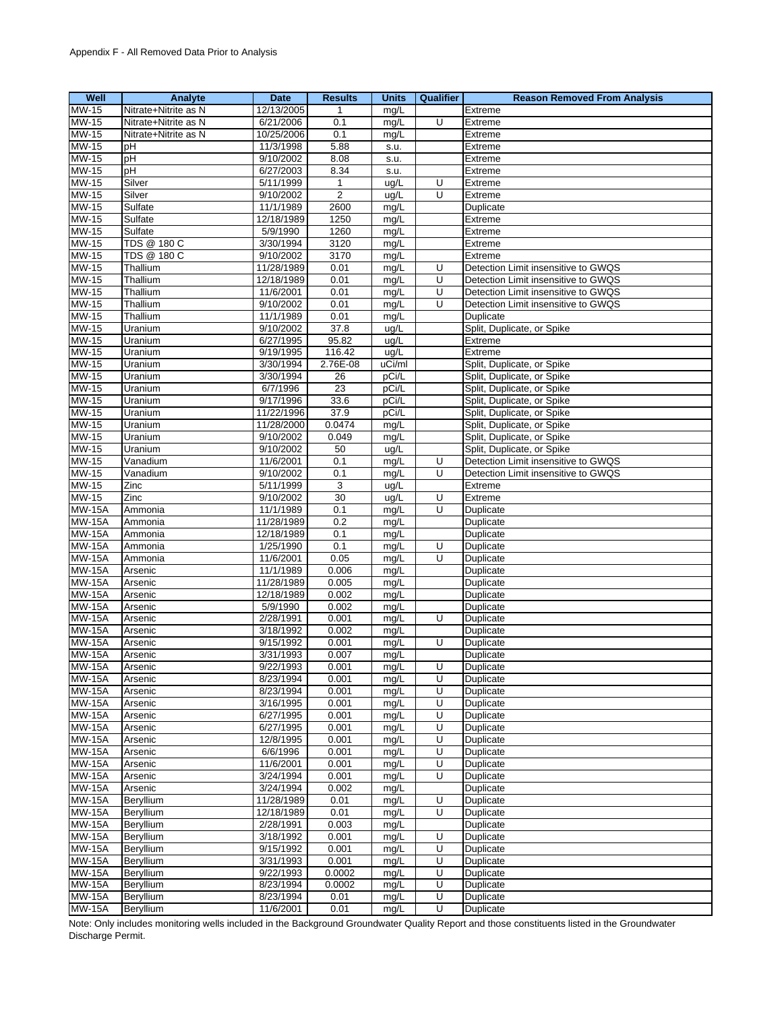| Well          | Analyte              | <b>Date</b> | <b>Results</b> | <b>Units</b> | Qualifier               | <b>Reason Removed From Analysis</b> |
|---------------|----------------------|-------------|----------------|--------------|-------------------------|-------------------------------------|
| <b>MW-15</b>  | Nitrate+Nitrite as N | 12/13/2005  | $\mathbf{1}$   | mg/L         |                         | Extreme                             |
| MW-15         | Nitrate+Nitrite as N | 6/21/2006   | 0.1            | mg/L         | U                       | Extreme                             |
| <b>MW-15</b>  | Nitrate+Nitrite as N | 10/25/2006  | 0.1            | mg/L         |                         | Extreme                             |
| MW-15         | pН                   | 11/3/1998   | 5.88           | s.u.         |                         | Extreme                             |
| MW-15         | pH                   | 9/10/2002   | 8.08           | s.u.         |                         | Extreme                             |
| MW-15         | рH                   | 6/27/2003   | 8.34           | s.u.         |                         | Extreme                             |
|               | Silver               |             |                |              |                         |                                     |
| MW-15         |                      | 5/11/1999   | $\mathbf{1}$   | ug/L         | U                       | Extreme                             |
| MW-15         | Silver               | 9/10/2002   | $\mathbf 2$    | ug/L         | U                       | Extreme                             |
| MW-15         | Sulfate              | 11/1/1989   | 2600           | mg/L         |                         | Duplicate                           |
| <b>MW-15</b>  | Sulfate              | 12/18/1989  | 1250           | mg/L         |                         | Extreme                             |
| MW-15         | Sulfate              | 5/9/1990    | 1260           | mg/L         |                         | Extreme                             |
| MW-15         | TDS @ 180 C          | 3/30/1994   | 3120           | mg/L         |                         | Extreme                             |
| <b>MW-15</b>  | TDS @ 180 C          | 9/10/2002   | 3170           | mg/L         |                         | Extreme                             |
| MW-15         | Thallium             | 11/28/1989  | 0.01           | mg/L         | U                       | Detection Limit insensitive to GWQS |
| MW-15         | Thallium             | 12/18/1989  | 0.01           | mg/L         | U                       | Detection Limit insensitive to GWQS |
| MW-15         | Thallium             | 11/6/2001   | 0.01           | mg/L         | U                       | Detection Limit insensitive to GWQS |
| <b>MW-15</b>  | Thallium             | 9/10/2002   | 0.01           | mg/L         | U                       | Detection Limit insensitive to GWQS |
| MW-15         | Thallium             | 11/1/1989   | 0.01           | mg/L         |                         | Duplicate                           |
| <b>MW-15</b>  | Uranium              | 9/10/2002   | 37.8           | ug/L         |                         | Split, Duplicate, or Spike          |
| MW-15         | Uranium              | 6/27/1995   | 95.82          | ug/L         |                         | Extreme                             |
| MW-15         |                      | 9/19/1995   | 116.42         | ug/L         |                         |                                     |
|               | Uranium              |             |                |              |                         | Extreme                             |
| MW-15         | Uranium              | 3/30/1994   | 2.76E-08       | uCi/ml       |                         | Split, Duplicate, or Spike          |
| MW-15         | Uranium              | 3/30/1994   | 26             | pCi/L        |                         | Split, Duplicate, or Spike          |
| MW-15         | Uranium              | 6/7/1996    | 23             | pCi/L        |                         | Split, Duplicate, or Spike          |
| MW-15         | Uranium              | 9/17/1996   | 33.6           | pCi/L        |                         | Split, Duplicate, or Spike          |
| <b>MW-15</b>  | Uranium              | 11/22/1996  | 37.9           | pCi/L        |                         | Split, Duplicate, or Spike          |
| <b>MW-15</b>  | Uranium              | 11/28/2000  | 0.0474         | mg/L         |                         | Split, Duplicate, or Spike          |
| <b>MW-15</b>  | Uranium              | 9/10/2002   | 0.049          | mg/L         |                         | Split, Duplicate, or Spike          |
| <b>MW-15</b>  | Uranium              | 9/10/2002   | 50             | ug/L         |                         | Split, Duplicate, or Spike          |
| MW-15         | Vanadium             | 11/6/2001   | 0.1            | mg/L         | U                       | Detection Limit insensitive to GWQS |
| $MW-15$       | Vanadium             | 9/10/2002   | 0.1            | mg/L         | U                       | Detection Limit insensitive to GWQS |
| MW-15         | Zinc                 | 5/11/1999   | 3              | ug/L         |                         | Extreme                             |
| MW-15         | Zinc                 | 9/10/2002   | 30             | ug/L         | U                       | Extreme                             |
| <b>MW-15A</b> | Ammonia              | 11/1/1989   | 0.1            | mg/L         | U                       | Duplicate                           |
| <b>MW-15A</b> | Ammonia              | 11/28/1989  | 0.2            |              |                         |                                     |
|               |                      |             |                | mg/L         |                         | Duplicate                           |
| <b>MW-15A</b> | Ammonia              | 12/18/1989  | 0.1            | mg/L         |                         | Duplicate                           |
| <b>MW-15A</b> | Ammonia              | 1/25/1990   | 0.1            | mg/L         | U                       | Duplicate                           |
| <b>MW-15A</b> | Ammonia              | 11/6/2001   | 0.05           | mg/L         | $\overline{\mathsf{U}}$ | Duplicate                           |
| <b>MW-15A</b> | Arsenic              | 11/1/1989   | 0.006          | mg/L         |                         | Duplicate                           |
| <b>MW-15A</b> | Arsenic              | 11/28/1989  | 0.005          | mg/L         |                         | Duplicate                           |
| $MW-15A$      | Arsenic              | 12/18/1989  | 0.002          | mg/L         |                         | Duplicate                           |
| <b>MW-15A</b> | Arsenic              | 5/9/1990    | 0.002          | mg/L         |                         | Duplicate                           |
| <b>MW-15A</b> | Arsenic              | 2/28/1991   | 0.001          | mg/L         | U                       | Duplicate                           |
| <b>MW-15A</b> | Arsenic              | 3/18/1992   | 0.002          | mg/L         |                         | Duplicate                           |
| <b>MW-15A</b> | Arsenic              | 9/15/1992   | 0.001          | mg/L         | U                       | Duplicate                           |
| <b>MW-15A</b> | Arsenic              | 3/31/1993   | 0.007          | mg/L         |                         | Duplicate                           |
| <b>MW-15A</b> | Arsenic              | 9/22/1993   | 0.001          | mg/L         | U                       | Duplicate                           |
| <b>MW-15A</b> | Arsenic              | 8/23/1994   | 0.001          | mg/L         | U                       | Duplicate                           |
| <b>MW-15A</b> | Arsenic              | 8/23/1994   | 0.001          | mg/L         | U                       | Duplicate                           |
| <b>MW-15A</b> | Arsenic              | 3/16/1995   | 0.001          | mg/L         | U                       | Duplicate                           |
| <b>MW-15A</b> | Arsenic              | 6/27/1995   | 0.001          | mg/L         | U                       | Duplicate                           |
|               |                      |             |                |              |                         |                                     |
| <b>MW-15A</b> | Arsenic              | 6/27/1995   | 0.001          | mg/L         | U                       | Duplicate                           |
| <b>MW-15A</b> | Arsenic              | 12/8/1995   | 0.001          | mg/L         | Ū                       | Duplicate                           |
| <b>MW-15A</b> | Arsenic              | 6/6/1996    | 0.001          | mg/L         | U                       | Duplicate                           |
| <b>MW-15A</b> | Arsenic              | 11/6/2001   | 0.001          | mg/L         | U                       | Duplicate                           |
| <b>MW-15A</b> | Arsenic              | 3/24/1994   | 0.001          | mg/L         | U                       | Duplicate                           |
| <b>MW-15A</b> | Arsenic              | 3/24/1994   | 0.002          | mg/L         |                         | Duplicate                           |
| <b>MW-15A</b> | Beryllium            | 11/28/1989  | 0.01           | mg/L         | U                       | Duplicate                           |
| <b>MW-15A</b> | Beryllium            | 12/18/1989  | 0.01           | mg/L         | U                       | Duplicate                           |
| <b>MW-15A</b> | Beryllium            | 2/28/1991   | 0.003          | mg/L         |                         | Duplicate                           |
| <b>MW-15A</b> | Beryllium            | 3/18/1992   | 0.001          | mg/L         | U                       | Duplicate                           |
| <b>MW-15A</b> | Beryllium            | 9/15/1992   | 0.001          | mg/L         | U                       | Duplicate                           |
| <b>MW-15A</b> | Beryllium            | 3/31/1993   | 0.001          | mg/L         | U                       | Duplicate                           |
| <b>MW-15A</b> | Beryllium            | 9/22/1993   | 0.0002         | mg/L         | U                       | Duplicate                           |
| <b>MW-15A</b> | Beryllium            | 8/23/1994   | 0.0002         | mg/L         | U                       | Duplicate                           |
| <b>MW-15A</b> | Beryllium            | 8/23/1994   | 0.01           | mg/L         | U                       | Duplicate                           |
|               |                      |             |                |              |                         |                                     |
| <b>MW-15A</b> | Beryllium            | 11/6/2001   | 0.01           | mg/L         | U                       | Duplicate                           |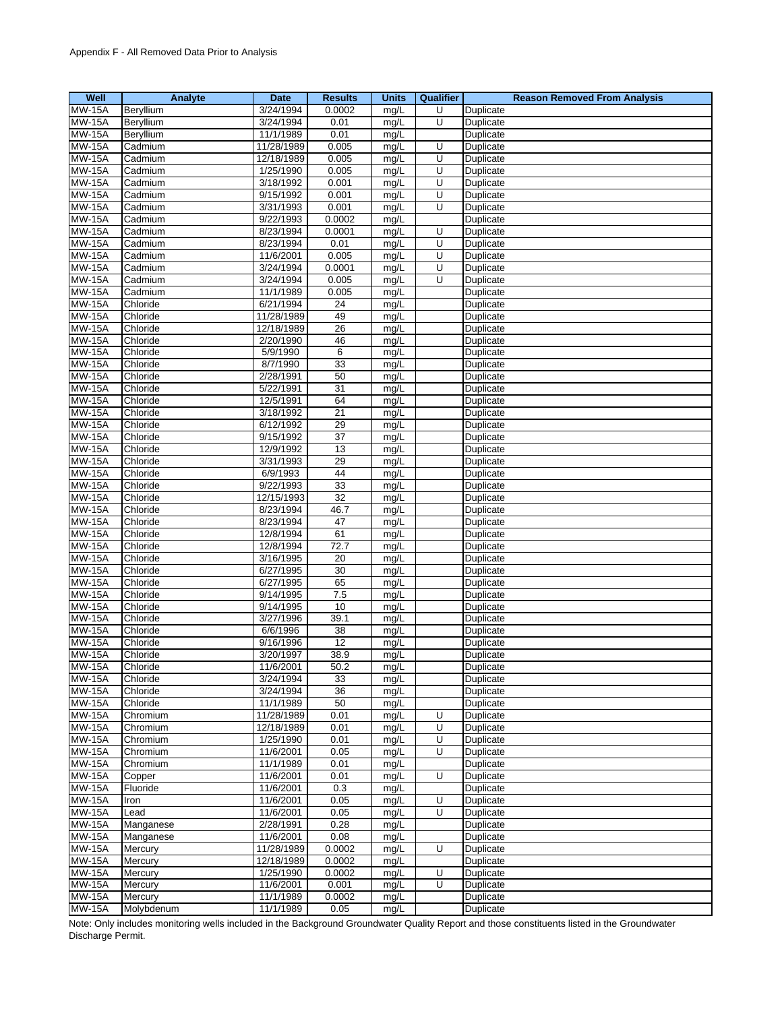| Well          | Analyte    | Date       | <b>Results</b>  | <b>Units</b> | Qualifier | <b>Reason Removed From Analysis</b> |
|---------------|------------|------------|-----------------|--------------|-----------|-------------------------------------|
| <b>MW-15A</b> | Beryllium  | 3/24/1994  | 0.0002          | mg/L         | U         | Duplicate                           |
| <b>MW-15A</b> | Beryllium  | 3/24/1994  | 0.01            | mg/L         | U         | Duplicate                           |
| <b>MW-15A</b> | Beryllium  | 11/1/1989  | 0.01            | mg/L         |           | Duplicate                           |
| <b>MW-15A</b> | Cadmium    | 11/28/1989 | 0.005           | mg/L         | U         | Duplicate                           |
| <b>MW-15A</b> | Cadmium    | 12/18/1989 | 0.005           | mg/L         | U         | Duplicate                           |
| <b>MW-15A</b> | Cadmium    | 1/25/1990  | 0.005           | mg/L         | U         | <b>Duplicate</b>                    |
| <b>MW-15A</b> | Cadmium    | 3/18/1992  | 0.001           | mg/L         | U         | Duplicate                           |
| <b>MW-15A</b> | Cadmium    | 9/15/1992  | 0.001           | mg/L         | U         | Duplicate                           |
| <b>MW-15A</b> | Cadmium    | 3/31/1993  | 0.001           | mg/L         | U         | Duplicate                           |
| <b>MW-15A</b> | Cadmium    | 9/22/1993  | 0.0002          | mg/L         |           | Duplicate                           |
| <b>MW-15A</b> | Cadmium    | 8/23/1994  | 0.0001          | mg/L         | U         | Duplicate                           |
| <b>MW-15A</b> | Cadmium    | 8/23/1994  | 0.01            | mg/L         | U         | Duplicate                           |
| <b>MW-15A</b> | Cadmium    | 11/6/2001  | 0.005           | mg/L         | U         | Duplicate                           |
| <b>MW-15A</b> | Cadmium    | 3/24/1994  | 0.0001          | mg/L         | U         | Duplicate                           |
| <b>MW-15A</b> | Cadmium    | 3/24/1994  | 0.005           | mg/L         | U         | Duplicate                           |
| <b>MW-15A</b> | Cadmium    | 11/1/1989  | 0.005           | mg/L         |           | Duplicate                           |
| <b>MW-15A</b> | Chloride   | 6/21/1994  | 24              | mg/L         |           | Duplicate                           |
| <b>MW-15A</b> | Chloride   | 11/28/1989 | 49              | mg/L         |           | Duplicate                           |
| <b>MW-15A</b> | Chloride   | 12/18/1989 | 26              | mg/L         |           | Duplicate                           |
| <b>MW-15A</b> | Chloride   | 2/20/1990  | 46              | mg/L         |           | Duplicate                           |
| <b>MW-15A</b> | Chloride   | 5/9/1990   | 6               | mg/L         |           | Duplicate                           |
| <b>MW-15A</b> | Chloride   | 8/7/1990   | 33              | mg/L         |           | Duplicate                           |
| <b>MW-15A</b> | Chloride   | 2/28/1991  | 50              | mg/L         |           | Duplicate                           |
| <b>MW-15A</b> | Chloride   | 5/22/1991  | 31              | mg/L         |           | Duplicate                           |
| <b>MW-15A</b> | Chloride   | 12/5/1991  | 64              | mg/L         |           | Duplicate                           |
| <b>MW-15A</b> | Chloride   | 3/18/1992  | 21              | mg/L         |           | Duplicate                           |
| <b>MW-15A</b> | Chloride   | 6/12/1992  | 29              | mg/L         |           | Duplicate                           |
| <b>MW-15A</b> | Chloride   | 9/15/1992  | $\overline{37}$ | mg/L         |           | Duplicate                           |
| <b>MW-15A</b> | Chloride   | 12/9/1992  | 13              | mg/L         |           | Duplicate                           |
| <b>MW-15A</b> | Chloride   | 3/31/1993  | 29              | mg/L         |           | Duplicate                           |
| <b>MW-15A</b> | Chloride   | 6/9/1993   | 44              | mg/L         |           | Duplicate                           |
| <b>MW-15A</b> | Chloride   | 9/22/1993  | $\overline{33}$ | mg/L         |           | Duplicate                           |
| <b>MW-15A</b> | Chloride   | 12/15/1993 | 32              | mg/L         |           | Duplicate                           |
| <b>MW-15A</b> | Chloride   | 8/23/1994  | 46.7            | mg/L         |           | Duplicate                           |
| <b>MW-15A</b> | Chloride   | 8/23/1994  | 47              | mg/L         |           | Duplicate                           |
| <b>MW-15A</b> | Chloride   | 12/8/1994  | 61              | mg/L         |           | Duplicate                           |
| <b>MW-15A</b> | Chloride   | 12/8/1994  | 72.7            | mg/L         |           | Duplicate                           |
| <b>MW-15A</b> | Chloride   | 3/16/1995  | 20              | mg/L         |           | Duplicate                           |
| <b>MW-15A</b> | Chloride   | 6/27/1995  | 30              | mg/L         |           | Duplicate                           |
| <b>MW-15A</b> | Chloride   | 6/27/1995  | 65              | mg/L         |           | Duplicate                           |
| <b>MW-15A</b> | Chloride   | 9/14/1995  | 7.5             | mg/L         |           | Duplicate                           |
| <b>MW-15A</b> | Chloride   | 9/14/1995  | 10              | mg/L         |           | Duplicate                           |
| <b>MW-15A</b> | Chloride   | 3/27/1996  | 39.1            | mg/L         |           | Duplicate                           |
| <b>MW-15A</b> | Chloride   | 6/6/1996   | 38              | mg/L         |           | Duplicate                           |
| <b>MW-15A</b> | Chloride   | 9/16/1996  | 12              | mg/L         |           | Duplicate                           |
| <b>MW-15A</b> | Chloride   | 3/20/1997  | 38.9            | mg/L         |           | Duplicate                           |
| <b>MW-15A</b> | Chloride   | 11/6/2001  | 50.2            | mg/L         |           | Duplicate                           |
| <b>MW-15A</b> | Chloride   | 3/24/1994  | 33              | mg/L         |           | Duplicate                           |
| <b>MW-15A</b> | Chloride   | 3/24/1994  | 36              | mg/L         |           | Duplicate                           |
| <b>MW-15A</b> | Chloride   | 11/1/1989  | 50              | mg/L         |           | Duplicate                           |
| <b>MW-15A</b> | Chromium   | 11/28/1989 | 0.01            | mg/L         | U         | Duplicate                           |
| <b>MW-15A</b> | Chromium   | 12/18/1989 | 0.01            | mg/L         | U         | Duplicate                           |
| <b>MW-15A</b> | Chromium   | 1/25/1990  | 0.01            | mg/L         | U         | Duplicate                           |
| <b>MW-15A</b> | Chromium   | 11/6/2001  | 0.05            | mg/L         | U         | Duplicate                           |
| <b>MW-15A</b> | Chromium   | 11/1/1989  | 0.01            | mg/L         |           | Duplicate                           |
| <b>MW-15A</b> | Copper     | 11/6/2001  | 0.01            | mg/L         | U         | Duplicate                           |
| <b>MW-15A</b> | Fluoride   | 11/6/2001  | 0.3             | mg/L         |           | Duplicate                           |
| <b>MW-15A</b> | Iron       | 11/6/2001  | 0.05            | mg/L         | U         | Duplicate                           |
| <b>MW-15A</b> | Lead       | 11/6/2001  | 0.05            | mg/L         | U         | Duplicate                           |
| <b>MW-15A</b> | Manganese  | 2/28/1991  | 0.28            | mg/L         |           | Duplicate                           |
| <b>MW-15A</b> | Manganese  | 11/6/2001  | 0.08            | mg/L         |           | Duplicate                           |
| <b>MW-15A</b> | Mercury    | 11/28/1989 | 0.0002          | mg/L         | U         | Duplicate                           |
| <b>MW-15A</b> | Mercury    | 12/18/1989 | 0.0002          | mg/L         |           | Duplicate                           |
| <b>MW-15A</b> | Mercury    | 1/25/1990  | 0.0002          | mg/L         | U         | Duplicate                           |
| <b>MW-15A</b> | Mercury    | 11/6/2001  | 0.001           | mg/L         | U         | Duplicate                           |
| <b>MW-15A</b> | Mercury    | 11/1/1989  | 0.0002          | mg/L         |           | Duplicate                           |
| <b>MW-15A</b> | Molybdenum | 11/1/1989  | 0.05            | mg/L         |           | Duplicate                           |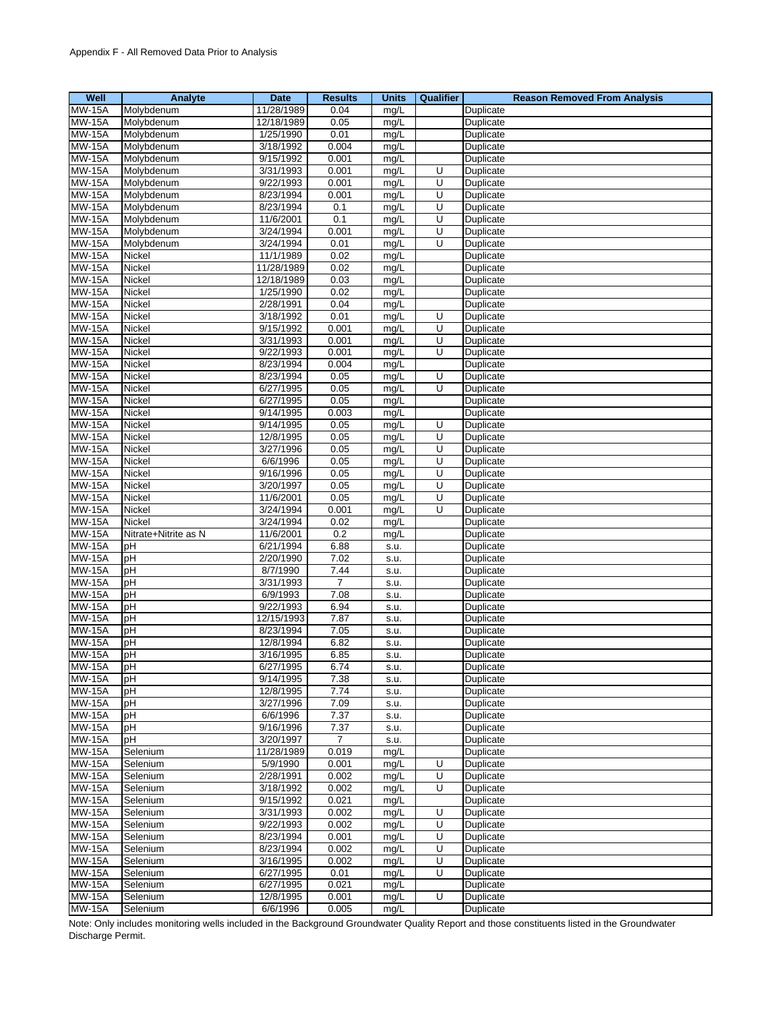| Well                      | Analyte              | Date                   | <b>Results</b> | <b>Units</b> | <b>Qualifier</b> | <b>Reason Removed From Analysis</b> |
|---------------------------|----------------------|------------------------|----------------|--------------|------------------|-------------------------------------|
| $MW-15A$                  | Molybdenum           | 11/28/1989             | 0.04           | mg/L         |                  | Duplicate                           |
| <b>MW-15A</b>             | Molybdenum           | 12/18/1989             | 0.05           | mg/L         |                  | Duplicate                           |
| <b>MW-15A</b>             | Molybdenum           | 1/25/1990              | 0.01           | mg/L         |                  | Duplicate                           |
| <b>MW-15A</b>             | Molybdenum           | 3/18/1992              | 0.004          | mg/L         |                  | Duplicate                           |
| <b>MW-15A</b>             | Molybdenum           | 9/15/1992              | 0.001          | mg/L         |                  | Duplicate                           |
| <b>MW-15A</b>             | Molybdenum           | 3/31/1993              | 0.001          | mg/L         | U                | Duplicate                           |
| <b>MW-15A</b>             | Molybdenum           | 9/22/1993              | 0.001          | mg/L         | U                | Duplicate                           |
| <b>MW-15A</b>             | Molybdenum           | 8/23/1994              | 0.001          | mg/L         | U                | Duplicate                           |
| <b>MW-15A</b>             | Molybdenum           | 8/23/1994              | 0.1            | mg/L         | U                | Duplicate                           |
| <b>MW-15A</b>             | Molybdenum           | 11/6/2001              | 0.1            | mg/L         | U                | Duplicate                           |
| <b>MW-15A</b>             | Molybdenum           | 3/24/1994              | 0.001          | mg/L         | U                | Duplicate                           |
| <b>MW-15A</b>             | Molybdenum           | 3/24/1994              | 0.01           | mg/L         | U                | Duplicate                           |
| <b>MW-15A</b>             | Nickel               | 11/1/1989              | 0.02           | mg/L         |                  | Duplicate                           |
| <b>MW-15A</b>             | Nickel               | 11/28/1989             | 0.02           | mg/L         |                  | Duplicate                           |
| <b>MW-15A</b>             | Nickel               | 12/18/1989             | 0.03           | mg/L         |                  | Duplicate                           |
| <b>MW-15A</b>             | Nickel               | 1/25/1990              | 0.02           | mg/L         |                  | Duplicate                           |
| <b>MW-15A</b>             | Nickel               | 2/28/1991              | 0.04           | mg/L         |                  | Duplicate                           |
| <b>MW-15A</b>             | Nickel               | 3/18/1992              | 0.01           | mg/L         | U                | Duplicate                           |
| <b>MW-15A</b>             | Nickel               | 9/15/1992              | 0.001          | mg/L         | U                | Duplicate                           |
| <b>MW-15A</b>             | Nickel               | 3/31/1993              | 0.001          | mg/L         | U                | Duplicate                           |
| <b>MW-15A</b>             | Nickel               | 9/22/1993              | 0.001          | mg/L         | U                | Duplicate                           |
| <b>MW-15A</b>             | Nickel               | 8/23/1994              | 0.004          | mg/L         |                  | Duplicate                           |
| <b>MW-15A</b>             | Nickel               | 8/23/1994              | 0.05           | mg/L         | U                | Duplicate                           |
| <b>MW-15A</b>             | Nickel               | 6/27/1995              | 0.05           | mg/L         | U                | Duplicate                           |
| <b>MW-15A</b>             | Nickel               | 6/27/1995              | 0.05           | mg/L         |                  | Duplicate                           |
| <b>MW-15A</b>             | Nickel               | 9/14/1995              | 0.003          | mg/L         |                  | Duplicate                           |
| <b>MW-15A</b>             | Nickel               | 9/14/1995              | 0.05           | mg/L         | U                | Duplicate                           |
| <b>MW-15A</b>             | Nickel               | 12/8/1995              | 0.05           | mg/L         | U                | Duplicate                           |
| <b>MW-15A</b>             | Nickel               | 3/27/1996              | 0.05           | mg/L         | U                | Duplicate                           |
| <b>MW-15A</b>             | Nickel               | 6/6/1996               | 0.05           | mg/L         | U                | Duplicate                           |
| <b>MW-15A</b>             | Nickel               | 9/16/1996              | 0.05           | mg/L         | U                | Duplicate                           |
| <b>MW-15A</b>             | Nickel               | 3/20/1997              | 0.05           | mg/L         | U                | Duplicate                           |
| <b>MW-15A</b>             | Nickel               | 11/6/2001              | 0.05           | mg/L         | U                | Duplicate                           |
| <b>MW-15A</b>             | Nickel               | 3/24/1994              | 0.001          | mg/L         | U                | Duplicate                           |
| <b>MW-15A</b>             | Nickel               | 3/24/1994              | 0.02           | mg/L         |                  | Duplicate                           |
| <b>MW-15A</b>             | Nitrate+Nitrite as N | 11/6/2001              | 0.2            | mg/L         |                  | Duplicate                           |
| <b>MW-15A</b>             | pH                   | 6/21/1994              | 6.88           | s.u.         |                  | Duplicate                           |
| <b>MW-15A</b>             | pH                   | 2/20/1990              | 7.02           | s.u.         |                  | Duplicate                           |
| <b>MW-15A</b>             | pH                   | 8/7/1990               | 7.44           | s.u.         |                  | Duplicate                           |
| <b>MW-15A</b>             | рH                   | 3/31/1993              | $\overline{7}$ | s.u.         |                  | Duplicate                           |
| <b>MW-15A</b>             | pH                   | 6/9/1993               | 7.08           | s.u.         |                  | Duplicate                           |
| <b>MW-15A</b>             | pH                   | 9/22/1993              | 6.94           | s.u.         |                  | Duplicate                           |
| <b>MW-15A</b>             | pH                   | 12/15/1993             | 7.87           | S.U.         |                  | Duplicate                           |
| <b>MW-15A</b>             | pH                   | 8/23/1994              | 7.05           | s.u.         |                  | Duplicate                           |
| <b>MW-15A</b>             | pH                   | 12/8/1994              | 6.82           | s.u.         |                  | Duplicate                           |
| <b>MW-15A</b>             | pH                   | 3/16/1995              | 6.85           | s.u.         |                  | Duplicate                           |
| <b>MW-15A</b><br>$MW-15A$ | pH                   | 6/27/1995<br>9/14/1995 | 6.74<br>7.38   | s.u.         |                  | Duplicate                           |
| <b>MW-15A</b>             | pH                   | 12/8/1995              | 7.74           | s.u.         |                  | Duplicate                           |
| <b>MW-15A</b>             | рH<br>pH             | 3/27/1996              |                | S.U.         |                  | Duplicate<br>Duplicate              |
| <b>MW-15A</b>             | pH                   | 6/6/1996               | 7.09<br>7.37   | S.U.         |                  | Duplicate                           |
| <b>MW-15A</b>             | pH                   | 9/16/1996              | 7.37           | s.u.<br>S.U. |                  | Duplicate                           |
| <b>MW-15A</b>             | pH                   | 3/20/1997              | 7              | S.U.         |                  | Duplicate                           |
| <b>MW-15A</b>             | Selenium             | 11/28/1989             | 0.019          | mg/L         |                  | Duplicate                           |
| <b>MW-15A</b>             | Selenium             | 5/9/1990               | 0.001          | mg/L         | U                | Duplicate                           |
| <b>MW-15A</b>             | Selenium             | 2/28/1991              | 0.002          | mg/L         | U                | Duplicate                           |
| <b>MW-15A</b>             | Selenium             | 3/18/1992              | 0.002          | mg/L         | U                | Duplicate                           |
| <b>MW-15A</b>             | Selenium             | 9/15/1992              | 0.021          | mg/L         |                  | Duplicate                           |
| <b>MW-15A</b>             | Selenium             | 3/31/1993              | 0.002          | mg/L         | U                | Duplicate                           |
| <b>MW-15A</b>             | Selenium             | 9/22/1993              | 0.002          | mg/L         | U                | Duplicate                           |
| <b>MW-15A</b>             | Selenium             | 8/23/1994              | 0.001          | mg/L         | U                | Duplicate                           |
| <b>MW-15A</b>             | Selenium             | 8/23/1994              | 0.002          | mg/L         | U                | Duplicate                           |
| <b>MW-15A</b>             | Selenium             | 3/16/1995              | 0.002          | mg/L         | U                | Duplicate                           |
| <b>MW-15A</b>             | Selenium             | 6/27/1995              | 0.01           | mg/L         | U                | Duplicate                           |
| <b>MW-15A</b>             | Selenium             | 6/27/1995              | 0.021          | mg/L         |                  | Duplicate                           |
| <b>MW-15A</b>             | Selenium             | 12/8/1995              | 0.001          | mg/L         | U                | Duplicate                           |
| <b>MW-15A</b>             | Selenium             | 6/6/1996               | 0.005          | mg/L         |                  | Duplicate                           |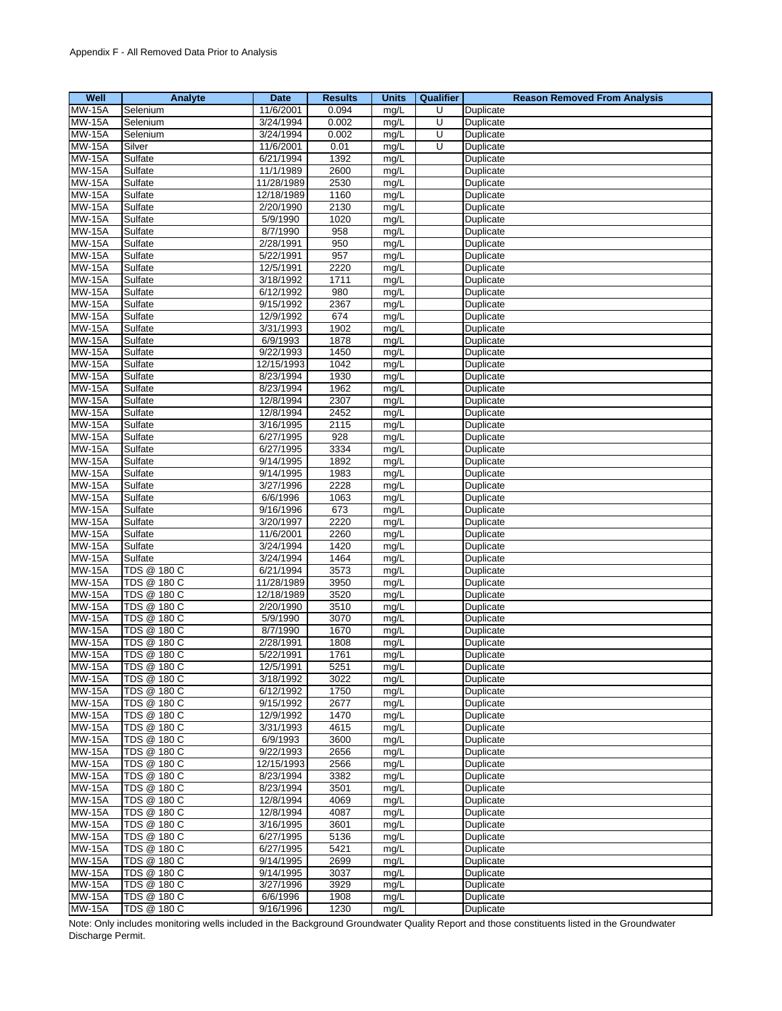| Well          | Analyte     | Date       | <b>Results</b> | <b>Units</b> | Qualifier | <b>Reason Removed From Analysis</b> |
|---------------|-------------|------------|----------------|--------------|-----------|-------------------------------------|
| <b>MW-15A</b> | Selenium    | 11/6/2001  | 0.094          | mg/L         | U         | Duplicate                           |
| <b>MW-15A</b> | Selenium    | 3/24/1994  | 0.002          | mg/L         | U         | Duplicate                           |
| <b>MW-15A</b> | Selenium    | 3/24/1994  | 0.002          | mg/L         | U         | Duplicate                           |
|               |             |            |                |              |           |                                     |
| <b>MW-15A</b> | Silver      | 11/6/2001  | 0.01           | mg/L         | U         | Duplicate                           |
| <b>MW-15A</b> | Sulfate     | 6/21/1994  | 1392           | mg/L         |           | Duplicate                           |
| <b>MW-15A</b> | Sulfate     | 11/1/1989  | 2600           | mg/L         |           | Duplicate                           |
| <b>MW-15A</b> | Sulfate     | 11/28/1989 | 2530           | mg/L         |           | Duplicate                           |
| <b>MW-15A</b> | Sulfate     | 12/18/1989 | 1160           | mg/L         |           | Duplicate                           |
| <b>MW-15A</b> | Sulfate     | 2/20/1990  | 2130           | mg/L         |           | Duplicate                           |
| <b>MW-15A</b> | Sulfate     | 5/9/1990   | 1020           | mg/L         |           | Duplicate                           |
| <b>MW-15A</b> | Sulfate     | 8/7/1990   | 958            | mg/L         |           | Duplicate                           |
| <b>MW-15A</b> | Sulfate     | 2/28/1991  | 950            | mg/L         |           | Duplicate                           |
| <b>MW-15A</b> | Sulfate     | 5/22/1991  | 957            | mg/L         |           | Duplicate                           |
| <b>MW-15A</b> | Sulfate     | 12/5/1991  | 2220           | mg/L         |           | Duplicate                           |
| <b>MW-15A</b> | Sulfate     | 3/18/1992  | 1711           | mg/L         |           | Duplicate                           |
|               |             |            |                |              |           |                                     |
| <b>MW-15A</b> | Sulfate     | 6/12/1992  | 980            | mg/L         |           | Duplicate                           |
| <b>MW-15A</b> | Sulfate     | 9/15/1992  | 2367           | mg/L         |           | Duplicate                           |
| <b>MW-15A</b> | Sulfate     | 12/9/1992  | 674            | mg/L         |           | Duplicate                           |
| <b>MW-15A</b> | Sulfate     | 3/31/1993  | 1902           | mg/L         |           | Duplicate                           |
| <b>MW-15A</b> | Sulfate     | 6/9/1993   | 1878           | mg/L         |           | Duplicate                           |
| <b>MW-15A</b> | Sulfate     | 9/22/1993  | 1450           | mg/L         |           | Duplicate                           |
| <b>MW-15A</b> | Sulfate     | 12/15/1993 | 1042           | mg/L         |           | Duplicate                           |
| <b>MW-15A</b> | Sulfate     | 8/23/1994  | 1930           | mg/L         |           | Duplicate                           |
| <b>MW-15A</b> | Sulfate     | 8/23/1994  | 1962           | mg/L         |           | Duplicate                           |
| <b>MW-15A</b> | Sulfate     | 12/8/1994  | 2307           | mg/L         |           | Duplicate                           |
| <b>MW-15A</b> | Sulfate     | 12/8/1994  | 2452           | mg/L         |           | Duplicate                           |
| <b>MW-15A</b> | Sulfate     | 3/16/1995  | 2115           | mg/L         |           | Duplicate                           |
| <b>MW-15A</b> | Sulfate     | 6/27/1995  | 928            | mg/L         |           | Duplicate                           |
| <b>MW-15A</b> | Sulfate     | 6/27/1995  | 3334           | mg/L         |           |                                     |
| <b>MW-15A</b> |             |            | 1892           |              |           | Duplicate                           |
|               | Sulfate     | 9/14/1995  |                | mg/L         |           | Duplicate                           |
| <b>MW-15A</b> | Sulfate     | 9/14/1995  | 1983           | mg/L         |           | Duplicate                           |
| <b>MW-15A</b> | Sulfate     | 3/27/1996  | 2228           | mg/L         |           | Duplicate                           |
| <b>MW-15A</b> | Sulfate     | 6/6/1996   | 1063           | mg/L         |           | Duplicate                           |
| <b>MW-15A</b> | Sulfate     | 9/16/1996  | 673            | mg/L         |           | Duplicate                           |
| <b>MW-15A</b> | Sulfate     | 3/20/1997  | 2220           | mg/L         |           | Duplicate                           |
| <b>MW-15A</b> | Sulfate     | 11/6/2001  | 2260           | mg/L         |           | Duplicate                           |
| <b>MW-15A</b> | Sulfate     | 3/24/1994  | 1420           | mg/L         |           | Duplicate                           |
| <b>MW-15A</b> | Sulfate     | 3/24/1994  | 1464           | mg/L         |           | Duplicate                           |
| <b>MW-15A</b> | TDS @ 180 C | 6/21/1994  | 3573           | mg/L         |           | Duplicate                           |
| <b>MW-15A</b> | TDS @ 180 C | 11/28/1989 | 3950           | mg/L         |           | Duplicate                           |
| <b>MW-15A</b> | TDS @ 180 C | 12/18/1989 | 3520           | mg/L         |           | Duplicate                           |
| <b>MW-15A</b> | TDS @ 180 C | 2/20/1990  | 3510           | mg/L         |           | Duplicate                           |
| <b>MW-15A</b> | TDS @ 180 C | 5/9/1990   | 3070           | mg/L         |           | Duplicate                           |
| <b>MW-15A</b> | TDS @ 180 C | 8/7/1990   | 1670           | mg/L         |           | Duplicate                           |
| <b>MW-15A</b> | TDS @ 180 C | 2/28/1991  | 1808           | mg/L         |           | Duplicate                           |
| <b>MW-15A</b> | TDS @ 180 C | 5/22/1991  | 1761           | mg/L         |           | Duplicate                           |
|               |             |            |                |              |           |                                     |
| <b>MW-15A</b> | TDS @ 180 C | 12/5/1991  | 5251           | mg/L         |           | Duplicate                           |
| <b>MW-15A</b> | TDS @ 180 C | 3/18/1992  | 3022           | mg/L         |           | Duplicate                           |
| <b>MW-15A</b> | TDS @ 180 C | 6/12/1992  | 1750           | mg/L         |           | Duplicate                           |
| <b>MW-15A</b> | TDS @ 180 C | 9/15/1992  | 2677           | mg/L         |           | Duplicate                           |
| <b>MW-15A</b> | TDS @ 180 C | 12/9/1992  | 1470           | mg/L         |           | Duplicate                           |
| <b>MW-15A</b> | TDS @ 180 C | 3/31/1993  | 4615           | mg/L         |           | Duplicate                           |
| <b>MW-15A</b> | TDS @ 180 C | 6/9/1993   | 3600           | mg/L         |           | Duplicate                           |
| <b>MW-15A</b> | TDS @ 180 C | 9/22/1993  | 2656           | mg/L         |           | Duplicate                           |
| <b>MW-15A</b> | TDS @ 180 C | 12/15/1993 | 2566           | mg/L         |           | Duplicate                           |
| <b>MW-15A</b> | TDS @ 180 C | 8/23/1994  | 3382           | mg/L         |           | Duplicate                           |
| <b>MW-15A</b> | TDS @ 180 C | 8/23/1994  | 3501           | mg/L         |           | Duplicate                           |
| <b>MW-15A</b> | TDS @ 180 C | 12/8/1994  | 4069           | mg/L         |           | Duplicate                           |
| <b>MW-15A</b> | TDS @ 180 C | 12/8/1994  | 4087           | mg/L         |           | Duplicate                           |
| <b>MW-15A</b> | TDS @ 180 C | 3/16/1995  | 3601           | mg/L         |           | Duplicate                           |
| <b>MW-15A</b> | TDS @ 180 C | 6/27/1995  |                |              |           | Duplicate                           |
|               |             |            | 5136           | mg/L         |           |                                     |
| <b>MW-15A</b> | TDS @ 180 C | 6/27/1995  | 5421           | mg/L         |           | Duplicate                           |
| <b>MW-15A</b> | TDS @ 180 C | 9/14/1995  | 2699           | mg/L         |           | Duplicate                           |
| <b>MW-15A</b> | TDS @ 180 C | 9/14/1995  | 3037           | mg/L         |           | Duplicate                           |
| <b>MW-15A</b> | TDS @ 180 C | 3/27/1996  | 3929           | mg/L         |           | Duplicate                           |
| <b>MW-15A</b> | TDS @ 180 C | 6/6/1996   | 1908           | mg/L         |           | Duplicate                           |
| <b>MW-15A</b> | TDS @ 180 C | 9/16/1996  | 1230           | mg/L         |           | Duplicate                           |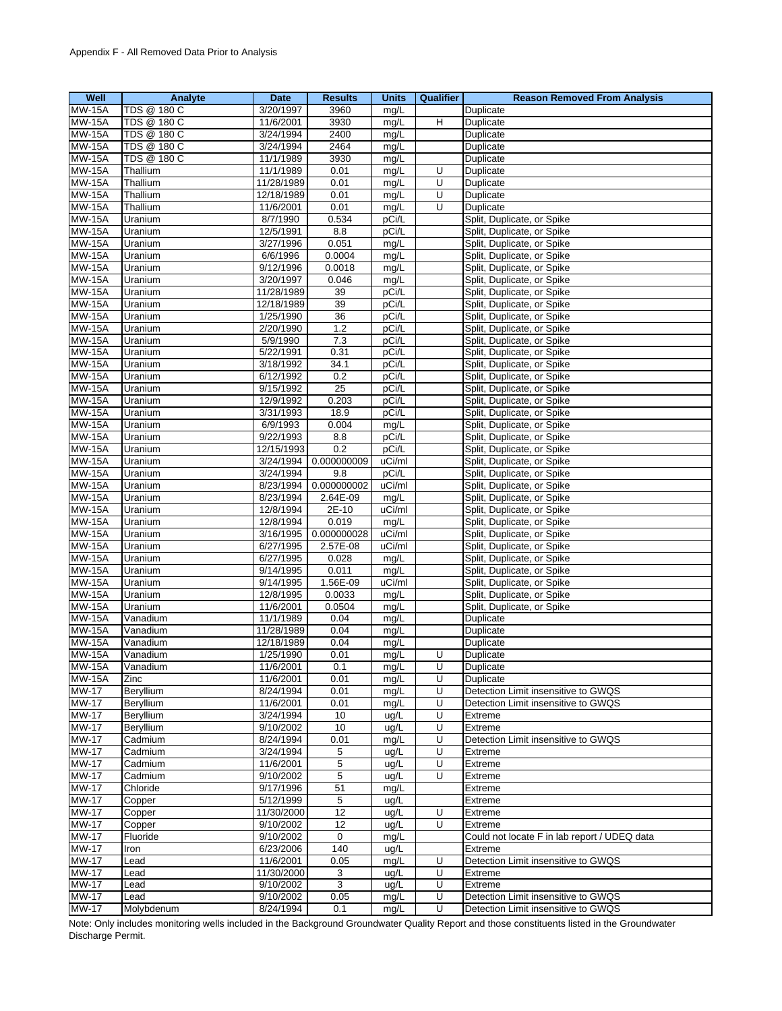| Well                           | Analyte     | Date                   | <b>Results</b>  | <b>Units</b>  | Qualifier | <b>Reason Removed From Analysis</b>            |
|--------------------------------|-------------|------------------------|-----------------|---------------|-----------|------------------------------------------------|
| <b>MW-15A</b>                  | TDS @ 180 C | 3/20/1997              | 3960            | mg/L          |           | Duplicate                                      |
| <b>MW-15A</b>                  | TDS @ 180 C | 11/6/2001              | 3930            | mg/L          | н         | Duplicate                                      |
| <b>MW-15A</b>                  | TDS @ 180 C | 3/24/1994              | 2400            | mg/L          |           | Duplicate                                      |
| <b>MW-15A</b>                  | TDS @ 180 C | 3/24/1994              | 2464            | mg/L          |           | Duplicate                                      |
| <b>MW-15A</b>                  | TDS @ 180 C | 11/1/1989              | 3930            | mg/L          |           | Duplicate                                      |
| <b>MW-15A</b>                  | Thallium    | 11/1/1989              | 0.01            | mg/L          | U         | Duplicate                                      |
| <b>MW-15A</b>                  | Thallium    | 11/28/1989             | 0.01            | mg/L          | U         | Duplicate                                      |
| <b>MW-15A</b>                  | Thallium    | 12/18/1989             | 0.01            | mg/L          | U         | Duplicate                                      |
| <b>MW-15A</b>                  | Thallium    | 11/6/2001              | 0.01            | mg/L          | U         | Duplicate                                      |
| <b>MW-15A</b>                  | Uranium     | 8/7/1990               | 0.534           | pCi/L         |           | Split, Duplicate, or Spike                     |
| <b>MW-15A</b>                  | Uranium     | 12/5/1991              | 8.8             | pCi/L         |           | Split, Duplicate, or Spike                     |
| <b>MW-15A</b>                  | Uranium     | 3/27/1996              | 0.051           | mg/L          |           | Split, Duplicate, or Spike                     |
| <b>MW-15A</b>                  | Uranium     | 6/6/1996               | 0.0004          | mg/L          |           | Split, Duplicate, or Spike                     |
| <b>MW-15A</b>                  | Uranium     | 9/12/1996              | 0.0018          | mg/L          |           | Split, Duplicate, or Spike                     |
|                                |             |                        |                 |               |           |                                                |
| <b>MW-15A</b>                  | Uranium     | 3/20/1997              | 0.046           | mg/L<br>pCi/L |           | Split, Duplicate, or Spike                     |
| <b>MW-15A</b>                  | Uranium     | 11/28/1989             | 39              |               |           | Split, Duplicate, or Spike                     |
| <b>MW-15A</b>                  | Uranium     | 12/18/1989             | 39              | pCi/L         |           | Split, Duplicate, or Spike                     |
| <b>MW-15A</b>                  | Uranium     | 1/25/1990              | 36              | pCi/L         |           | Split, Duplicate, or Spike                     |
| <b>MW-15A</b>                  | Uranium     | 2/20/1990              | 1.2             | pCi/L         |           | Split, Duplicate, or Spike                     |
| <b>MW-15A</b>                  | Uranium     | 5/9/1990               | 7.3             | pCi/L         |           | Split, Duplicate, or Spike                     |
| <b>MW-15A</b>                  | Uranium     | 5/22/1991              | 0.31            | pCi/L         |           | Split, Duplicate, or Spike                     |
| <b>MW-15A</b>                  | Uranium     | 3/18/1992              | 34.1            | pCi/L         |           | Split, Duplicate, or Spike                     |
| <b>MW-15A</b>                  | Uranium     | 6/12/1992              | 0.2             | pCi/L         |           | Split, Duplicate, or Spike                     |
| <b>MW-15A</b>                  | Uranium     | 9/15/1992              | $\overline{25}$ | pCi/L         |           | Split, Duplicate, or Spike                     |
| <b>MW-15A</b>                  | Uranium     | 12/9/1992              | 0.203           | pCi/L         |           | Split, Duplicate, or Spike                     |
| <b>MW-15A</b>                  | Uranium     | 3/31/1993              | 18.9            | pCi/L         |           | Split, Duplicate, or Spike                     |
| <b>MW-15A</b>                  | Uranium     | 6/9/1993               | 0.004           | mg/L          |           | Split, Duplicate, or Spike                     |
| <b>MW-15A</b>                  | Uranium     | 9/22/1993              | 8.8             | pCi/L         |           | Split, Duplicate, or Spike                     |
| <b>MW-15A</b>                  | Uranium     | 12/15/1993             | 0.2             | pCi/L         |           | Split, Duplicate, or Spike                     |
| <b>MW-15A</b>                  | Uranium     | 3/24/1994              | 0.000000009     | uCi/ml        |           | Split, Duplicate, or Spike                     |
| <b>MW-15A</b>                  | Uranium     | 3/24/1994              | 9.8             | pCi/L         |           | Split, Duplicate, or Spike                     |
| <b>MW-15A</b>                  | Uranium     | 8/23/1994              | 0.000000002     | uCi/ml        |           | Split, Duplicate, or Spike                     |
| <b>MW-15A</b>                  | Uranium     | 8/23/1994              | 2.64E-09        | mg/L          |           | Split, Duplicate, or Spike                     |
| <b>MW-15A</b>                  | Uranium     | 12/8/1994              | 2E-10           | uCi/ml        |           | Split, Duplicate, or Spike                     |
| <b>MW-15A</b>                  | Uranium     | 12/8/1994              | 0.019           | mg/L          |           | Split, Duplicate, or Spike                     |
| <b>MW-15A</b>                  | Uranium     | 3/16/1995              | 0.000000028     | uCi/ml        |           | Split, Duplicate, or Spike                     |
| <b>MW-15A</b>                  | Uranium     | 6/27/1995              | 2.57E-08        | uCi/ml        |           | Split, Duplicate, or Spike                     |
| <b>MW-15A</b>                  | Uranium     | 6/27/1995              | 0.028           | mg/L          |           | Split, Duplicate, or Spike                     |
| <b>MW-15A</b>                  | Uranium     | 9/14/1995              | 0.011           | mg/L          |           | Split, Duplicate, or Spike                     |
| <b>MW-15A</b>                  | Uranium     | 9/14/1995              | 1.56E-09        | uCi/ml        |           | Split, Duplicate, or Spike                     |
| <b>MW-15A</b>                  | Uranium     | 12/8/1995              | 0.0033          | mg/L          |           | Split, Duplicate, or Spike                     |
| <b>MW-15A</b>                  | Uranium     | 11/6/2001              | 0.0504          | mg/L          |           | Split, Duplicate, or Spike                     |
| <b>MW-15A</b>                  | Vanadium    | 11/1/1989              | 0.04            | mg/L          |           | Duplicate                                      |
| <b>MW-15A</b>                  | Vanadium    | 11/28/1989             | 0.04            | mg/L          |           | Duplicate                                      |
| <b>MW-15A</b>                  | Vanadium    | 12/18/1989             | 0.04            | mg/L          |           | Duplicate                                      |
| <b>MW-15A</b>                  | Vanadium    | 1/25/1990              | 0.01            | mg/L          | U         | Duplicate                                      |
|                                | Vanadium    |                        |                 |               | U         | Duplicate                                      |
| <b>MW-15A</b><br><b>MW-15A</b> | Zinc        | 11/6/2001<br>11/6/2001 | 0.1<br>0.01     | mg/L<br>mg/L  | U         | Duplicate                                      |
| <b>MW-17</b>                   | Beryllium   | 8/24/1994              | 0.01            | mg/L          | U         | Detection Limit insensitive to GWQS            |
|                                |             |                        |                 |               | U         |                                                |
| <b>MW-17</b><br><b>MW-17</b>   | Beryllium   | 11/6/2001              | 0.01            | mg/L          | U         | Detection Limit insensitive to GWQS<br>Extreme |
| <b>MW-17</b>                   | Beryllium   | 3/24/1994<br>9/10/2002 | 10              | ug/L          |           |                                                |
| <b>MW-17</b>                   | Beryllium   |                        | 10              | ug/L          | U<br>U    | Extreme                                        |
|                                | Cadmium     | 8/24/1994              | 0.01            | mg/L          |           | Detection Limit insensitive to GWQS            |
| <b>MW-17</b>                   | Cadmium     | 3/24/1994              | 5               | ug/L          | U         | Extreme                                        |
| <b>MW-17</b>                   | Cadmium     | 11/6/2001              | 5               | ug/L          | U         | Extreme                                        |
| <b>MW-17</b>                   | Cadmium     | 9/10/2002              | 5               | ug/L          | U         | Extreme                                        |
| <b>MW-17</b>                   | Chloride    | 9/17/1996              | 51              | mg/L          |           | Extreme                                        |
| <b>MW-17</b>                   | Copper      | 5/12/1999              | 5               | ug/L          |           | Extreme                                        |
| <b>MW-17</b>                   | Copper      | 11/30/2000             | 12              | ug/L          | U         | Extreme                                        |
| <b>MW-17</b>                   | Copper      | 9/10/2002              | $\overline{12}$ | ug/L          | U         | Extreme                                        |
| <b>MW-17</b>                   | Fluoride    | 9/10/2002              | 0               | mg/L          |           | Could not locate F in lab report / UDEQ data   |
| <b>MW-17</b>                   | Iron        | 6/23/2006              | 140             | ug/L          |           | Extreme                                        |
| <b>MW-17</b>                   | Lead        | 11/6/2001              | 0.05            | mg/L          | U         | Detection Limit insensitive to GWQS            |
| <b>MW-17</b>                   | Lead        | 11/30/2000             | 3               | ug/L          | U         | Extreme                                        |
| <b>MW-17</b>                   | Lead        | 9/10/2002              | 3               | ug/L          | U         | Extreme                                        |
| <b>MW-17</b>                   | Lead        | 9/10/2002              | 0.05            | mg/L          | U         | Detection Limit insensitive to GWQS            |
| <b>MW-17</b>                   | Molybdenum  | 8/24/1994              | 0.1             | mg/L          | U         | Detection Limit insensitive to GWQS            |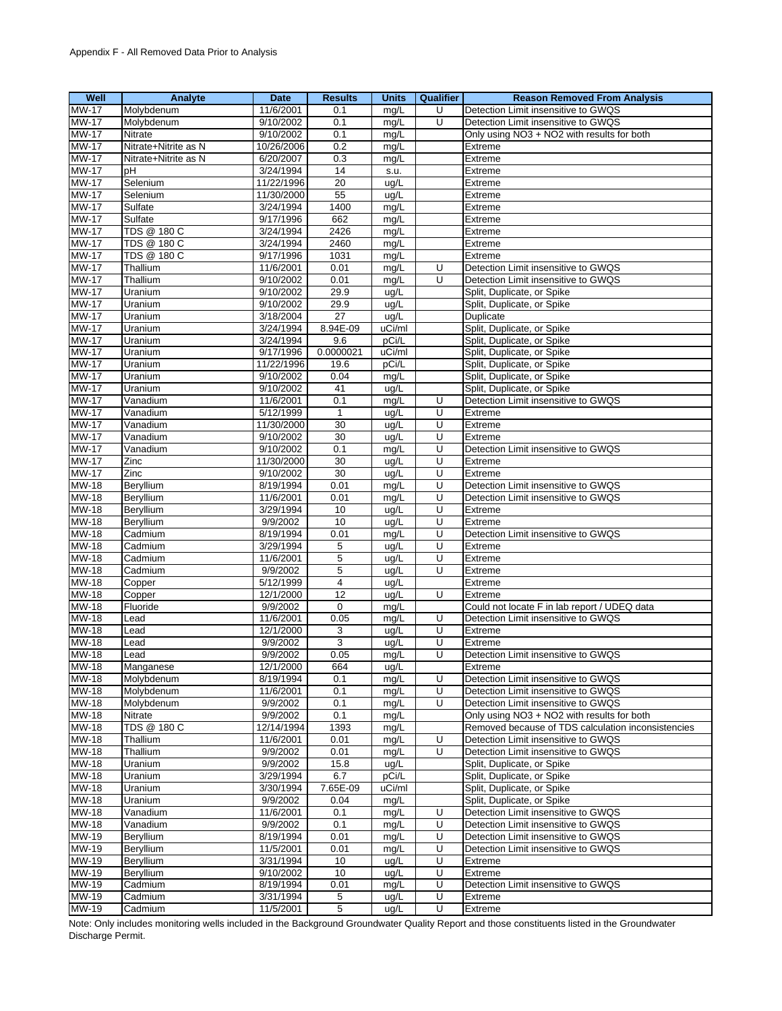| Well                         | Analyte                | Date                   | <b>Results</b>  | <b>Units</b> | <b>Qualifier</b>        | <b>Reason Removed From Analysis</b>                                        |
|------------------------------|------------------------|------------------------|-----------------|--------------|-------------------------|----------------------------------------------------------------------------|
| <b>MW-17</b>                 | Molybdenum             | 11/6/2001              | 0.1             | mg/L         | U                       | Detection Limit insensitive to GWQS                                        |
| <b>MW-17</b>                 | Molybdenum             | 9/10/2002              | 0.1             | mg/L         | U                       | Detection Limit insensitive to GWQS                                        |
| <b>MW-17</b>                 | <b>Nitrate</b>         | 9/10/2002              | 0.1             | mg/L         |                         | Only using NO3 + NO2 with results for both                                 |
| <b>MW-17</b>                 | Nitrate+Nitrite as N   | 10/26/2006             | 0.2             | mg/L         |                         | Extreme                                                                    |
| <b>MW-17</b>                 | Nitrate+Nitrite as N   | 6/20/2007              | 0.3             | mg/L         |                         | Extreme                                                                    |
| <b>MW-17</b>                 | pН                     | 3/24/1994              | 14              | s.u.         |                         | Extreme                                                                    |
| <b>MW-17</b>                 | Selenium               | 11/22/1996             | $\overline{20}$ | ug/L         |                         | Extreme                                                                    |
| <b>MW-17</b>                 | Selenium               | 11/30/2000             | 55              | ug/L         |                         | Extreme                                                                    |
| <b>MW-17</b>                 | Sulfate                | 3/24/1994              | 1400            | mg/L         |                         | Extreme                                                                    |
| <b>MW-17</b>                 | Sulfate                | 9/17/1996              | 662             | mg/L         |                         | Extreme                                                                    |
| <b>MW-17</b>                 | TDS @ 180 C            | 3/24/1994              | 2426            | mg/L         |                         | Extreme                                                                    |
| <b>MW-17</b>                 | <b>TDS @ 180 C</b>     | 3/24/1994              | 2460            | mg/L         |                         | Extreme                                                                    |
| <b>MW-17</b>                 | <b>TDS @ 180 C</b>     | 9/17/1996              | 1031            | mg/L         |                         | Extreme                                                                    |
| <b>MW-17</b>                 | Thallium               | 11/6/2001              | 0.01            | mg/L         | U                       | Detection Limit insensitive to GWQS                                        |
| <b>MW-17</b>                 | Thallium               | 9/10/2002              | 0.01            | mg/L         | U                       | Detection Limit insensitive to GWQS                                        |
| <b>MW-17</b>                 | Uranium                | 9/10/2002              | 29.9            | ug/L         |                         | Split, Duplicate, or Spike                                                 |
| <b>MW-17</b>                 | Uranium                | 9/10/2002              | 29.9            | ug/L         |                         | Split, Duplicate, or Spike                                                 |
| <b>MW-17</b>                 | Uranium                | 3/18/2004              | 27              | ug/L         |                         | Duplicate                                                                  |
| <b>MW-17</b>                 | Uranium                | 3/24/1994              | 8.94E-09        | uCi/ml       |                         | Split, Duplicate, or Spike                                                 |
| <b>MW-17</b>                 | Uranium                | 3/24/1994              | 9.6             | pCi/L        |                         | Split, Duplicate, or Spike                                                 |
| <b>MW-17</b>                 | Uranium                | 9/17/1996              | 0.0000021       | uCi/ml       |                         | Split, Duplicate, or Spike                                                 |
| <b>MW-17</b>                 | Uranium                | 11/22/1996             | 19.6            | pCi/L        |                         | Split, Duplicate, or Spike                                                 |
| <b>MW-17</b>                 | Uranium                | 9/10/2002              | 0.04            | mg/L         |                         | Split, Duplicate, or Spike                                                 |
| <b>MW-17</b>                 | Uranium                | 9/10/2002              | 41              | ug/L         |                         | Split, Duplicate, or Spike                                                 |
| <b>MW-17</b>                 | Vanadium               | 11/6/2001              | 0.1             | mg/L         | U                       | Detection Limit insensitive to GWQS                                        |
| <b>MW-17</b>                 | Vanadium               | 5/12/1999              | $\mathbf{1}$    | ug/L         | U                       | Extreme                                                                    |
| <b>MW-17</b>                 | Vanadium               | 11/30/2000             | 30              | ug/L         | U                       | Extreme                                                                    |
| <b>MW-17</b>                 | Vanadium               | 9/10/2002              | 30              | ug/L         | U                       | Extreme                                                                    |
| <b>MW-17</b>                 | Vanadium               | 9/10/2002              | 0.1             | mg/L         | U                       | Detection Limit insensitive to GWQS                                        |
| <b>MW-17</b>                 | Zinc                   | 11/30/2000             | 30              | ug/L         | U                       | Extreme                                                                    |
| <b>MW-17</b>                 | Zinc                   | 9/10/2002              | 30              | ug/L         | U                       | Extreme                                                                    |
| <b>MW-18</b>                 | Beryllium              | 8/19/1994              | 0.01            | mg/L         | U                       | Detection Limit insensitive to GWQS                                        |
| <b>MW-18</b>                 | Beryllium              | 11/6/2001              | 0.01            | mg/L         | U                       | Detection Limit insensitive to GWQS                                        |
| <b>MW-18</b>                 | Beryllium              | 3/29/1994              | 10              | ug/L         | U                       | Extreme                                                                    |
| <b>MW-18</b>                 | Beryllium              | 9/9/2002               | 10              | ug/L         | U                       | Extreme                                                                    |
| MW-18                        | Cadmium                | 8/19/1994              | 0.01            | mg/L         | U                       | Detection Limit insensitive to GWQS                                        |
| <b>MW-18</b>                 | Cadmium                | 3/29/1994              | 5               | ug/L         | U                       | Extreme                                                                    |
| <b>MW-18</b>                 | Cadmium                | 11/6/2001              | 5               | ug/L         | U                       | Extreme                                                                    |
| <b>MW-18</b>                 | Cadmium                | 9/9/2002               | 5               | ug/L         | U                       | Extreme                                                                    |
| MW-18                        | Copper                 | 5/12/1999              | 4               | ug/L         |                         | Extreme                                                                    |
| <b>MW-18</b>                 | Copper                 | 12/1/2000              | 12              | ug/L         | $\overline{U}$          | Extreme                                                                    |
| <b>MW-18</b>                 | Fluoride               | 9/9/2002               | 0               | mg/L         |                         | Could not locate F in lab report / UDEQ data                               |
| <b>MW-18</b>                 | Lead                   | 11/6/2001              | 0.05            | mg/L         | U                       | Detection Limit insensitive to GWQS                                        |
| MW-18                        | Lead                   | 12/1/2000              | 3               | ug/L         | U                       | Extreme                                                                    |
| <b>MW-18</b>                 | Lead                   | 9/9/2002               | 3               | ug/L         | U                       | Extreme                                                                    |
| <b>MW-18</b>                 | _ead                   | 9/9/2002               | 0.05            | mg/L         | U                       | Detection Limit insensitive to GWQS                                        |
| MW-18                        | Manganese              | 12/1/2000              | 664             | ug/L         |                         | Extreme                                                                    |
| <b>MW-18</b>                 | Molybdenum             | 8/19/1994              | 0.1             | mg/L         | U                       | Detection Limit insensitive to GWQS                                        |
| <b>MW-18</b>                 | Molybdenum             | 11/6/2001              | 0.1             | mg/L         | U                       | Detection Limit insensitive to GWQS                                        |
| MW-18                        | Molybdenum             | 9/9/2002               | 0.1             | mg/L         | U                       | Detection Limit insensitive to GWQS                                        |
| MW-18                        | Nitrate                | 9/9/2002               | 0.1             | mg/L         |                         | Only using NO3 + NO2 with results for both                                 |
| MW-18                        | TDS @ 180 C            | 12/14/1994             | 1393            | mg/L         |                         | Removed because of TDS calculation inconsistencies                         |
| <b>MW-18</b>                 | Thallium               | 11/6/2001              | 0.01            | mg/L         | U                       | Detection Limit insensitive to GWQS                                        |
| MW-18                        | Thallium               | 9/9/2002               | 0.01            | mg/L         | U                       | Detection Limit insensitive to GWQS                                        |
| <b>MW-18</b>                 | Uranium                | 9/9/2002               | 15.8            | ug/L         |                         | Split, Duplicate, or Spike                                                 |
| MW-18                        | Uranium                | 3/29/1994              | 6.7             | pCi/L        |                         | Split, Duplicate, or Spike                                                 |
| <b>MW-18</b>                 | Uranium                | 3/30/1994              | 7.65E-09        | uCi/ml       |                         | Split, Duplicate, or Spike                                                 |
| <b>MW-18</b>                 | Uranium                | 9/9/2002               | 0.04            | mg/L         |                         | Split, Duplicate, or Spike<br>Detection Limit insensitive to GWQS          |
| <b>MW-18</b><br><b>MW-18</b> | Vanadium               | 11/6/2001              | 0.1             | mg/L         | U                       |                                                                            |
|                              | Vanadium               | 9/9/2002               | 0.1             | mg/L         | U                       | Detection Limit insensitive to GWQS                                        |
| MW-19<br>MW-19               | Beryllium<br>Beryllium | 8/19/1994<br>11/5/2001 | 0.01<br>0.01    | mg/L         | U<br>U                  | Detection Limit insensitive to GWQS<br>Detection Limit insensitive to GWQS |
| MW-19                        | Beryllium              | 3/31/1994              | 10              | mg/L<br>ug/L | U                       | Extreme                                                                    |
| MW-19                        | Beryllium              | 9/10/2002              | 10              | ug/L         | $\overline{\mathsf{U}}$ | Extreme                                                                    |
| MW-19                        | Cadmium                | 8/19/1994              | 0.01            | mg/L         | U                       | Detection Limit insensitive to GWQS                                        |
| MW-19                        | Cadmium                | 3/31/1994              | 5               | ug/L         | U                       | Extreme                                                                    |
| MW-19                        | Cadmium                | 11/5/2001              | 5               | ug/L         | $\overline{\mathsf{U}}$ | Extreme                                                                    |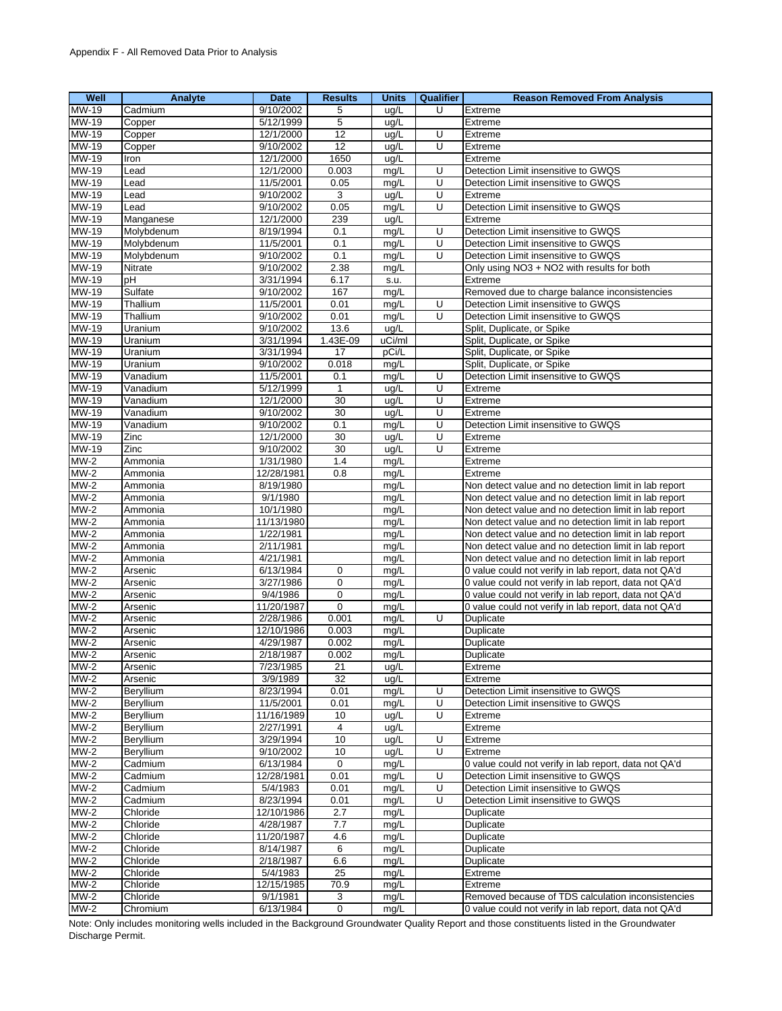| Well                     | Analyte        | <b>Date</b> | <b>Results</b>  | <b>Units</b> | Qualifier               | <b>Reason Removed From Analysis</b>                   |
|--------------------------|----------------|-------------|-----------------|--------------|-------------------------|-------------------------------------------------------|
| <b>MW-19</b>             | Cadmium        | 9/10/2002   | 5               | ug/L         | U                       | Extreme                                               |
| MW-19                    | Copper         | 5/12/1999   | 5               | ug/L         |                         | Extreme                                               |
| <b>MW-19</b>             | Copper         | 12/1/2000   | $\overline{12}$ | ug/L         | Ū                       | Extreme                                               |
| MW-19                    | Copper         | 9/10/2002   | 12              | ug/L         | U                       | Extreme                                               |
| MW-19                    | Iron           | 12/1/2000   | 1650            | ug/L         |                         | Extreme                                               |
| MW-19                    | Lead           | 12/1/2000   | 0.003           |              | U                       | Detection Limit insensitive to GWQS                   |
| <b>MW-19</b>             |                |             | 0.05            | mg/L         | Ū                       | Detection Limit insensitive to GWQS                   |
|                          | Lead           | 11/5/2001   |                 | mg/L         |                         |                                                       |
| MW-19                    | Lead           | 9/10/2002   | 3               | ug/L         | U                       | Extreme                                               |
| MW-19                    | Lead           | 9/10/2002   | 0.05            | mg/L         | U                       | Detection Limit insensitive to GWQS                   |
| <b>MW-19</b>             | Manganese      | 12/1/2000   | 239             | ug/L         |                         | Extreme                                               |
| MW-19                    | Molybdenum     | 8/19/1994   | 0.1             | mg/L         | U                       | Detection Limit insensitive to GWQS                   |
| MW-19                    | Molybdenum     | 11/5/2001   | 0.1             | mg/L         | U                       | Detection Limit insensitive to GWQS                   |
| <b>MW-19</b>             | Molybdenum     | 9/10/2002   | 0.1             | mg/L         | U                       | Detection Limit insensitive to GWQS                   |
| MW-19                    | Nitrate        | 9/10/2002   | 2.38            | mg/L         |                         | Only using NO3 + NO2 with results for both            |
| MW-19                    | pH             | 3/31/1994   | 6.17            | s.u.         |                         | Extreme                                               |
| MW-19                    | Sulfate        | 9/10/2002   | 167             | mg/L         |                         | Removed due to charge balance inconsistencies         |
| <b>MW-19</b>             | Thallium       | 11/5/2001   | 0.01            | mg/L         | U                       | Detection Limit insensitive to GWQS                   |
| MW-19                    | Thallium       | 9/10/2002   | 0.01            | mg/L         | U                       | Detection Limit insensitive to GWQS                   |
| MW-19                    | Uranium        | 9/10/2002   | 13.6            | ug/L         |                         | Split, Duplicate, or Spike                            |
| MW-19                    | <b>Uranium</b> | 3/31/1994   | 1.43E-09        | uCi/ml       |                         | Split, Duplicate, or Spike                            |
|                          |                |             |                 |              |                         |                                                       |
| MW-19                    | Uranium        | 3/31/1994   | 17              | pCi/L        |                         | Split, Duplicate, or Spike                            |
| <b>MW-19</b>             | Uranium        | 9/10/2002   | 0.018           | mg/L         |                         | Split, Duplicate, or Spike                            |
| MW-19                    | Vanadium       | 11/5/2001   | 0.1             | mg/L         | U                       | Detection Limit insensitive to GWQS                   |
| <b>MW-19</b>             | Vanadium       | 5/12/1999   | $\mathbf{1}$    | ug/L         | U                       | Extreme                                               |
| <b>MW-19</b>             | Vanadium       | 12/1/2000   | 30              | ug/L         | $\overline{\mathsf{C}}$ | Extreme                                               |
| MW-19                    | Vanadium       | 9/10/2002   | 30              | ug/L         | U                       | Extreme                                               |
| MW-19                    | Vanadium       | 9/10/2002   | 0.1             | mg/L         | U                       | Detection Limit insensitive to GWQS                   |
| MW-19                    | Zinc           | 12/1/2000   | 30              | ug/L         | Ū                       | Extreme                                               |
| MW-19                    | Zinc           | 9/10/2002   | 30              | ug/L         | U                       | Extreme                                               |
| $MW-2$                   | Ammonia        | 1/31/1980   | 1.4             | mg/L         |                         | Extreme                                               |
| $MW-2$                   | Ammonia        | 12/28/1981  | 0.8             | mg/L         |                         | Extreme                                               |
| $MW-2$                   | Ammonia        | 8/19/1980   |                 | mg/L         |                         | Non detect value and no detection limit in lab report |
| $MW-2$                   | Ammonia        | 9/1/1980    |                 | mg/L         |                         | Non detect value and no detection limit in lab report |
|                          |                |             |                 |              |                         |                                                       |
| $MW-2$                   | Ammonia        | 10/1/1980   |                 | mg/L         |                         | Non detect value and no detection limit in lab report |
| $MW-2$                   | Ammonia        | 11/13/1980  |                 | mg/L         |                         | Non detect value and no detection limit in lab report |
| $MW-2$                   | Ammonia        | 1/22/1981   |                 | mg/L         |                         | Non detect value and no detection limit in lab report |
| $MW-2$                   | Ammonia        | 2/11/1981   |                 | mg/L         |                         | Non detect value and no detection limit in lab report |
| $MW-2$                   | Ammonia        | 4/21/1981   |                 | mg/L         |                         | Non detect value and no detection limit in lab report |
| $MW-2$                   | Arsenic        | 6/13/1984   | $\mathbf 0$     | mg/L         |                         | 0 value could not verify in lab report, data not QA'd |
| $MW-2$                   | Arsenic        | 3/27/1986   | 0               | mg/L         |                         | 0 value could not verify in lab report, data not QA'd |
| $MW-2$                   | Arsenic        | 9/4/1986    | $\mathbf 0$     | mg/L         |                         | 0 value could not verify in lab report, data not QA'd |
| $MW-2$                   | Arsenic        | 11/20/1987  | $\mathbf 0$     | mg/L         |                         | 0 value could not verify in lab report, data not QA'd |
| $MW-2$                   | Arsenic        | 2/28/1986   | 0.001           | mg/L         | U                       | <b>Duplicate</b>                                      |
| $MW-2$                   | Arsenic        | 12/10/1986  | 0.003           | mg/L         |                         | Duplicate                                             |
| $MW-2$                   | Arsenic        | 4/29/1987   | 0.002           | mg/L         |                         | Duplicate                                             |
| $MW-2$                   | Arsenic        | 2/18/1987   | 0.002           | mg/L         |                         | Duplicate                                             |
| $MW-2$                   |                | 7/23/1985   |                 |              |                         |                                                       |
| $\overline{\text{MW-2}}$ | Arsenic        |             | 21              | ug/L         |                         | Extreme                                               |
|                          | Arsenic        | 3/9/1989    | 32              | ug/L         |                         | Extreme                                               |
| $MW-2$                   | Beryllium      | 8/23/1994   | 0.01            | mg/L         | U                       | Detection Limit insensitive to GWQS                   |
| $MW-2$                   | Beryllium      | 11/5/2001   | 0.01            | mg/L         | U                       | Detection Limit insensitive to GWQS                   |
| $MW-2$                   | Beryllium      | 11/16/1989  | 10              | ug/L         | U                       | Extreme                                               |
| $MW-2$                   | Beryllium      | 2/27/1991   | 4               | ug/L         |                         | Extreme                                               |
| $MW-2$                   | Beryllium      | 3/29/1994   | 10              | uq/L         | U                       | Extreme                                               |
| $MW-2$                   | Beryllium      | 9/10/2002   | 10              | ug/L         | U                       | Extreme                                               |
| $MW-2$                   | Cadmium        | 6/13/1984   | $\mathbf 0$     | mg/L         |                         | 0 value could not verify in lab report, data not QA'd |
| $MW-2$                   | Cadmium        | 12/28/1981  | 0.01            | mg/L         | U                       | Detection Limit insensitive to GWQS                   |
| $MW-2$                   | Cadmium        | 5/4/1983    | 0.01            | mg/L         | Ū                       | Detection Limit insensitive to GWQS                   |
| $MW-2$                   | Cadmium        | 8/23/1994   | 0.01            | mg/L         | U                       | Detection Limit insensitive to GWQS                   |
| $MW-2$                   | Chloride       | 12/10/1986  | 2.7             | mg/L         |                         | Duplicate                                             |
| $MW-2$                   | Chloride       | 4/28/1987   | 7.7             | mg/L         |                         | Duplicate                                             |
|                          |                |             |                 |              |                         |                                                       |
| $MW-2$                   | Chloride       | 11/20/1987  | 4.6             | mg/L         |                         | Duplicate                                             |
| $MW-2$                   | Chloride       | 8/14/1987   | 6               | mg/L         |                         | Duplicate                                             |
| $MW-2$                   | Chloride       | 2/18/1987   | 6.6             | mg/L         |                         | Duplicate                                             |
| $MW-2$                   | Chloride       | 5/4/1983    | 25              | mg/L         |                         | Extreme                                               |
| $MW-2$                   | Chloride       | 12/15/1985  | 70.9            | mg/L         |                         | Extreme                                               |
| $MW-2$                   | Chloride       | 9/1/1981    | 3               | mg/L         |                         | Removed because of TDS calculation inconsistencies    |
| $MW-2$                   | Chromium       | 6/13/1984   | $\overline{0}$  | mg/L         |                         | 0 value could not verify in lab report, data not QA'd |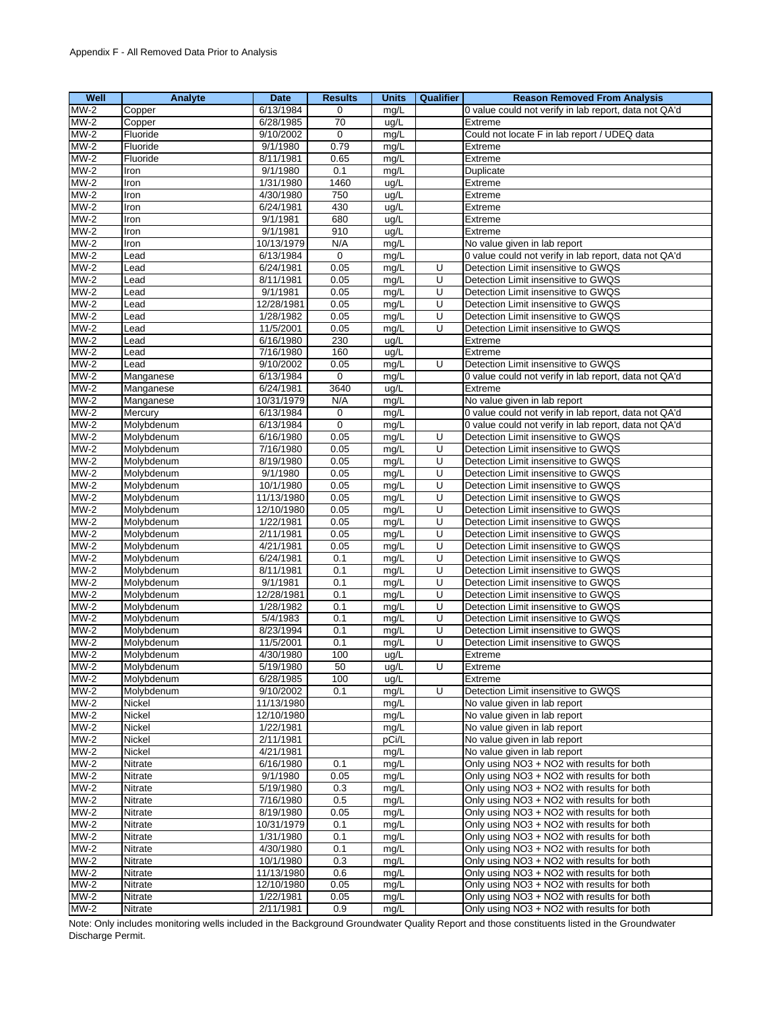| Well   | Analyte    | <b>Date</b> | <b>Results</b> | <b>Units</b> | Qualifier | <b>Reason Removed From Analysis</b>                   |
|--------|------------|-------------|----------------|--------------|-----------|-------------------------------------------------------|
| $MW-2$ | Copper     | 6/13/1984   | 0              | mq/L         |           | 0 value could not verify in lab report, data not QA'd |
| $MW-2$ | Copper     | 6/28/1985   | 70             | ug/L         |           | Extreme                                               |
| $MW-2$ | Fluoride   | 9/10/2002   | 0              | mg/L         |           | Could not locate F in lab report / UDEQ data          |
| $MW-2$ | Fluoride   | 9/1/1980    | 0.79           | mg/L         |           | Extreme                                               |
| $MW-2$ | Fluoride   | 8/11/1981   | 0.65           | mg/L         |           | Extreme                                               |
| $MW-2$ | Iron       | 9/1/1980    | 0.1            | mg/L         |           | Duplicate                                             |
| $MW-2$ | Iron       | 1/31/1980   | 1460           | ug/L         |           | Extreme                                               |
| $MW-2$ | Iron       | 4/30/1980   | 750            | ug/L         |           | Extreme                                               |
| $MW-2$ | Iron       | 6/24/1981   | 430            | ug/L         |           | Extreme                                               |
| $MW-2$ | Iron       | 9/1/1981    | 680            | ug/L         |           | Extreme                                               |
| $MW-2$ | Iron       | 9/1/1981    | 910            | ug/L         |           | Extreme                                               |
| $MW-2$ | Iron       | 10/13/1979  | N/A            | mg/L         |           | No value given in lab report                          |
| $MW-2$ | Lead       | 6/13/1984   | 0              | mg/L         |           | 0 value could not verify in lab report, data not QA'd |
| $MW-2$ | Lead       | 6/24/1981   | 0.05           | mg/L         | U         | Detection Limit insensitive to GWQS                   |
| $MW-2$ | Lead       | 8/11/1981   | 0.05           | mg/L         | U         | Detection Limit insensitive to GWQS                   |
| $MW-2$ | Lead       | 9/1/1981    | 0.05           | mg/L         | U         | Detection Limit insensitive to GWQS                   |
| $MW-2$ | _ead       | 12/28/1981  | 0.05           | mg/L         | U         | Detection Limit insensitive to GWQS                   |
| $MW-2$ | Lead       | 1/28/1982   | 0.05           | mg/L         | U         | Detection Limit insensitive to GWQS                   |
| $MW-2$ | Lead       | 11/5/2001   | 0.05           | mg/L         | U         | Detection Limit insensitive to GWQS                   |
| $MW-2$ | Lead       | 6/16/1980   | 230            | ug/L         |           | Extreme                                               |
| $MW-2$ | Lead       | 7/16/1980   | 160            | ug/L         |           | Extreme                                               |
| $MW-2$ | Lead       | 9/10/2002   | 0.05           | mg/L         | U         | Detection Limit insensitive to GWQS                   |
| $MW-2$ | Manganese  | 6/13/1984   | $\mathbf 0$    | mg/L         |           | 0 value could not verify in lab report, data not QA'd |
| $MW-2$ | Manganese  | 6/24/1981   | 3640           | ug/L         |           | Extreme                                               |
| $MW-2$ | Manganese  | 10/31/1979  | N/A            | mg/L         |           | No value given in lab report                          |
| $MW-2$ | Mercury    | 6/13/1984   | 0              | mg/L         |           | 0 value could not verify in lab report, data not QA'd |
| $MW-2$ | Molybdenum | 6/13/1984   | 0              | mg/L         |           | 0 value could not verify in lab report, data not QA'd |
| $MW-2$ | Molybdenum | 6/16/1980   | 0.05           | mg/L         | U         | Detection Limit insensitive to GWQS                   |
| $MW-2$ | Molybdenum | 7/16/1980   | 0.05           | mg/L         | U         | Detection Limit insensitive to GWQS                   |
| $MW-2$ | Molybdenum | 8/19/1980   | 0.05           | mg/L         | U         | Detection Limit insensitive to GWQS                   |
| $MW-2$ | Molybdenum | 9/1/1980    | 0.05           | mg/L         | U         | Detection Limit insensitive to GWQS                   |
| $MW-2$ | Molybdenum | 10/1/1980   | 0.05           | mg/L         | U         | Detection Limit insensitive to GWQS                   |
| $MW-2$ | Molybdenum | 11/13/1980  | 0.05           | mg/L         | U         | Detection Limit insensitive to GWQS                   |
| $MW-2$ | Molybdenum | 12/10/1980  | 0.05           | mg/L         | U         | Detection Limit insensitive to GWQS                   |
| $MW-2$ | Molybdenum | 1/22/1981   | 0.05           | mg/L         | U         | Detection Limit insensitive to GWQS                   |
| $MW-2$ | Molybdenum | 2/11/1981   | 0.05           | mg/L         | U         | Detection Limit insensitive to GWQS                   |
| $MW-2$ | Molybdenum | 4/21/1981   | 0.05           | mg/L         | U         | Detection Limit insensitive to GWQS                   |
| $MW-2$ | Molybdenum | 6/24/1981   | 0.1            | mg/L         | U         | Detection Limit insensitive to GWQS                   |
| $MW-2$ | Molybdenum | 8/11/1981   | 0.1            | mg/L         | U         | Detection Limit insensitive to GWQS                   |
| $MW-2$ | Molybdenum | 9/1/1981    | 0.1            | mg/L         | U         | Detection Limit insensitive to GWQS                   |
| $MW-2$ | Molybdenum | 12/28/1981  | 0.1            | mg/L         | U         | Detection Limit insensitive to GWQS                   |
| $MW-2$ | Molybdenum | 1/28/1982   | 0.1            | mg/L         | U         | Detection Limit insensitive to GWQS                   |
| $MW-2$ | Molybdenum | 5/4/1983    | 0.1            | mg/L         | U         | Detection Limit insensitive to GWQS                   |
| $MW-2$ | Molybdenum | 8/23/1994   | 0.1            | mg/L         | U         | Detection Limit insensitive to GWQS                   |
| $MW-2$ | Molybdenum | 11/5/2001   | 0.1            | mg/L         | U         | Detection Limit insensitive to GWQS                   |
| $MW-2$ | Molybdenum | 4/30/1980   | 100            | ug/L         |           | Extreme                                               |
| $MW-2$ | Molybdenum | 5/19/1980   | 50             | ug/L         | U         | Extreme                                               |
| $MW-2$ | Molybdenum | 6/28/1985   | 100            | ug/L         |           | Extreme                                               |
| $MW-2$ | Molybdenum | 9/10/2002   | 0.1            | mg/L         | U         | Detection Limit insensitive to GWQS                   |
| $MW-2$ | Nickel     | 11/13/1980  |                | mg/L         |           | No value given in lab report                          |
| $MW-2$ | Nickel     | 12/10/1980  |                | mg/L         |           | No value given in lab report                          |
| $MW-2$ | Nickel     | 1/22/1981   |                | mg/L         |           | No value given in lab report                          |
| $MW-2$ | Nickel     | 2/11/1981   |                | pCi/L        |           | No value given in lab report                          |
| $MW-2$ | Nickel     | 4/21/1981   |                | mg/L         |           | No value given in lab report                          |
| $MW-2$ | Nitrate    | 6/16/1980   | 0.1            | mg/L         |           | Only using NO3 + NO2 with results for both            |
| $MW-2$ | Nitrate    | 9/1/1980    | 0.05           | mg/L         |           | Only using NO3 + NO2 with results for both            |
| $MW-2$ | Nitrate    | 5/19/1980   | 0.3            | mg/L         |           | Only using NO3 + NO2 with results for both            |
| $MW-2$ | Nitrate    | 7/16/1980   | 0.5            | mg/L         |           | Only using NO3 + NO2 with results for both            |
| $MW-2$ | Nitrate    | 8/19/1980   | 0.05           | mg/L         |           | Only using NO3 + NO2 with results for both            |
| $MW-2$ | Nitrate    | 10/31/1979  | 0.1            | mg/L         |           | Only using NO3 + NO2 with results for both            |
| $MW-2$ | Nitrate    | 1/31/1980   | 0.1            | mg/L         |           | Only using NO3 + NO2 with results for both            |
| $MW-2$ | Nitrate    | 4/30/1980   | 0.1            | mg/L         |           | Only using NO3 + NO2 with results for both            |
| $MW-2$ | Nitrate    | 10/1/1980   | 0.3            | mg/L         |           | Only using NO3 + NO2 with results for both            |
| $MW-2$ | Nitrate    | 11/13/1980  | 0.6            | mg/L         |           | Only using NO3 + NO2 with results for both            |
| $MW-2$ | Nitrate    | 12/10/1980  | 0.05           | mg/L         |           | Only using NO3 + NO2 with results for both            |
| $MW-2$ | Nitrate    | 1/22/1981   | 0.05           | mg/L         |           | Only using NO3 + NO2 with results for both            |
| $MW-2$ | Nitrate    | 2/11/1981   | 0.9            | mg/L         |           | Only using NO3 + NO2 with results for both            |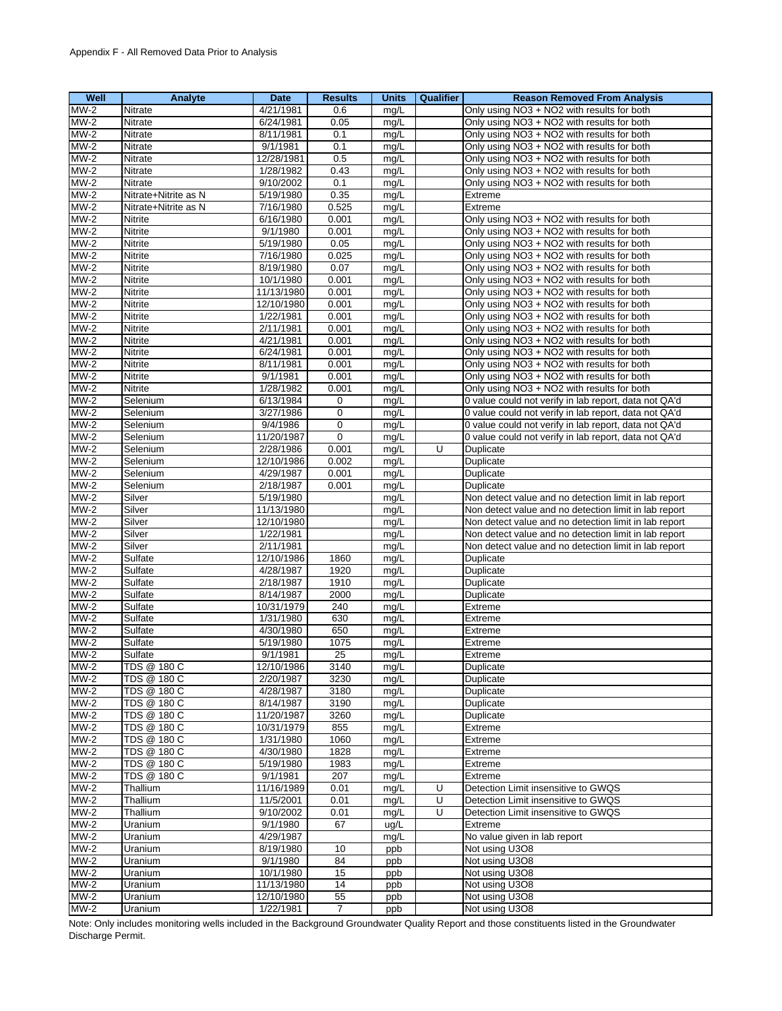| Well        | Analyte              | Date       | <b>Results</b> | <b>Units</b> | Qualifier | <b>Reason Removed From Analysis</b>                   |
|-------------|----------------------|------------|----------------|--------------|-----------|-------------------------------------------------------|
| $MW-2$      | Nitrate              | 4/21/1981  | 0.6            | mg/L         |           | Only using NO3 + NO2 with results for both            |
| $MW-2$      | Nitrate              | 6/24/1981  | 0.05           | mg/L         |           | Only using NO3 + NO2 with results for both            |
| $MW-2$      | <b>Nitrate</b>       | 8/11/1981  | 0.1            | mq/L         |           | Only using NO3 + NO2 with results for both            |
| $MW-2$      | Nitrate              | 9/1/1981   | 0.1            | mg/L         |           | Only using NO3 + NO2 with results for both            |
| $MW-2$      | <b>Nitrate</b>       | 12/28/1981 | 0.5            | mg/L         |           | Only using NO3 + NO2 with results for both            |
| $MW-2$      | Nitrate              | 1/28/1982  | 0.43           | mg/L         |           | Only using NO3 + NO2 with results for both            |
| $MW-2$      | Nitrate              | 9/10/2002  | 0.1            | mg/L         |           | Only using NO3 + NO2 with results for both            |
| $MW-2$      | Nitrate+Nitrite as N | 5/19/1980  | 0.35           | mg/L         |           | Extreme                                               |
| $MW-2$      | Nitrate+Nitrite as N | 7/16/1980  | 0.525          | mg/L         |           | Extreme                                               |
| $MW-2$      | Nitrite              | 6/16/1980  | 0.001          | mg/L         |           | Only using NO3 + NO2 with results for both            |
| $MW-2$      | <b>Nitrite</b>       | 9/1/1980   | 0.001          | mg/L         |           | Only using NO3 + NO2 with results for both            |
| $MW-2$      | <b>Nitrite</b>       | 5/19/1980  | 0.05           | mg/L         |           | Only using NO3 + NO2 with results for both            |
| $MW-2$      | Nitrite              | 7/16/1980  | 0.025          | mg/L         |           | Only using NO3 + NO2 with results for both            |
| $MW-2$      | Nitrite              | 8/19/1980  | 0.07           | mg/L         |           | Only using NO3 + NO2 with results for both            |
| $MW-2$      | <b>Nitrite</b>       | 10/1/1980  | 0.001          | mq/L         |           | Only using NO3 + NO2 with results for both            |
| $MW-2$      | Nitrite              | 11/13/1980 | 0.001          | mg/L         |           | Only using NO3 + NO2 with results for both            |
| $MW-2$      | <b>Nitrite</b>       | 12/10/1980 | 0.001          | mg/L         |           | Only using NO3 + NO2 with results for both            |
| $MW-2$      | <b>Nitrite</b>       | 1/22/1981  | 0.001          | mg/L         |           | Only using NO3 + NO2 with results for both            |
| $MW-2$      | <b>Nitrite</b>       | 2/11/1981  | 0.001          | mg/L         |           | Only using NO3 + NO2 with results for both            |
| $MW-2$      | Nitrite              | 4/21/1981  | 0.001          | mg/L         |           | Only using NO3 + NO2 with results for both            |
| $MW-2$      | Nitrite              | 6/24/1981  | 0.001          | mg/L         |           | Only using NO3 + NO2 with results for both            |
| $MW-2$      | Nitrite              | 8/11/1981  | 0.001          | mg/L         |           | Only using NO3 + NO2 with results for both            |
| $MW-2$      | <b>Nitrite</b>       | 9/1/1981   | 0.001          | mg/L         |           | Only using NO3 + NO2 with results for both            |
| $MW-2$      | <b>Nitrite</b>       | 1/28/1982  | 0.001          | mg/L         |           | Only using NO3 + NO2 with results for both            |
| $MW-2$      | Selenium             | 6/13/1984  | 0              | mg/L         |           | 0 value could not verify in lab report, data not QA'd |
| $MW-2$      | Selenium             | 3/27/1986  | 0              | mg/L         |           | 0 value could not verify in lab report, data not QA'd |
| $MW-2$      | Selenium             | 9/4/1986   | $\mathbf 0$    | mg/L         |           | 0 value could not verify in lab report, data not QA'd |
| $MW-2$      | Selenium             | 11/20/1987 | 0              | mg/L         |           | 0 value could not verify in lab report, data not QA'd |
| $MW-2$      | Selenium             | 2/28/1986  | 0.001          | mg/L         | U         | Duplicate                                             |
| $MW-2$      | Selenium             | 12/10/1986 | 0.002          | mg/L         |           | Duplicate                                             |
| $MW-2$      | Selenium             | 4/29/1987  | 0.001          | mg/L         |           | Duplicate                                             |
| <b>MW-2</b> | Selenium             | 2/18/1987  | 0.001          | mg/L         |           | Duplicate                                             |
| $MW-2$      | Silver               | 5/19/1980  |                | mg/L         |           | Non detect value and no detection limit in lab report |
| $MW-2$      | Silver               | 11/13/1980 |                | mq/L         |           | Non detect value and no detection limit in lab report |
| $MW-2$      | Silver               | 12/10/1980 |                | mg/L         |           | Non detect value and no detection limit in lab report |
| $MW-2$      | Silver               | 1/22/1981  |                | mg/L         |           | Non detect value and no detection limit in lab report |
| $MW-2$      | Silver               | 2/11/1981  |                | mg/L         |           | Non detect value and no detection limit in lab report |
| $MW-2$      | Sulfate              | 12/10/1986 | 1860           | mg/L         |           | Duplicate                                             |
| $MW-2$      | Sulfate              | 4/28/1987  | 1920           | mg/L         |           | Duplicate                                             |
| $MW-2$      | Sulfate              | 2/18/1987  | 1910           | mg/L         |           | Duplicate                                             |
| $MW-2$      | Sulfate              | 8/14/1987  | 2000           | mg/L         |           | Duplicate                                             |
| $MW-2$      | Sulfate              | 10/31/1979 | 240            | mg/L         |           | Extreme                                               |
| $MW-2$      | Sulfate              | 1/31/1980  | 630            | mg/L         |           | Extreme                                               |
| $MW-2$      | Sulfate              | 4/30/1980  | 650            | mg/L         |           | Extreme                                               |
| $MW-2$      | Sulfate              | 5/19/1980  | 1075           | mg/L         |           | Extreme                                               |
| $MW-2$      | Sulfate              | 9/1/1981   | 25             | mg/L         |           | Extreme                                               |
| MW-2        | TDS @ 180 C          | 12/10/1986 | 3140           | mg/L         |           | Duplicate                                             |
| $MW-2$      | TDS @ 180 C          | 2/20/1987  | 3230           | mg/L         |           | Duplicate                                             |
| $MW-2$      | TDS @ 180 C          | 4/28/1987  | 3180           | mg/L         |           | Duplicate                                             |
| $MW-2$      | TDS @ 180 C          | 8/14/1987  | 3190           | mg/L         |           | Duplicate                                             |
| $MW-2$      | TDS @ 180 C          | 11/20/1987 | 3260           | mg/L         |           | Duplicate                                             |
| $MW-2$      | TDS @ 180 C          | 10/31/1979 | 855            | mg/L         |           | Extreme                                               |
| $MW-2$      | TDS @ 180 C          | 1/31/1980  | 1060           | mg/L         |           | Extreme                                               |
| $MW-2$      | TDS @ 180 C          | 4/30/1980  | 1828           | mg/L         |           | Extreme                                               |
| $MW-2$      | TDS @ 180 C          | 5/19/1980  | 1983           | mg/L         |           | Extreme                                               |
| $MW-2$      | TDS @ 180 C          | 9/1/1981   | 207            | mg/L         |           | Extreme                                               |
| $MW-2$      | Thallium             | 11/16/1989 | 0.01           | mg/L         | U         | Detection Limit insensitive to GWQS                   |
| $MW-2$      | Thallium             | 11/5/2001  | 0.01           | mg/L         | U         | Detection Limit insensitive to GWQS                   |
| $MW-2$      | Thallium             | 9/10/2002  | 0.01           | mg/L         | U         | Detection Limit insensitive to GWQS                   |
| $MW-2$      | Uranium              | 9/1/1980   | 67             | ug/L         |           | Extreme                                               |
| $MW-2$      | Uranium              | 4/29/1987  |                | mg/L         |           | No value given in lab report                          |
| $MW-2$      | Uranium              | 8/19/1980  | 10             | ppb          |           | Not using U3O8                                        |
| $MW-2$      | Uranium              | 9/1/1980   | 84             | ppb          |           | Not using U3O8                                        |
| $MW-2$      | Uranium              | 10/1/1980  | 15             | ppb          |           | Not using U3O8                                        |
| $MW-2$      | Uranium              | 11/13/1980 | 14             | ppb          |           | Not using U3O8                                        |
| $MW-2$      | Uranium              | 12/10/1980 | 55             | ppb          |           | Not using U3O8                                        |
| $MW-2$      | Uranium              | 1/22/1981  | $\overline{7}$ | ppb          |           | Not using U3O8                                        |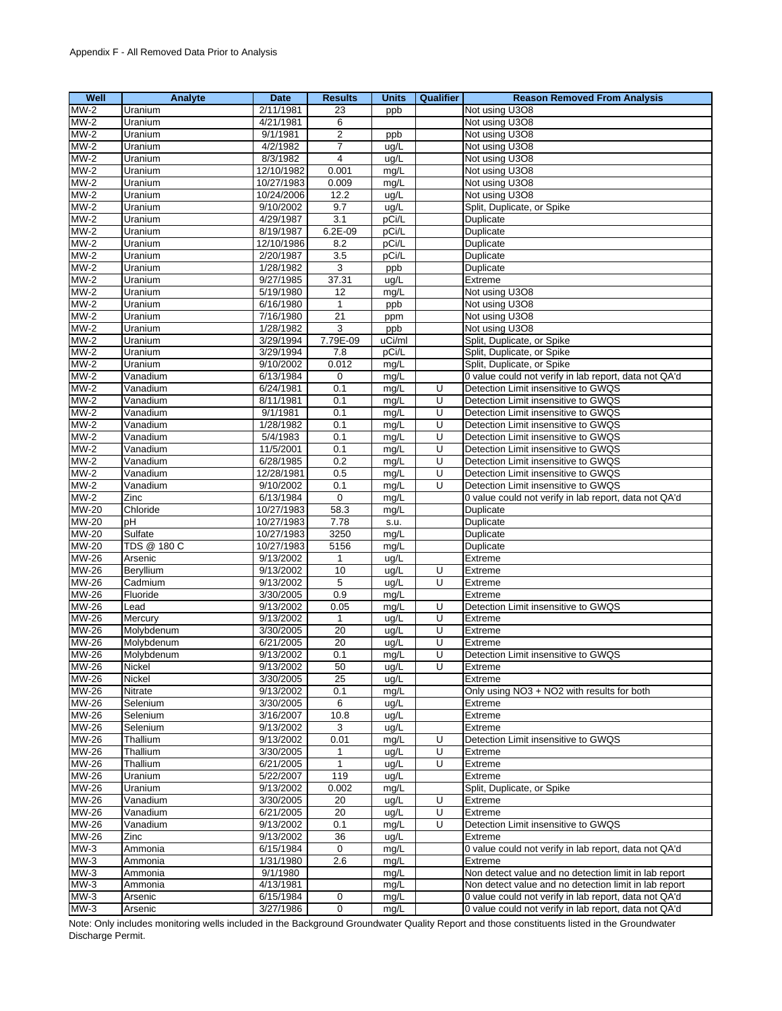| Well                       | Analyte       | Date                   | <b>Results</b>   | <b>Units</b> | Qualifier      | <b>Reason Removed From Analysis</b>                   |
|----------------------------|---------------|------------------------|------------------|--------------|----------------|-------------------------------------------------------|
| $MW-2$                     | Uranium       | 2/11/1981              | 23               | ppb          |                | Not using U3O8                                        |
| $MW-2$                     | Uranium       | 4/21/1981              | 6                |              |                | Not using U3O8                                        |
| $MW-2$                     | Uranium       | 9/1/1981               | $\overline{2}$   | ppb          |                | Not using U3O8                                        |
| $MW-2$                     | Uranium       | 4/2/1982               | 7                | ug/L         |                | Not using U3O8                                        |
| $MW-2$                     | Uranium       | 8/3/1982               | 4                | ug/L         |                | Not using U3O8                                        |
| $MW-2$                     | Uranium       | 12/10/1982             | 0.001            | mg/L         |                | Not using U3O8                                        |
| $MW-2$                     | Uranium       | 10/27/1983             | 0.009            | mg/L         |                | Not using U3O8                                        |
| $MW-2$                     | Uranium       | 10/24/2006             | 12.2             | ug/L         |                | Not using U3O8                                        |
| $MW-2$                     | Uranium       | 9/10/2002              | 9.7              | ug/L         |                | Split, Duplicate, or Spike                            |
| $MW-2$                     | Uranium       | 4/29/1987              | 3.1              | pCi/L        |                | <b>Duplicate</b>                                      |
| $MW-2$                     | Uranium       | 8/19/1987              | 6.2E-09          | pCi/L        |                | Duplicate                                             |
| $MW-2$                     | Uranium       | 12/10/1986             | 8.2              | pCi/L        |                | Duplicate                                             |
| $MW-2$                     | Uranium       | 2/20/1987              | 3.5              | pCi/L        |                | Duplicate                                             |
| $MW-2$                     | Uranium       | 1/28/1982              | 3                | ppb          |                | Duplicate                                             |
|                            |               |                        |                  |              |                | Extreme                                               |
| $MW-2$                     | Uranium       | 9/27/1985              | 37.31            | ug/L         |                |                                                       |
| $MW-2$                     | Uranium       | 5/19/1980              | 12               | mg/L         |                | Not using U3O8                                        |
| $MW-2$                     | Uranium       | 6/16/1980              | $\mathbf{1}$     | ppb          |                | Not using U3O8                                        |
| $MW-2$                     | Uranium       | 7/16/1980              | 21               | ppm          |                | Not using U3O8                                        |
| $MW-2$                     | Uranium       | 1/28/1982              | 3                | ppb          |                | Not using U3O8                                        |
| $MW-2$                     | Uranium       | 3/29/1994              | 7.79E-09         | uCi/ml       |                | Split, Duplicate, or Spike                            |
| $MW-2$                     | Uranium       | 3/29/1994              | 7.8              | pCi/L        |                | Split, Duplicate, or Spike                            |
| $MW-2$                     | Uranium       | 9/10/2002              | 0.012            | mg/L         |                | Split, Duplicate, or Spike                            |
| $MW-2$                     | Vanadium      | 6/13/1984              | 0                | mg/L         |                | 0 value could not verify in lab report, data not QA'd |
| $MW-2$                     | Vanadium      | 6/24/1981              | 0.1              | mg/L         | Ū              | Detection Limit insensitive to GWQS                   |
| $MW-2$                     | Vanadium      | 8/11/1981              | 0.1              | mg/L         | Ū              | Detection Limit insensitive to GWQS                   |
| $MW-2$                     | Vanadium      | 9/1/1981               | 0.1              | mg/L         | U              | Detection Limit insensitive to GWQS                   |
| $MW-2$                     | Vanadium      | 1/28/1982              | 0.1              | mg/L         | U              | Detection Limit insensitive to GWQS                   |
| $MW-2$                     | Vanadium      | 5/4/1983               | 0.1              | mg/L         | U              | Detection Limit insensitive to GWQS                   |
| $MW-2$                     | Vanadium      | 11/5/2001              | 0.1              | mg/L         | $\overline{U}$ | Detection Limit insensitive to GWQS                   |
| $MW-2$                     | Vanadium      | 6/28/1985              | 0.2              | mg/L         | U              | Detection Limit insensitive to GWQS                   |
| $MW-2$                     | Vanadium      | 12/28/1981             | 0.5              | mg/L         | U              | Detection Limit insensitive to GWQS                   |
| $MW-2$                     | Vanadium      | 9/10/2002              | 0.1              | mg/L         | U              | Detection Limit insensitive to GWQS                   |
| $MW-2$                     | Zinc          | 6/13/1984              | $\mathbf 0$      | mg/L         |                | 0 value could not verify in lab report, data not QA'd |
| <b>MW-20</b>               | Chloride      | 10/27/1983             | 58.3             | mg/L         |                | Duplicate                                             |
| <b>MW-20</b>               | рH            | 10/27/1983             | 7.78             | s.u.         |                | Duplicate                                             |
| MW-20                      | Sulfate       | 10/27/1983             | 3250             | mg/L         |                | Duplicate                                             |
| MW-20                      | TDS @ 180 C   | 10/27/1983             | 5156             | mg/L         |                | Duplicate                                             |
| $MW-26$                    | Arsenic       | 9/13/2002              | $\mathbf{1}$     | ug/L         |                | Extreme                                               |
| MW-26                      | Beryllium     | 9/13/2002              | 10               | ug/L         | U              | Extreme                                               |
| MW-26                      | Cadmium       | 9/13/2002              | 5                | ug/L         | U              | Extreme                                               |
| MW-26                      | Fluoride      | 3/30/2005              | 0.9              | mg/L         |                | Extreme                                               |
| MW-26                      | Lead          | 9/13/2002              | 0.05             | mg/L         | U              | Detection Limit insensitive to GWQS                   |
| MW-26                      | Mercury       | 9/13/2002              | $\mathbf{1}$     | ug/L         | $\overline{U}$ | Extreme                                               |
| MW-26                      | Molvbdenum    | 3/30/2005              | 20               | ug/L         | U              | Extreme                                               |
| MW-26                      | Molybdenum    | 6/21/2005              | 20               | ug/L         | U              | Extreme                                               |
| <b>MW-26</b>               | Molybdenum    | 9/13/2002              | 0.1              | mg/L         | U              | Detection Limit insensitive to GWQS                   |
| $\overline{\text{MW-26}}$  | <b>Nickel</b> | 9/13/2002              | 50               | ug/L         | U              | Extreme                                               |
| $\overline{\text{MW}}$ -26 | Nickel        | 3/30/2005              | 25               | ug/L         |                | Extreme                                               |
| MW-26                      | Nitrate       | 9/13/2002              | 0.1              | mg/L         |                | Only using NO3 + NO2 with results for both            |
| MW-26                      | Selenium      | 3/30/2005              | 6                | ug/L         |                | Extreme                                               |
| MW-26                      | Selenium      | 3/16/2007              | 10.8             | ug/L         |                | Extreme                                               |
| MW-26                      | Selenium      | 9/13/2002              | 3                | uq/L         |                | Extreme                                               |
| <b>MW-26</b>               | Thallium      | 9/13/2002              | 0.01             | mg/L         | U              | Detection Limit insensitive to GWQS                   |
| <b>MW-26</b>               | Thallium      | 3/30/2005              | 1                | ug/L         | U              | Extreme                                               |
| MW-26                      | Thallium      | 6/21/2005              | $\mathbf{1}$     | ug/L         | U              | Extreme                                               |
| MW-26                      | Uranium       | 5/22/2007              | 119              | ug/L         |                | Extreme                                               |
| MW-26                      | Uranium       | 9/13/2002              | 0.002            |              |                | Split, Duplicate, or Spike                            |
| <b>MW-26</b>               |               | 3/30/2005              |                  | mg/L         | U              |                                                       |
|                            | Vanadium      |                        | 20               | ug/L         | U              | Extreme                                               |
| MW-26                      | Vanadium      | 6/21/2005<br>9/13/2002 | 20               | uq/L         | U              | Extreme                                               |
| <b>MW-26</b>               | Vanadium      |                        | 0.1              | mg/L         |                | Detection Limit insensitive to GWQS                   |
| MW-26                      | Zinc          | 9/13/2002              | 36               | ug/L         |                | Extreme                                               |
| $MW-3$                     | Ammonia       | 6/15/1984              | 0                | mg/L         |                | 0 value could not verify in lab report, data not QA'd |
| $MW-3$                     | Ammonia       | 1/31/1980              | 2.6              | mg/L         |                | Extreme                                               |
| $MW-3$                     | Ammonia       | 9/1/1980               |                  | mg/L         |                | Non detect value and no detection limit in lab report |
| $\overline{\text{MW-3}}$   | Ammonia       | 4/13/1981              |                  | mg/L         |                | Non detect value and no detection limit in lab report |
| $MW-3$                     | Arsenic       | 6/15/1984              | 0                | mg/L         |                | 0 value could not verify in lab report, data not QA'd |
| $MW-3$                     | Arsenic       | 3/27/1986              | $\boldsymbol{0}$ | mg/L         |                | 0 value could not verify in lab report, data not QA'd |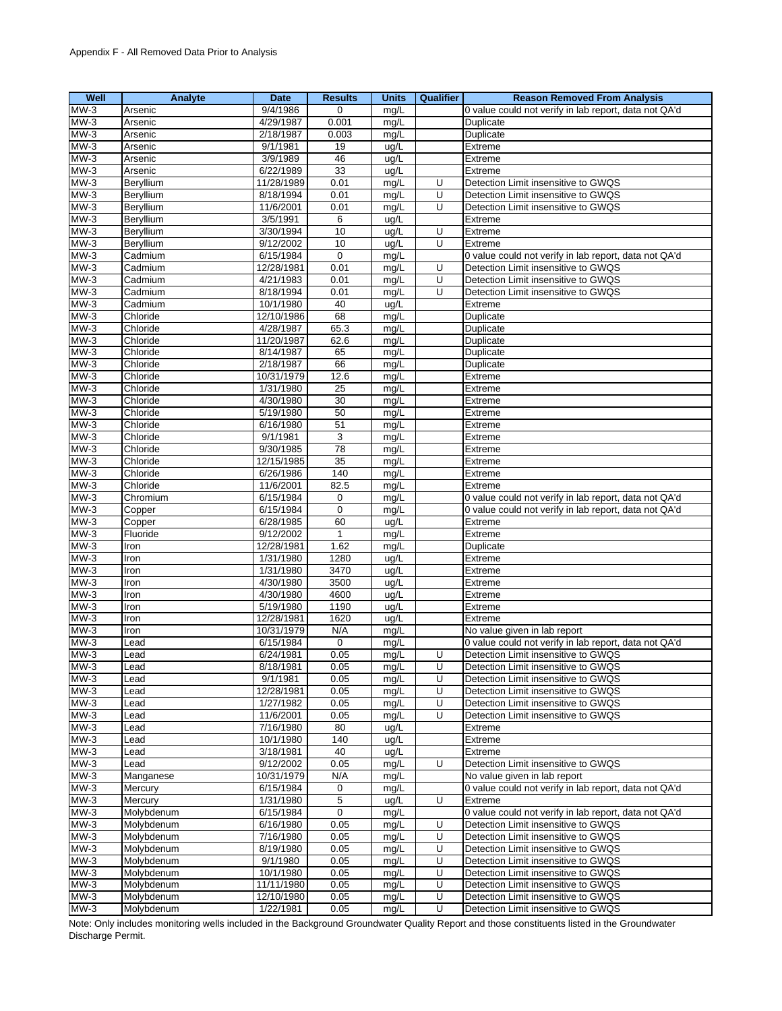| Well             | Analyte              | <b>Date</b>             | <b>Results</b> | <b>Units</b> | Qualifier | <b>Reason Removed From Analysis</b>                   |
|------------------|----------------------|-------------------------|----------------|--------------|-----------|-------------------------------------------------------|
| $MW-3$           | Arsenic              | 9/4/1986                | 0              | mg/L         |           | 0 value could not verify in lab report, data not QA'd |
| $MW-3$           | Arsenic              | 4/29/1987               | 0.001          | mg/L         |           | Duplicate                                             |
| $MW-3$           | Arsenic              | 2/18/1987               | 0.003          | mg/L         |           | Duplicate                                             |
| $MW-3$           | Arsenic              | 9/1/1981                | 19             | ug/L         |           | Extreme                                               |
| $MW-3$           | Arsenic              | 3/9/1989                | 46             | ug/L         |           | Extreme                                               |
| $MW-3$           | Arsenic              | 6/22/1989               | 33             | ug/L         |           | Extreme                                               |
| $MW-3$           | Beryllium            | 11/28/1989              | 0.01           | mg/L         | U         | Detection Limit insensitive to GWQS                   |
| $MW-3$           | Beryllium            | 8/18/1994               | 0.01           | mg/L         | U         | Detection Limit insensitive to GWQS                   |
| $MW-3$           | Beryllium            | 11/6/2001               | 0.01           | mg/L         | U         | Detection Limit insensitive to GWQS                   |
| $MW-3$           | Beryllium            | 3/5/1991                | 6              | ug/L         |           | Extreme                                               |
| $MW-3$           | Beryllium            | 3/30/1994               | 10             | ug/L         | U         | Extreme                                               |
| $MW-3$           | Beryllium            | 9/12/2002               | $10$           | ug/L         | U         | Extreme                                               |
| $MW-3$           | Cadmium              | 6/15/1984               | $\mathbf 0$    | mg/L         |           | 0 value could not verify in lab report, data not QA'd |
| $MW-3$           | Cadmium              | 12/28/1981              | 0.01           | mg/L         | U         | Detection Limit insensitive to GWQS                   |
| $MW-3$           | Cadmium              | 4/21/1983               | 0.01           | mg/L         | U         | Detection Limit insensitive to GWQS                   |
| $MW-3$           | Cadmium              | 8/18/1994               | 0.01           | mg/L         | U         | Detection Limit insensitive to GWQS                   |
| $MW-3$           | Cadmium              | 10/1/1980               | 40             | ug/L         |           | Extreme                                               |
| $MW-3$           | Chloride             | 12/10/1986              | 68             | mg/L         |           | Duplicate                                             |
| $MW-3$           | Chloride             | 4/28/1987               | 65.3           | mg/L         |           | Duplicate                                             |
| $MW-3$           | Chloride             | 11/20/1987              | 62.6           | mg/L         |           | Duplicate                                             |
| $MW-3$           | Chloride             | 8/14/1987               | 65             | mg/L         |           | Duplicate                                             |
| $MW-3$           | Chloride             | 2/18/1987               | 66             | mg/L         |           | Duplicate                                             |
| $MW-3$           | Chloride             | 10/31/1979              | 12.6           | mq/L         |           | Extreme                                               |
| $MW-3$           | Chloride             | 1/31/1980               | 25             | mg/L         |           | Extreme                                               |
| $MW-3$           | Chloride             | 4/30/1980               | 30             | mg/L         |           | Extreme                                               |
| $MW-3$           | Chloride             | 5/19/1980               | 50             | mg/L         |           | Extreme                                               |
| $MW-3$           | Chloride             | 6/16/1980               | 51             | mg/L         |           | Extreme                                               |
| $MW-3$           | Chloride             | 9/1/1981                | 3              | mg/L         |           | Extreme                                               |
| $MW-3$           | Chloride             | 9/30/1985<br>12/15/1985 | 78             | mg/L         |           | Extreme<br>Extreme                                    |
| $MW-3$<br>$MW-3$ | Chloride<br>Chloride | 6/26/1986               | 35<br>140      | mg/L<br>mg/L |           | Extreme                                               |
| $MW-3$           | Chloride             | 11/6/2001               | 82.5           | mg/L         |           | Extreme                                               |
| $MW-3$           | Chromium             | 6/15/1984               | 0              | mg/L         |           | 0 value could not verify in lab report, data not QA'd |
| $MW-3$           | Copper               | 6/15/1984               | $\mathbf 0$    | mg/L         |           | 0 value could not verify in lab report, data not QA'd |
| $MW-3$           | Copper               | 6/28/1985               | 60             | ug/L         |           | Extreme                                               |
| $MW-3$           | Fluoride             | 9/12/2002               | $\mathbf{1}$   | mg/L         |           | Extreme                                               |
| $MW-3$           | Iron                 | 12/28/1981              | 1.62           | mg/L         |           | Duplicate                                             |
| $MW-3$           | Iron                 | 1/31/1980               | 1280           | ug/L         |           | Extreme                                               |
| $MW-3$           | Iron                 | 1/31/1980               | 3470           | ug/L         |           | Extreme                                               |
| $MW-3$           | Iron                 | 4/30/1980               | 3500           | ug/L         |           | Extreme                                               |
| $MW-3$           | Iron                 | 4/30/1980               | 4600           | ug/L         |           | Extreme                                               |
| $MW-3$           | Iron                 | 5/19/1980               | 1190           | ug/L         |           | Extreme                                               |
| $MW-3$           | Iron                 | 12/28/1981              | 1620           | ug/L         |           | Extreme                                               |
| $MW-3$           | Iron                 | 10/31/1979              | N/A            | mg/L         |           | No value given in lab report                          |
| $MW-3$           | Lead                 | 6/15/1984               | 0              | mg/L         |           | 0 value could not verify in lab report, data not QA'd |
| $MW-3$           | Lead                 | 6/24/1981               | 0.05           | mg/L         | U         | Detection Limit insensitive to GWQS                   |
| $MW-3$           | Lead                 | 8/18/1981               | 0.05           | mg/L         | U         | Detection Limit insensitive to GWQS                   |
| $MW-3$           | .ead                 | 9/1/1981                | 0.05           | mg/L         | U         | Detection Limit insensitive to GWQS                   |
| $MW-3$           | Lead                 | 12/28/1981              | 0.05           | mg/L         | U         | Detection Limit insensitive to GWQS                   |
| $MW-3$           | Lead                 | 1/27/1982               | 0.05           | mg/L         | U         | Detection Limit insensitive to GWQS                   |
| $MW-3$           | _ead                 | 11/6/2001               | 0.05           | mg/L         | U         | Detection Limit insensitive to GWQS                   |
| $MW-3$           | Lead                 | 7/16/1980               | 80             | ug/L         |           | Extreme                                               |
| $MW-3$           | Lead                 | 10/1/1980               | 140            | ug/L         |           | Extreme                                               |
| $MW-3$           | .ead                 | 3/18/1981               | 40             | ug/L         |           | Extreme                                               |
| $MW-3$           | Lead                 | 9/12/2002               | 0.05           | mg/L         | U         | Detection Limit insensitive to GWQS                   |
| $MW-3$           | Manganese            | 10/31/1979              | N/A            | mg/L         |           | No value given in lab report                          |
| $MW-3$           | Mercury              | 6/15/1984               | 0              | mg/L         |           | 0 value could not verify in lab report, data not QA'd |
| $MW-3$           | Mercury              | 1/31/1980               | 5              | ug/L         | U         | Extreme                                               |
| $MW-3$           | Molybdenum           | 6/15/1984               | 0              | mg/L         |           | 0 value could not verify in lab report, data not QA'd |
| $MW-3$           | Molybdenum           | 6/16/1980               | 0.05           | mg/L         | U         | Detection Limit insensitive to GWQS                   |
| $MW-3$           | Molybdenum           | 7/16/1980               | 0.05           | mg/L         | U         | Detection Limit insensitive to GWQS                   |
| $MW-3$           | Molybdenum           | 8/19/1980               | 0.05           | mg/L         | U         | Detection Limit insensitive to GWQS                   |
| $MW-3$           | Molybdenum           | 9/1/1980                | 0.05           | mg/L         | U         | Detection Limit insensitive to GWQS                   |
| $MW-3$           | Molybdenum           | 10/1/1980               | 0.05           | mg/L         | U         | Detection Limit insensitive to GWQS                   |
| $MW-3$           | Molybdenum           | 11/11/1980              | 0.05           | mg/L         | U         | Detection Limit insensitive to GWQS                   |
| $MW-3$           | Molybdenum           | 12/10/1980              | 0.05           | mg/L         | U         | Detection Limit insensitive to GWQS                   |
| $MW-3$           | Molybdenum           | 1/22/1981               | 0.05           | mg/L         | U         | Detection Limit insensitive to GWQS                   |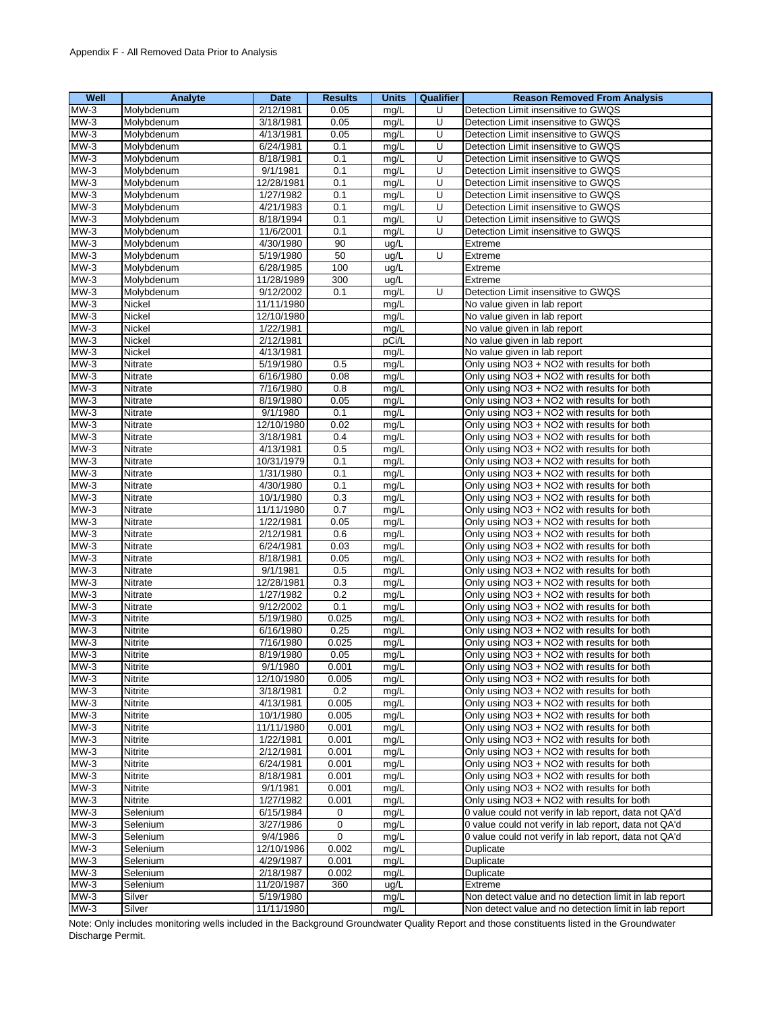| Well             | Analyte            | <b>Date</b>            | <b>Results</b> | <b>Units</b> | Qualifier | <b>Reason Removed From Analysis</b>                                                      |
|------------------|--------------------|------------------------|----------------|--------------|-----------|------------------------------------------------------------------------------------------|
| $MW-3$           | Molybdenum         | 2/12/1981              | 0.05           | mg/L         | U         | Detection Limit insensitive to GWQS                                                      |
| $MW-3$           | Molybdenum         | 3/18/1981              | 0.05           | mg/L         | U         | Detection Limit insensitive to GWQS                                                      |
| $MW-3$           | Molybdenum         | 4/13/1981              | 0.05           | mg/L         | U         | Detection Limit insensitive to GWQS                                                      |
| $MW-3$           | Molybdenum         | 6/24/1981              | 0.1            | mg/L         | U         | Detection Limit insensitive to GWQS                                                      |
| $MW-3$           | Molybdenum         | 8/18/1981              | 0.1            | mg/L         | U         | Detection Limit insensitive to GWQS                                                      |
| $MW-3$           | Molybdenum         | 9/1/1981               | 0.1            | mg/L         | U         | Detection Limit insensitive to GWQS                                                      |
| $MW-3$           | Molybdenum         | 12/28/1981             | 0.1            | mg/L         | U         | Detection Limit insensitive to GWQS                                                      |
| $MW-3$           | Molybdenum         | 1/27/1982              | 0.1            | mg/L         | U         | Detection Limit insensitive to GWQS                                                      |
| $MW-3$           | Molybdenum         | 4/21/1983              | 0.1            | mg/L         | U         | Detection Limit insensitive to GWQS                                                      |
| $MW-3$           | Molybdenum         | 8/18/1994              | 0.1            | mg/L         | U         | Detection Limit insensitive to GWQS                                                      |
| $MW-3$           | Molybdenum         | 11/6/2001              | 0.1            | mg/L         | U         | Detection Limit insensitive to GWQS                                                      |
| $MW-3$           | Molybdenum         | 4/30/1980              | 90             | ug/L         |           | Extreme                                                                                  |
| $MW-3$           | Molybdenum         | 5/19/1980              | 50             | ug/L         | U         | Extreme                                                                                  |
| $MW-3$           | Molybdenum         | 6/28/1985              | 100            | ug/L         |           | Extreme                                                                                  |
| $MW-3$           | Molybdenum         | 11/28/1989             | 300            | ug/L         |           | Extreme                                                                                  |
| $MW-3$           | Molybdenum         | 9/12/2002              | 0.1            | mg/L         | U         | Detection Limit insensitive to GWQS                                                      |
| $MW-3$           | Nickel             | 11/11/1980             |                | mg/L         |           | No value given in lab report                                                             |
| $MW-3$           | Nickel             | 12/10/1980             |                | mg/L         |           | No value given in lab report                                                             |
| $MW-3$<br>$MW-3$ | Nickel             | 1/22/1981<br>2/12/1981 |                | mg/L         |           | No value given in lab report                                                             |
| $MW-3$           | Nickel<br>Nickel   | 4/13/1981              |                | pCi/L        |           | No value given in lab report                                                             |
| $MW-3$           | Nitrate            | 5/19/1980              | 0.5            | mg/L<br>mg/L |           | No value given in lab report<br>Only using NO3 + NO2 with results for both               |
| $MW-3$           | Nitrate            | 6/16/1980              | 0.08           | mg/L         |           | Only using NO3 + NO2 with results for both                                               |
| $MW-3$           | Nitrate            | 7/16/1980              | 0.8            | mg/L         |           | Only using NO3 + NO2 with results for both                                               |
| $MW-3$           | Nitrate            | 8/19/1980              | 0.05           | mg/L         |           | Only using NO3 + NO2 with results for both                                               |
| $MW-3$           | Nitrate            | 9/1/1980               | 0.1            | mg/L         |           | Only using NO3 + NO2 with results for both                                               |
| $MW-3$           | Nitrate            | 12/10/1980             | 0.02           | mg/L         |           | Only using NO3 + NO2 with results for both                                               |
| $MW-3$           | Nitrate            | 3/18/1981              | 0.4            | mg/L         |           | Only using NO3 + NO2 with results for both                                               |
| $MW-3$           | Nitrate            | 4/13/1981              | 0.5            | mg/L         |           | Only using NO3 + NO2 with results for both                                               |
| $MW-3$           | Nitrate            | 10/31/1979             | 0.1            | mg/L         |           | Only using NO3 + NO2 with results for both                                               |
| $MW-3$           | Nitrate            | 1/31/1980              | 0.1            | mg/L         |           | Only using NO3 + NO2 with results for both                                               |
| $MW-3$           | Nitrate            | 4/30/1980              | 0.1            | mg/L         |           | Only using NO3 + NO2 with results for both                                               |
| $MW-3$           | Nitrate            | 10/1/1980              | 0.3            | mg/L         |           | Only using NO3 + NO2 with results for both                                               |
| $MW-3$           | Nitrate            | 11/11/1980             | 0.7            | mg/L         |           | Only using NO3 + NO2 with results for both                                               |
| $MW-3$           | Nitrate            | 1/22/1981              | 0.05           | mg/L         |           | Only using NO3 + NO2 with results for both                                               |
| $MW-3$           | Nitrate            | 2/12/1981              | 0.6            | mg/L         |           | Only using NO3 + NO2 with results for both                                               |
| $MW-3$           | Nitrate            | 6/24/1981              | 0.03           | mg/L         |           | Only using NO3 + NO2 with results for both                                               |
| $MW-3$           | Nitrate            | 8/18/1981              | 0.05           | mg/L         |           | Only using NO3 + NO2 with results for both                                               |
| $MW-3$           | Nitrate            | 9/1/1981               | 0.5            | mg/L         |           | Only using NO3 + NO2 with results for both                                               |
| $MW-3$           | Nitrate            | 12/28/1981             | 0.3            | mg/L         |           | Only using NO3 + NO2 with results for both                                               |
| $MW-3$           | Nitrate            | 1/27/1982              | 0.2            | mg/L         |           | Only using NO3 + NO2 with results for both                                               |
| $MW-3$           | Nitrate            | 9/12/2002              | 0.1            | mg/L         |           | Only using NO3 + NO2 with results for both                                               |
| $MW-3$           | Nitrite            | 5/19/1980              | 0.025          | mg/L         |           | Only using NO3 + NO2 with results for both                                               |
| $MW-3$           | Nitrite            | 6/16/1980              | 0.25           | mg/L         |           | Only using NO3 + NO2 with results for both                                               |
| $MW-3$           | Nitrite            | 7/16/1980              | 0.025          | mg/L         |           | Only using NO3 + NO2 with results for both                                               |
| $MW-3$           | Nitrite            | 8/19/1980              | 0.05           | mg/L         |           | Only using NO3 + NO2 with results for both                                               |
| $MW-3$           | Nitrite            | 9/1/1980               | 0.001          | mg/L         |           | Only using NO3 + NO2 with results for both                                               |
| $MW-3$           | Nitrite            | 12/10/1980             | 0.005          | mg/L         |           | Only using NO3 + NO2 with results for both                                               |
| $MW-3$           | Nitrite            | 3/18/1981              | 0.2            | mg/L         |           | Only using NO3 + NO2 with results for both                                               |
| $MW-3$           | Nitrite            | 4/13/1981              | 0.005          | mg/L         |           | Only using NO3 + NO2 with results for both                                               |
| $MW-3$           | Nitrite            | 10/1/1980              | 0.005          | mg/L         |           | Only using NO3 + NO2 with results for both                                               |
| $MW-3$<br>$MW-3$ | Nitrite            | 11/11/1980             | 0.001          | mg/L         |           | Only using NO3 + NO2 with results for both                                               |
|                  | Nitrite            | 1/22/1981              | 0.001          | mg/L         |           | Only using NO3 + NO2 with results for both                                               |
| $MW-3$           | Nitrite            | 2/12/1981              | 0.001          | mg/L         |           | Only using NO3 + NO2 with results for both                                               |
| $MW-3$<br>$MW-3$ | Nitrite<br>Nitrite | 6/24/1981<br>8/18/1981 | 0.001<br>0.001 | mg/L         |           | Only using NO3 + NO2 with results for both<br>Only using NO3 + NO2 with results for both |
| $MW-3$           | Nitrite            | 9/1/1981               | 0.001          | mg/L         |           | Only using NO3 + NO2 with results for both                                               |
| $MW-3$           | Nitrite            | 1/27/1982              | 0.001          | mg/L         |           | Only using NO3 + NO2 with results for both                                               |
| $MW-3$           | Selenium           | 6/15/1984              | 0              | mg/L<br>mg/L |           | 0 value could not verify in lab report, data not QA'd                                    |
| $MW-3$           | Selenium           | 3/27/1986              | $\mathbf 0$    | mg/L         |           | 0 value could not verify in lab report, data not QA'd                                    |
| $MW-3$           | Selenium           | 9/4/1986               | 0              | mg/L         |           | 0 value could not verify in lab report, data not QA'd                                    |
| $MW-3$           | Selenium           | 12/10/1986             | 0.002          | mg/L         |           | Duplicate                                                                                |
| $MW-3$           | Selenium           | 4/29/1987              | 0.001          | mg/L         |           | Duplicate                                                                                |
| $MW-3$           | Selenium           | 2/18/1987              | 0.002          | mg/L         |           | Duplicate                                                                                |
| $MW-3$           | Selenium           | 11/20/1987             | 360            | ug/L         |           | Extreme                                                                                  |
| $MW-3$           | Silver             | 5/19/1980              |                | mg/L         |           | Non detect value and no detection limit in lab report                                    |
| $MW-3$           | Silver             | 11/11/1980             |                | mg/L         |           | Non detect value and no detection limit in lab report                                    |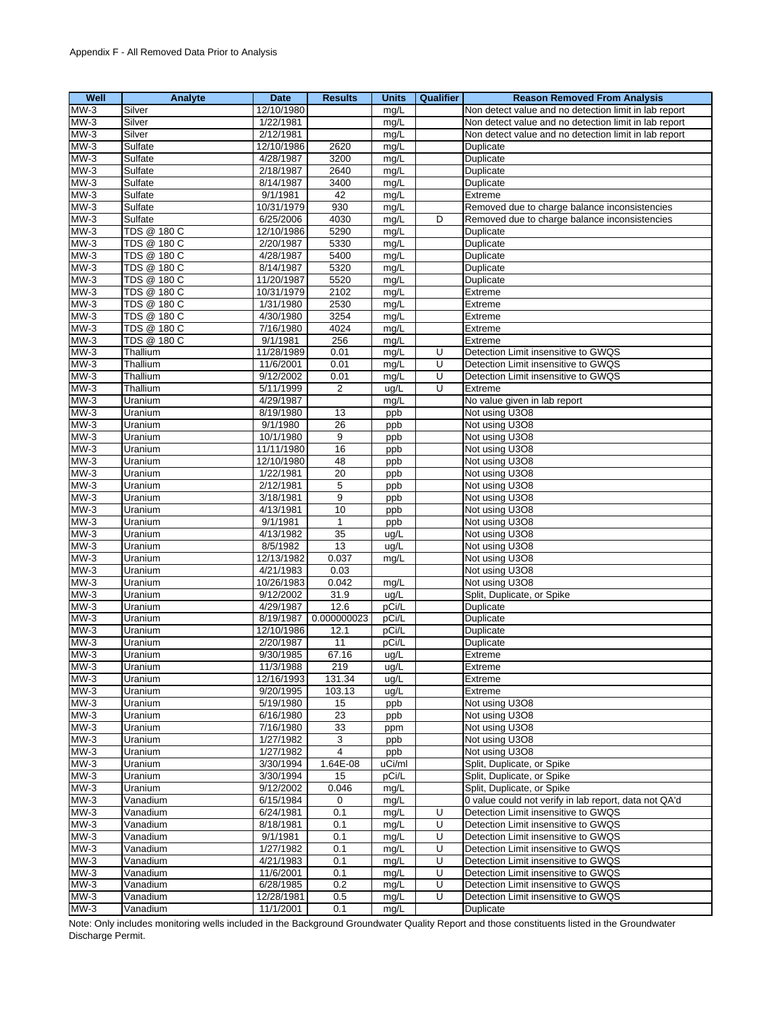| Well   | Analyte     | <b>Date</b> | <b>Results</b>  | <b>Units</b> | Qualifier | <b>Reason Removed From Analysis</b>                   |
|--------|-------------|-------------|-----------------|--------------|-----------|-------------------------------------------------------|
| $MW-3$ | Silver      | 12/10/1980  |                 | mg/L         |           | Non detect value and no detection limit in lab report |
| $MW-3$ | Silver      | 1/22/1981   |                 | mg/L         |           | Non detect value and no detection limit in lab report |
| $MW-3$ | Silver      | 2/12/1981   |                 | mg/L         |           | Non detect value and no detection limit in lab report |
| $MW-3$ | Sulfate     | 12/10/1986  | 2620            | mg/L         |           | Duplicate                                             |
| $MW-3$ | Sulfate     | 4/28/1987   | 3200            | mg/L         |           | Duplicate                                             |
| $MW-3$ | Sulfate     | 2/18/1987   | 2640            | mg/L         |           | Duplicate                                             |
| $MW-3$ | Sulfate     | 8/14/1987   | 3400            | mg/L         |           | Duplicate                                             |
| $MW-3$ | Sulfate     | 9/1/1981    | 42              | mg/L         |           | Extreme                                               |
| $MW-3$ | Sulfate     | 10/31/1979  | 930             | mg/L         |           | Removed due to charge balance inconsistencies         |
| $MW-3$ | Sulfate     | 6/25/2006   | 4030            | mg/L         | D         | Removed due to charge balance inconsistencies         |
| $MW-3$ | TDS @ 180 C |             | 5290            |              |           |                                                       |
| $MW-3$ |             | 12/10/1986  |                 | mg/L         |           | Duplicate                                             |
|        | TDS @ 180 C | 2/20/1987   | 5330            | mg/L         |           | Duplicate                                             |
| $MW-3$ | TDS @ 180 C | 4/28/1987   | 5400            | mg/L         |           | Duplicate                                             |
| $MW-3$ | TDS @ 180 C | 8/14/1987   | 5320            | mg/L         |           | Duplicate                                             |
| $MW-3$ | TDS @ 180 C | 11/20/1987  | 5520            | mg/L         |           | Duplicate                                             |
| $MW-3$ | TDS @ 180 C | 10/31/1979  | 2102            | mg/L         |           | Extreme                                               |
| $MW-3$ | TDS @ 180 C | 1/31/1980   | 2530            | mg/L         |           | Extreme                                               |
| $MW-3$ | TDS @ 180 C | 4/30/1980   | 3254            | mg/L         |           | Extreme                                               |
| $MW-3$ | TDS @ 180 C | 7/16/1980   | 4024            | mg/L         |           | Extreme                                               |
| $MW-3$ | TDS @ 180 C | 9/1/1981    | 256             | mg/L         |           | Extreme                                               |
| $MW-3$ | Thallium    | 11/28/1989  | 0.01            | mg/L         | U         | Detection Limit insensitive to GWQS                   |
| $MW-3$ | Thallium    | 11/6/2001   | 0.01            | mg/L         | U         | Detection Limit insensitive to GWQS                   |
| $MW-3$ | Thallium    | 9/12/2002   | 0.01            | mg/L         | U         | Detection Limit insensitive to GWQS                   |
| $MW-3$ | Thallium    | 5/11/1999   | $\overline{2}$  | ug/L         | Ū         | Extreme                                               |
| $MW-3$ | Uranium     | 4/29/1987   |                 | mg/L         |           | No value given in lab report                          |
| $MW-3$ | Uranium     | 8/19/1980   | 13              | ppb          |           | Not using U3O8                                        |
| $MW-3$ | Uranium     | 9/1/1980    | $\overline{26}$ | ppb          |           | Not using U3O8                                        |
| $MW-3$ | Uranium     | 10/1/1980   | 9               | ppb          |           | Not using U3O8                                        |
| $MW-3$ | Uranium     | 11/11/1980  | 16              | ppb          |           | Not using U3O8                                        |
| $MW-3$ | Uranium     | 12/10/1980  | 48              | ppb          |           | Not using U3O8                                        |
| $MW-3$ | Uranium     | 1/22/1981   | 20              | ppb          |           | Not using U3O8                                        |
| $MW-3$ | Uranium     | 2/12/1981   | 5               | ppb          |           | Not using U3O8                                        |
| $MW-3$ | Uranium     | 3/18/1981   | 9               |              |           | Not using U3O8                                        |
| $MW-3$ | Uranium     | 4/13/1981   | 10              | ppb          |           | Not using U3O8                                        |
|        |             |             |                 | ppb          |           |                                                       |
| $MW-3$ | Uranium     | 9/1/1981    | $\mathbf{1}$    | ppb          |           | Not using U3O8                                        |
| $MW-3$ | Uranium     | 4/13/1982   | 35              | ug/L         |           | Not using U3O8                                        |
| $MW-3$ | Uranium     | 8/5/1982    | 13              | ug/L         |           | Not using U3O8                                        |
| $MW-3$ | Uranium     | 12/13/1982  | 0.037           | mg/L         |           | Not using U3O8                                        |
| $MW-3$ | Uranium     | 4/21/1983   | 0.03            |              |           | Not using U3O8                                        |
| $MW-3$ | Uranium     | 10/26/1983  | 0.042           | mg/L         |           | Not using U3O8                                        |
| $MW-3$ | Uranium     | 9/12/2002   | 31.9            | ug/L         |           | Split, Duplicate, or Spike                            |
| $MW-3$ | Uranium     | 4/29/1987   | 12.6            | pCi/L        |           | Duplicate                                             |
| $MW-3$ | Uranium     | 8/19/1987   | 0.000000023     | pCi/L        |           | Duplicate                                             |
| $MW-3$ | Uranium     | 12/10/1986  | 12.1            | pCi/L        |           | Duplicate                                             |
| $MW-3$ | Uranium     | 2/20/1987   | 11              | pCi/L        |           | Duplicate                                             |
| $MW-3$ | Uranium     | 9/30/1985   | 67.16           | ug/L         |           | Extreme                                               |
| $MW-3$ | Uranıum     | 11/3/1988   | 219             | uq/L         |           | Extreme                                               |
| $MW-3$ | Uranium     | 12/16/1993  | 131.34          | ug/L         |           | Extreme                                               |
| $MW-3$ | Uranium     | 9/20/1995   | 103.13          | ug/L         |           | Extreme                                               |
| $MW-3$ | Uranium     | 5/19/1980   | 15              | ppb          |           | Not using U3O8                                        |
| $MW-3$ | Uranium     | 6/16/1980   | 23              | ppb          |           | Not using U3O8                                        |
| $MW-3$ | Uranium     | 7/16/1980   | 33              | ppm          |           | Not using U3O8                                        |
| $MW-3$ | Uranium     | 1/27/1982   | 3               | ppb          |           | Not using U3O8                                        |
| $MW-3$ | Uranium     | 1/27/1982   | $\overline{4}$  | ppb          |           | Not using U3O8                                        |
| $MW-3$ | Uranium     | 3/30/1994   | 1.64E-08        | uCi/ml       |           | Split, Duplicate, or Spike                            |
| $MW-3$ | Uranium     | 3/30/1994   | 15              | pCi/L        |           | Split, Duplicate, or Spike                            |
| $MW-3$ | Uranium     | 9/12/2002   | 0.046           | mg/L         |           | Split, Duplicate, or Spike                            |
| $MW-3$ | Vanadium    | 6/15/1984   | 0               | mg/L         |           | 0 value could not verify in lab report, data not QA'd |
|        |             |             |                 |              |           |                                                       |
| $MW-3$ | Vanadium    | 6/24/1981   | 0.1             | mg/L         | U         | Detection Limit insensitive to GWQS                   |
| $MW-3$ | Vanadium    | 8/18/1981   | 0.1             | mg/L         | U         | Detection Limit insensitive to GWQS                   |
| $MW-3$ | Vanadium    | 9/1/1981    | 0.1             | mg/L         | U         | Detection Limit insensitive to GWQS                   |
| $MW-3$ | Vanadium    | 1/27/1982   | 0.1             | mg/L         | U         | Detection Limit insensitive to GWQS                   |
| $MW-3$ | Vanadium    | 4/21/1983   | 0.1             | mq/L         | U         | Detection Limit insensitive to GWQS                   |
| $MW-3$ | Vanadium    | 11/6/2001   | 0.1             | mg/L         | U         | Detection Limit insensitive to GWQS                   |
| $MW-3$ | Vanadium    | 6/28/1985   | 0.2             | mq/L         | U         | Detection Limit insensitive to GWQS                   |
| $MW-3$ | Vanadium    | 12/28/1981  | 0.5             | mg/L         | U         | Detection Limit insensitive to GWQS                   |
| $MW-3$ | Vanadium    | 11/1/2001   | 0.1             | mg/L         |           | Duplicate                                             |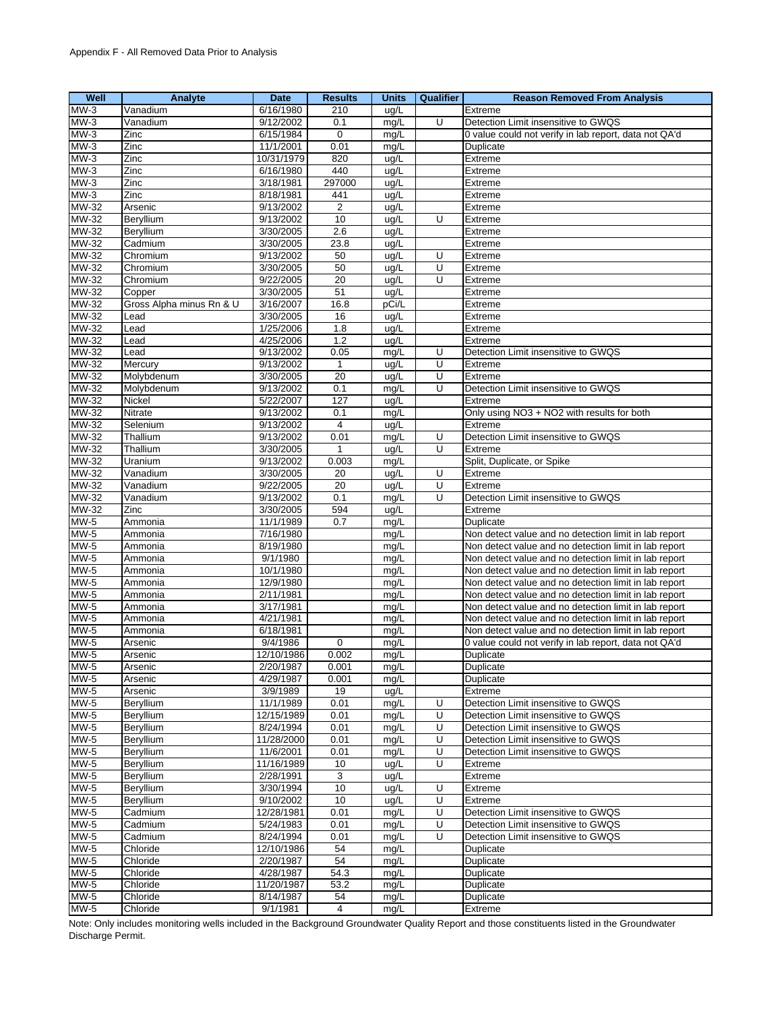| Well                     | Analyte                  | <b>Date</b> | <b>Results</b>        | <b>Units</b> | Qualifier | <b>Reason Removed From Analysis</b>                   |
|--------------------------|--------------------------|-------------|-----------------------|--------------|-----------|-------------------------------------------------------|
| $MW-3$                   | Vanadium                 | 6/16/1980   | 210                   | ug/L         |           | Extreme                                               |
| $MW-3$                   | Vanadium                 | 9/12/2002   | 0.1                   | mg/L         | U         | Detection Limit insensitive to GWQS                   |
| $MW-3$                   | Zinc                     | 6/15/1984   | $\mathbf 0$           | mg/L         |           | 0 value could not verify in lab report, data not QA'd |
| $MW-3$                   | Zinc                     | 11/1/2001   | 0.01                  | mg/L         |           | Duplicate                                             |
| $MW-3$                   | Zinc                     | 10/31/1979  | 820                   | ug/L         |           | Extreme                                               |
| $MW-3$                   | Zinc                     | 6/16/1980   | 440                   | ug/L         |           | Extreme                                               |
| $MW-3$                   | Zinc                     | 3/18/1981   | 297000                | ug/L         |           | Extreme                                               |
| $MW-3$                   | Zinc                     | 8/18/1981   |                       |              |           | Extreme                                               |
|                          |                          |             | 441<br>$\overline{2}$ | ug/L         |           |                                                       |
| MW-32                    | Arsenic                  | 9/13/2002   |                       | ug/L         |           | Extreme                                               |
| MW-32                    | Beryllium                | 9/13/2002   | 10                    | ug/L         | U         | Extreme                                               |
| MW-32                    | Beryllium                | 3/30/2005   | 2.6                   | ug/L         |           | Extreme                                               |
| MW-32                    | Cadmium                  | 3/30/2005   | 23.8                  | ug/L         |           | Extreme                                               |
| <b>MW-32</b>             | Chromium                 | 9/13/2002   | 50                    | ug/L         | U         | Extreme                                               |
| <b>MW-32</b>             | Chromium                 | 3/30/2005   | 50                    | ug/L         | U         | Extreme                                               |
| MW-32                    | Chromium                 | 9/22/2005   | 20                    | ug/L         | U         | Extreme                                               |
| MW-32                    | Copper                   | 3/30/2005   | 51                    | ug/L         |           | Extreme                                               |
| MW-32                    | Gross Alpha minus Rn & U | 3/16/2007   | 16.8                  | pCi/L        |           | Extreme                                               |
| MW-32                    | Lead                     | 3/30/2005   | 16                    | ug/L         |           | Extreme                                               |
| MW-32                    | Lead                     | 1/25/2006   | 1.8                   | ug/L         |           | Extreme                                               |
| MW-32                    | Lead                     | 4/25/2006   | 1.2                   | ug/L         |           | Extreme                                               |
| MW-32                    | Lead                     | 9/13/2002   | 0.05                  | mg/L         | U         | Detection Limit insensitive to GWQS                   |
| MW-32                    | Mercury                  | 9/13/2002   | $\mathbf{1}$          | ug/L         | U         | Extreme                                               |
| MW-32                    | Molybdenum               | 3/30/2005   | 20                    | ug/L         | U         | Extreme                                               |
| $MW-32$                  | Molybdenum               | 9/13/2002   | 0.1                   | mq/L         | U         | Detection Limit insensitive to GWQS                   |
| MW-32                    | Nickel                   | 5/22/2007   | 127                   | ug/L         |           | Extreme                                               |
| MW-32                    | <b>Nitrate</b>           | 9/13/2002   | 0.1                   | mg/L         |           | Only using NO3 + NO2 with results for both            |
| $MW-32$                  | Selenium                 | 9/13/2002   | $\overline{4}$        | ug/L         |           | Extreme                                               |
| MW-32                    | Thallium                 | 9/13/2002   | 0.01                  | mg/L         | U         | Detection Limit insensitive to GWQS                   |
| MW-32                    | Thallium                 | 3/30/2005   | 1                     | ug/L         | U         | Extreme                                               |
| MW-32                    | Uranium                  | 9/13/2002   |                       |              |           | Split, Duplicate, or Spike                            |
| $MW-32$                  |                          |             | 0.003                 | mg/L         |           |                                                       |
|                          | Vanadium                 | 3/30/2005   | 20                    | ug/L         | U         | Extreme                                               |
| <b>MW-32</b>             | Vanadium                 | 9/22/2005   | 20                    | ug/L         | Ū         | Extreme                                               |
| MW-32                    | Vanadium                 | 9/13/2002   | 0.1                   | mg/L         | U         | Detection Limit insensitive to GWQS                   |
| MW-32                    | Zinc                     | 3/30/2005   | 594                   | ug/L         |           | Extreme                                               |
| MW-5                     | Ammonia                  | 11/1/1989   | 0.7                   | mg/L         |           | Duplicate                                             |
| <b>MW-5</b>              | Ammonia                  | 7/16/1980   |                       | mg/L         |           | Non detect value and no detection limit in lab report |
| $MW-5$                   | Ammonia                  | 8/19/1980   |                       | mg/L         |           | Non detect value and no detection limit in lab report |
| $MW-5$                   | Ammonia                  | 9/1/1980    |                       | mg/L         |           | Non detect value and no detection limit in lab report |
| MW-5                     | Ammonia                  | 10/1/1980   |                       | mg/L         |           | Non detect value and no detection limit in lab report |
| <b>MW-5</b>              | Ammonia                  | 12/9/1980   |                       | mg/L         |           | Non detect value and no detection limit in lab report |
| <b>MW-5</b>              | Ammonia                  | 2/11/1981   |                       | mg/L         |           | Non detect value and no detection limit in lab report |
| $MW-5$                   | Ammonia                  | 3/17/1981   |                       | mg/L         |           | Non detect value and no detection limit in lab report |
| <b>MW-5</b>              | Ammonia                  | 4/21/1981   |                       | mg/L         |           | Non detect value and no detection limit in lab report |
| $MW-5$                   | Ammonia                  | 6/18/1981   |                       | mg/L         |           | Non detect value and no detection limit in lab report |
| $MW-5$                   | Arsenic                  | 9/4/1986    | 0                     | mg/L         |           | 0 value could not verify in lab report, data not QA'd |
| $MW-5$                   | Arsenic                  | 12/10/1986  | 0.002                 | mg/L         |           | Duplicate                                             |
| $MW-5$                   | Arsenic                  | 2/20/1987   | 0.001                 | mg/L         |           | Duplicate                                             |
| $\overline{\text{MW-5}}$ | Arsenic                  | 4/29/1987   | 0.001                 | mg/L         |           | Duplicate                                             |
| <b>MW-5</b>              | Arsenic                  | 3/9/1989    | 19                    | ug/L         |           | Extreme                                               |
| $MW-5$                   | Beryllium                | 11/1/1989   | 0.01                  | mg/L         | U         | Detection Limit insensitive to GWQS                   |
| <b>MW-5</b>              | Beryllium                | 12/15/1989  | 0.01                  | mg/L         | U         | Detection Limit insensitive to GWQS                   |
| <b>MW-5</b>              | Beryllium                | 8/24/1994   | 0.01                  | mg/L         | Ū         | Detection Limit insensitive to GWQS                   |
| <b>MW-5</b>              | Beryllium                | 11/28/2000  | 0.01                  | mg/L         | U         | Detection Limit insensitive to GWQS                   |
| MW-5                     | Beryllium                | 11/6/2001   | 0.01                  | mg/L         | U         | Detection Limit insensitive to GWQS                   |
| $MW-5$                   | Beryllium                | 11/16/1989  | 10                    | ug/L         | U         | Extreme                                               |
| MW-5                     | Beryllium                | 2/28/1991   |                       |              |           |                                                       |
| $MW-5$                   |                          |             | 3                     | uq/L         |           | Extreme                                               |
|                          | Beryllium                | 3/30/1994   | 10                    | ug/L         | U         | Extreme                                               |
| <b>MW-5</b>              | Beryllium                | 9/10/2002   | 10                    | ug/L         | U         | Extreme                                               |
| <b>MW-5</b>              | Cadmium                  | 12/28/1981  | 0.01                  | mg/L         | U         | Detection Limit insensitive to GWQS                   |
| $MW-5$                   | Cadmium                  | 5/24/1983   | 0.01                  | mg/L         | U         | Detection Limit insensitive to GWQS                   |
| <b>MW-5</b>              | Cadmium                  | 8/24/1994   | 0.01                  | mg/L         | U         | Detection Limit insensitive to GWQS                   |
| <b>MW-5</b>              | Chloride                 | 12/10/1986  | 54                    | mg/L         |           | Duplicate                                             |
| <b>MW-5</b>              | Chloride                 | 2/20/1987   | 54                    | mg/L         |           | Duplicate                                             |
| <b>MW-5</b>              | Chloride                 | 4/28/1987   | 54.3                  | mg/L         |           | Duplicate                                             |
| <b>MW-5</b>              | Chloride                 | 11/20/1987  | 53.2                  | mg/L         |           | Duplicate                                             |
| MW-5                     | Chloride                 | 8/14/1987   | 54                    | mg/L         |           | Duplicate                                             |
| <b>MW-5</b>              | Chloride                 | 9/1/1981    | $\overline{4}$        | mg/L         |           | Extreme                                               |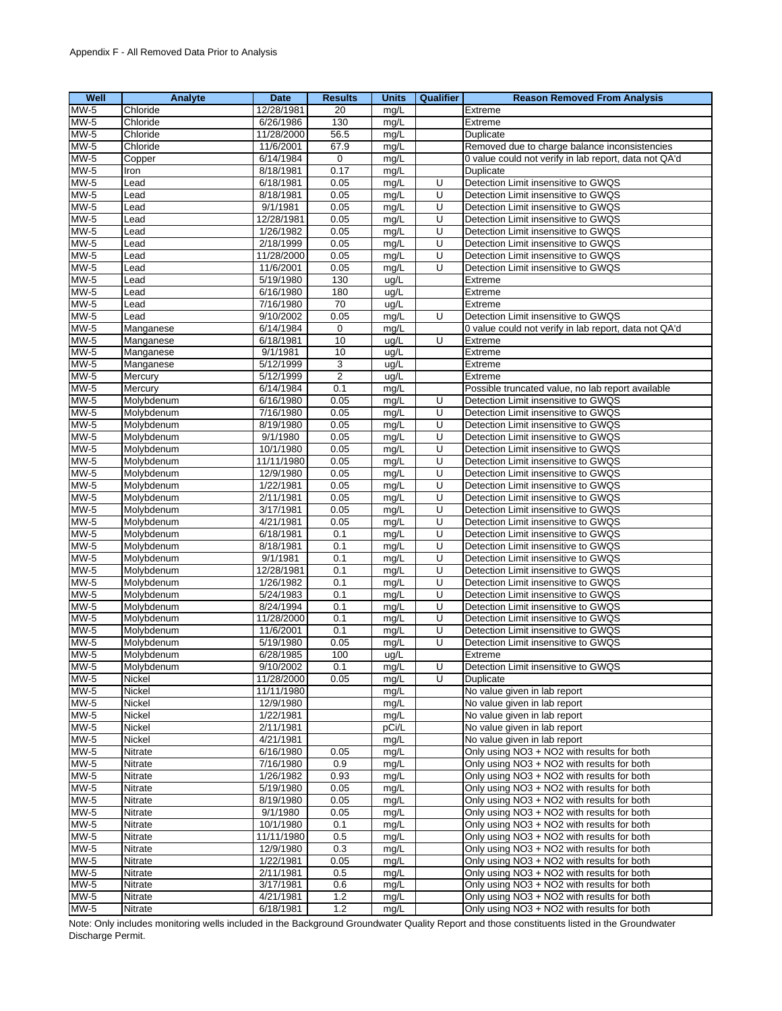| Well                     | Analyte        | Date                   | <b>Results</b> | <b>Units</b> | Qualifier      | <b>Reason Removed From Analysis</b>                   |
|--------------------------|----------------|------------------------|----------------|--------------|----------------|-------------------------------------------------------|
| $\overline{\text{MW-5}}$ | Chloride       | 12/28/1981             | 20             | mg/L         |                | Extreme                                               |
| $MW-5$                   | Chloride       | 6/26/1986              | 130            | mg/L         |                | Extreme                                               |
| MW-5                     | Chloride       | 11/28/2000             | 56.5           | mg/L         |                | Duplicate                                             |
| MW-5                     | Chloride       | 11/6/2001              | 67.9           | mg/L         |                | Removed due to charge balance inconsistencies         |
| $MW-5$                   | Copper         | 6/14/1984              | $\mathbf 0$    | mq/L         |                | 0 value could not verify in lab report, data not QA'd |
| MW-5                     | Iron           | 8/18/1981              | 0.17           | mg/L         |                | Duplicate                                             |
|                          |                |                        |                |              | U              |                                                       |
| $MW-5$                   | Lead           | 6/18/1981              | 0.05           | mg/L         |                | Detection Limit insensitive to GWQS                   |
| <b>MW-5</b>              | Lead           | 8/18/1981              | 0.05           | mg/L         | U              | Detection Limit insensitive to GWQS                   |
| <b>MW-5</b>              | Lead           | 9/1/1981               | 0.05           | mg/L         | U              | Detection Limit insensitive to GWQS                   |
| $MW-5$                   | Lead           | 12/28/1981             | 0.05           | mg/L         | U              | Detection Limit insensitive to GWQS                   |
| MW-5                     | Lead           | 1/26/1982              | 0.05           | mg/L         | U              | Detection Limit insensitive to GWQS                   |
| <b>MW-5</b>              | Lead           | 2/18/1999              | 0.05           | mg/L         | U              | Detection Limit insensitive to GWQS                   |
| MW-5                     | Lead           | 11/28/2000             | 0.05           | mg/L         | U              | Detection Limit insensitive to GWQS                   |
| $MW-5$                   | Lead           | 11/6/2001              | 0.05           | mg/L         | U              | Detection Limit insensitive to GWQS                   |
| <b>MW-5</b>              | Lead           | 5/19/1980              | 130            | ug/L         |                | Extreme                                               |
| MW-5                     | Lead           | 6/16/1980              | 180            | ug/L         |                | Extreme                                               |
| $MW-5$                   | Lead           | 7/16/1980              | 70             | ug/L         |                | Extreme                                               |
| <b>MW-5</b>              | Lead           | 9/10/2002              | 0.05           | mg/L         | U              | Detection Limit insensitive to GWQS                   |
| <b>MW-5</b>              | Manganese      | $\overline{6/14/1984}$ | 0              | mg/L         |                | 0 value could not verify in lab report, data not QA'd |
| MW-5                     | Manganese      | 6/18/1981              | 10             | ug/L         | U              | Extreme                                               |
| $MW-5$                   | Manganese      | 9/1/1981               | 10             | ug/L         |                | Extreme                                               |
|                          |                |                        |                |              |                |                                                       |
| <b>MW-5</b>              | Manganese      | 5/12/1999              | 3              | ug/L         |                | Extreme                                               |
| $MW-5$                   | Mercury        | 5/12/1999              | $\overline{2}$ | ug/L         |                | Extreme                                               |
| $MW-5$                   | Mercury        | 6/14/1984              | 0.1            | mq/L         |                | Possible truncated value, no lab report available     |
| <b>MW-5</b>              | Molybdenum     | 6/16/1980              | 0.05           | mg/L         | U              | Detection Limit insensitive to GWQS                   |
| $MW-5$                   | Molvbdenum     | 7/16/1980              | 0.05           | mg/L         | U              | Detection Limit insensitive to GWQS                   |
| MW-5                     | Molybdenum     | 8/19/1980              | 0.05           | mq/L         | U              | Detection Limit insensitive to GWQS                   |
| $MW-5$                   | Molybdenum     | 9/1/1980               | 0.05           | mg/L         | U              | Detection Limit insensitive to GWQS                   |
| <b>MW-5</b>              | Molybdenum     | 10/1/1980              | 0.05           | mg/L         | U              | Detection Limit insensitive to GWQS                   |
| MW-5                     | Molybdenum     | 11/11/1980             | 0.05           | mg/L         | U              | Detection Limit insensitive to GWQS                   |
| $MW-5$                   | Molybdenum     | 12/9/1980              | 0.05           | mg/L         | U              | Detection Limit insensitive to GWQS                   |
| MW-5                     | Molybdenum     | 1/22/1981              | 0.05           | mg/L         | U              | Detection Limit insensitive to GWQS                   |
| $MW-5$                   | Molybdenum     | 2/11/1981              | 0.05           | mg/L         | U              | Detection Limit insensitive to GWQS                   |
| <b>MW-5</b>              | Molybdenum     | 3/17/1981              | 0.05           | mg/L         | U              | Detection Limit insensitive to GWQS                   |
| MW-5                     | Molybdenum     | 4/21/1981              | 0.05           | mg/L         | U              | Detection Limit insensitive to GWQS                   |
|                          |                |                        |                |              | U              |                                                       |
| <b>MW-5</b>              | Molybdenum     | 6/18/1981              | 0.1            | mq/L         |                | Detection Limit insensitive to GWQS                   |
| MW-5                     | Molybdenum     | 8/18/1981              | 0.1            | mg/L         | U              | Detection Limit insensitive to GWQS                   |
| $MW-5$                   | Molybdenum     | 9/1/1981               | 0.1            | mg/L         | U              | Detection Limit insensitive to GWQS                   |
| MW-5                     | Molybdenum     | 12/28/1981             | 0.1            | mg/L         | U              | Detection Limit insensitive to GWQS                   |
| <b>MW-5</b>              | Molybdenum     | 1/26/1982              | 0.1            | mg/L         | U              | Detection Limit insensitive to GWQS                   |
| MW-5                     | Molybdenum     | 5/24/1983              | 0.1            | mg/L         | U              | Detection Limit insensitive to GWQS                   |
| MW-5                     | Molybdenum     | $\sqrt{8/24/1994}$     | 0.1            | mg/L         | U              | Detection Limit insensitive to GWQS                   |
| <b>MW-5</b>              | Molybdenum     | 11/28/2000             | 0.1            | mg/L         | $\overline{U}$ | Detection Limit insensitive to GWQS                   |
| MW-5                     | Molybdenum     | 11/6/2001              | 0.1            | mg/L         | U              | Detection Limit insensitive to GWQS                   |
| MW-5                     | Molybdenum     | 5/19/1980              | 0.05           | mg/L         | U              | Detection Limit insensitive to GWQS                   |
| $MW-5$                   | Molybdenum     | 6/28/1985              | 100            | ug/L         |                | Extreme                                               |
| $MW-5$                   | Molybdenum     | 9/10/2002              | 0.1            | mg/L         | U              | Detection Limit insensitive to GWQS                   |
| $\overline{\text{MW-5}}$ | Nickel         | 11/28/2000             | 0.05           | mg/L         | U              | Duplicate                                             |
| <b>MW-5</b>              | Nickel         | 11/11/1980             |                | mg/L         |                | No value given in lab report                          |
| <b>MW-5</b>              | Nickel         | 12/9/1980              |                | mg/L         |                | No value given in lab report                          |
| <b>MW-5</b>              | Nickel         | 1/22/1981              |                |              |                | No value given in lab report                          |
|                          |                |                        |                | mg/L         |                |                                                       |
| <b>MW-5</b>              | Nickel         | 2/11/1981              |                | pCi/L        |                | No value given in lab report                          |
| <b>MW-5</b>              | Nickel         | 4/21/1981              |                | mg/L         |                | No value given in lab report                          |
| MW-5                     | Nitrate        | 6/16/1980              | 0.05           | mg/L         |                | Only using NO3 + NO2 with results for both            |
| <b>MW-5</b>              | Nitrate        | 7/16/1980              | 0.9            | mg/L         |                | Only using NO3 + NO2 with results for both            |
| MW-5                     | Nitrate        | 1/26/1982              | 0.93           | mg/L         |                | Only using NO3 + NO2 with results for both            |
| $MW-5$                   | <b>Nitrate</b> | 5/19/1980              | 0.05           | mg/L         |                | Only using NO3 + NO2 with results for both            |
| <b>MW-5</b>              | Nitrate        | 8/19/1980              | 0.05           | mg/L         |                | Only using NO3 + NO2 with results for both            |
| <b>MW-5</b>              | Nitrate        | 9/1/1980               | 0.05           | mg/L         |                | Only using NO3 + NO2 with results for both            |
| MW-5                     | Nitrate        | 10/1/1980              | 0.1            | mg/L         |                | Only using NO3 + NO2 with results for both            |
| MW-5                     | Nitrate        | 11/11/1980             | 0.5            | mg/L         |                | Only using NO3 + NO2 with results for both            |
| <b>MW-5</b>              | Nitrate        | 12/9/1980              | 0.3            | mg/L         |                | Only using NO3 + NO2 with results for both            |
| <b>MW-5</b>              | Nitrate        | 1/22/1981              | 0.05           | mg/L         |                | Only using NO3 + NO2 with results for both            |
| <b>MW-5</b>              | Nitrate        | 2/11/1981              | 0.5            | mg/L         |                | Only using NO3 + NO2 with results for both            |
| $MW-5$                   | Nitrate        | 3/17/1981              | 0.6            | mg/L         |                | Only using NO3 + NO2 with results for both            |
| MW-5                     |                |                        |                |              |                | Only using NO3 + NO2 with results for both            |
|                          | Nitrate        | 4/21/1981              | $1.2$          | mg/L         |                |                                                       |
| <b>MW-5</b>              | Nitrate        | 6/18/1981              | $1.2$          | mg/L         |                | Only using NO3 + NO2 with results for both            |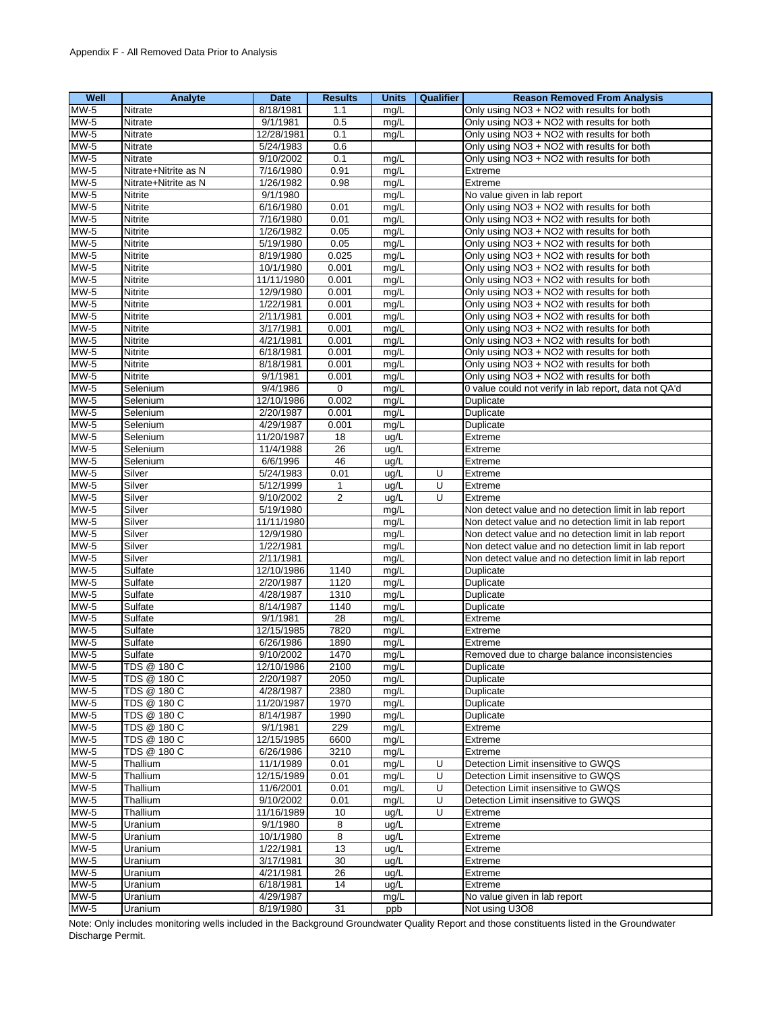| Well        | Analyte              | Date       | <b>Results</b> | <b>Units</b> | <b>Qualifier</b> | <b>Reason Removed From Analysis</b>                   |
|-------------|----------------------|------------|----------------|--------------|------------------|-------------------------------------------------------|
| $MW-5$      | Nitrate              | 8/18/1981  | 1.1            | mg/L         |                  | Only using NO3 + NO2 with results for both            |
| MW-5        | Nitrate              | 9/1/1981   | 0.5            | mg/L         |                  | Only using NO3 + NO2 with results for both            |
| $MW-5$      | Nitrate              | 12/28/1981 | 0.1            | mg/L         |                  | Only using NO3 + NO2 with results for both            |
| <b>MW-5</b> | Nitrate              | 5/24/1983  | 0.6            |              |                  | Only using NO3 + NO2 with results for both            |
| $MW-5$      | Nitrate              | 9/10/2002  | 0.1            | mg/L         |                  | Only using NO3 + NO2 with results for both            |
| $MW-5$      | Nitrate+Nitrite as N | 7/16/1980  | 0.91           | mg/L         |                  | Extreme                                               |
| $MW-5$      | Nitrate+Nitrite as N | 1/26/1982  | 0.98           | mg/L         |                  | Extreme                                               |
| $MW-5$      | Nitrite              | 9/1/1980   |                | mg/L         |                  | No value given in lab report                          |
| $MW-5$      | Nitrite              | 6/16/1980  | 0.01           | mg/L         |                  | Only using NO3 + NO2 with results for both            |
| $MW-5$      | <b>Nitrite</b>       | 7/16/1980  | 0.01           | mg/L         |                  | Only using NO3 + NO2 with results for both            |
| $MW-5$      | Nitrite              | 1/26/1982  | 0.05           | mg/L         |                  | Only using NO3 + NO2 with results for both            |
| $MW-5$      | Nitrite              | 5/19/1980  | 0.05           | mg/L         |                  | Only using NO3 + NO2 with results for both            |
| $MW-5$      | Nitrite              | 8/19/1980  | 0.025          | mg/L         |                  | Only using NO3 + NO2 with results for both            |
| $MW-5$      | Nitrite              | 10/1/1980  | 0.001          | mg/L         |                  | Only using NO3 + NO2 with results for both            |
| $MW-5$      | Nitrite              | 11/11/1980 | 0.001          | mg/L         |                  | Only using NO3 + NO2 with results for both            |
| $MW-5$      | Nitrite              | 12/9/1980  | 0.001          | mg/L         |                  | Only using NO3 + NO2 with results for both            |
| $MW-5$      | Nitrite              | 1/22/1981  | 0.001          | mg/L         |                  | Only using NO3 + NO2 with results for both            |
| $MW-5$      | Nitrite              | 2/11/1981  | 0.001          | mg/L         |                  | Only using NO3 + NO2 with results for both            |
| MW-5        | Nitrite              | 3/17/1981  | 0.001          | mg/L         |                  | Only using NO3 + NO2 with results for both            |
| $MW-5$      | Nitrite              | 4/21/1981  | 0.001          | mg/L         |                  | Only using NO3 + NO2 with results for both            |
| MW-5        | Nitrite              | 6/18/1981  | 0.001          | mg/L         |                  | Only using NO3 + NO2 with results for both            |
| $MW-5$      | Nitrite              | 8/18/1981  | 0.001          | mg/L         |                  | Only using NO3 + NO2 with results for both            |
| MW-5        | Nitrite              | 9/1/1981   | 0.001          | mg/L         |                  | Only using NO3 + NO2 with results for both            |
| $MW-5$      | Selenium             | 9/4/1986   | 0              | mg/L         |                  | 0 value could not verify in lab report, data not QA'd |
| $MW-5$      | Selenium             | 12/10/1986 | 0.002          | mg/L         |                  | Duplicate                                             |
| MW-5        | Selenium             | 2/20/1987  | 0.001          | mg/L         |                  | Duplicate                                             |
| $MW-5$      | Selenium             | 4/29/1987  | 0.001          | mg/L         |                  | Duplicate                                             |
| $MW-5$      | Selenium             | 11/20/1987 | 18             | ug/L         |                  | Extreme                                               |
| $MW-5$      | Selenium             | 11/4/1988  | 26             | ug/L         |                  | Extreme                                               |
| $MW-5$      | Selenium             | 6/6/1996   | 46             | ug/L         |                  | Extreme                                               |
| $MW-5$      | Silver               | 5/24/1983  | 0.01           | ug/L         | U                | Extreme                                               |
| $MW-5$      | Silver               | 5/12/1999  | $\mathbf{1}$   | ug/L         | U                | Extreme                                               |
| MW-5        | Silver               | 9/10/2002  | 2              | ug/L         | U                | Extreme                                               |
| $MW-5$      | Silver               | 5/19/1980  |                | mg/L         |                  | Non detect value and no detection limit in lab report |
| MW-5        | Silver               | 11/11/1980 |                | mg/L         |                  | Non detect value and no detection limit in lab report |
| $MW-5$      | Silver               | 12/9/1980  |                | mg/L         |                  | Non detect value and no detection limit in lab report |
| <b>MW-5</b> | Silver               | 1/22/1981  |                | mq/L         |                  | Non detect value and no detection limit in lab report |
| $MW-5$      | Silver               | 2/11/1981  |                | mg/L         |                  | Non detect value and no detection limit in lab report |
| $MW-5$      | Sulfate              | 12/10/1986 | 1140           | mg/L         |                  | Duplicate                                             |
| $MW-5$      | Sulfate              | 2/20/1987  | 1120           | mg/L         |                  | Duplicate                                             |
| $MW-5$      | Sulfate              | 4/28/1987  | 1310           | mg/L         |                  | Duplicate                                             |
| $MW-5$      | Sulfate              | 8/14/1987  | 1140           | mg/L         |                  | Duplicate                                             |
| $MW-5$      | Sulfate              | 9/1/1981   | 28             | mg/L         |                  | Extreme                                               |
| $MW-5$      | Sulfate              | 12/15/1985 | 7820           | mg/L         |                  | Extreme                                               |
| MW-5        | Sulfate              | 6/26/1986  | 1890           | mg/L         |                  | Extreme                                               |
| $MW-5$      | Sulfate              | 9/10/2002  | 1470           | mg/L         |                  | Removed due to charge balance inconsistencies         |
| $MW-5$      | TDS @ 180 C          | 12/10/1986 | 2100           | mg/L         |                  | Duplicate                                             |
| <b>MW-5</b> | TDS @ 180 C          | 2/20/1987  | 2050           | mg/L         |                  | Duplicate                                             |
| $MW-5$      | TDS @ 180 C          | 4/28/1987  | 2380           | mg/L         |                  | Duplicate                                             |
| MW-5        | TDS @ 180 C          | 11/20/1987 | 1970           | mg/L         |                  | Duplicate                                             |
| $MW-5$      | TDS @ 180 C          | 8/14/1987  | 1990           | mg/L         |                  | Duplicate                                             |
| MW-5        | TDS @ 180 C          | 9/1/1981   | 229            | mg/L         |                  | Extreme                                               |
| MW-5        | TDS @ 180 C          | 12/15/1985 | 6600           | mg/L         |                  | Extreme                                               |
| $MW-5$      | TDS @ 180 C          | 6/26/1986  | 3210           | mg/L         |                  | Extreme                                               |
| $MW-5$      | Thallium             | 11/1/1989  | 0.01           | mg/L         | U                | Detection Limit insensitive to GWQS                   |
| $MW-5$      | Thallium             | 12/15/1989 | 0.01           | mg/L         | U                | Detection Limit insensitive to GWQS                   |
| MW-5        | Thallium             | 11/6/2001  | 0.01           | mg/L         | U                | Detection Limit insensitive to GWQS                   |
| <b>MW-5</b> | Thallium             | 9/10/2002  | 0.01           | mg/L         | U                | Detection Limit insensitive to GWQS                   |
| $MW-5$      | Thallium             | 11/16/1989 | 10             | ug/L         | U                | Extreme                                               |
| $MW-5$      | Uranium              | 9/1/1980   | 8              | ug/L         |                  | Extreme                                               |
| <b>MW-5</b> | Uranium              | 10/1/1980  | 8              | ug/L         |                  | Extreme                                               |
| $MW-5$      | Uranium              | 1/22/1981  | 13             | ug/L         |                  | Extreme                                               |
| $MW-5$      | Uranium              | 3/17/1981  | 30             | ug/L         |                  | Extreme                                               |
| $MW-5$      | Uranium              | 4/21/1981  | 26             | ug/L         |                  | Extreme                                               |
| $MW-5$      | Uranium              | 6/18/1981  | 14             | ug/L         |                  | Extreme                                               |
| MW-5        | Uranium              | 4/29/1987  |                | mg/L         |                  | No value given in lab report                          |
| <b>MW-5</b> | Uranium              | 8/19/1980  | 31             | ppb          |                  | Not using U3O8                                        |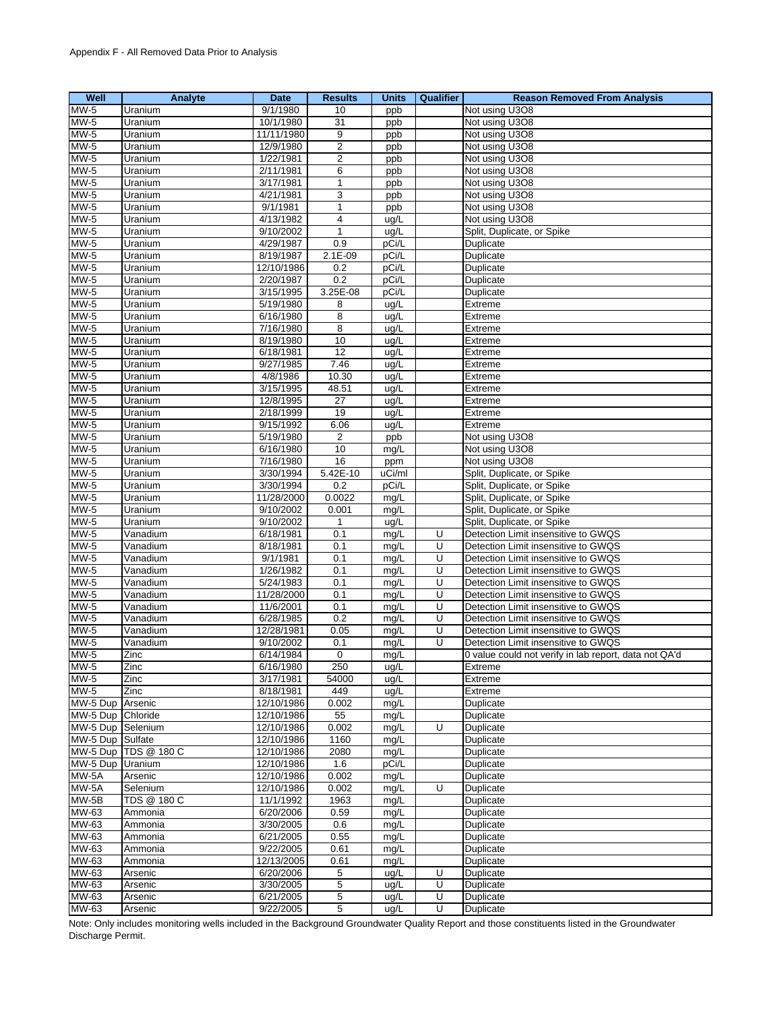| Well             | <b>Analyte</b>       | Date       | <b>Results</b>          | <b>Units</b> | Qualifier | <b>Reason Removed From Analysis</b>                   |
|------------------|----------------------|------------|-------------------------|--------------|-----------|-------------------------------------------------------|
| $MW-5$           | Uranium              | 9/1/1980   | 10                      | ppb          |           | Not using U3O8                                        |
| MW-5             | Uranium              | 10/1/1980  | 31                      | ppb          |           | Not using U3O8                                        |
| $MW-5$           | Uranium              | 11/11/1980 | 9                       | ppb          |           | Not using U3O8                                        |
| MW-5             | Uranium              | 12/9/1980  | $\overline{\mathbf{c}}$ | ppb          |           | Not using U3O8                                        |
| $MW-5$           | Uranium              | 1/22/1981  | 2                       | ppb          |           | Not using U3O8                                        |
| $MW-5$           | Uranium              | 2/11/1981  | 6                       | ppb          |           | Not using U3O8                                        |
| MW-5             | Uranium              | 3/17/1981  | 1                       | ppb          |           | Not using U3O8                                        |
| MW-5             | Uranium              | 4/21/1981  | 3                       | ppb          |           | Not using U3O8                                        |
| MW-5             | Uranium              | 9/1/1981   | 1                       | ppb          |           | Not using U3O8                                        |
| $MW-5$           | Uranium              | 4/13/1982  | 4                       | ug/L         |           | Not using U3O8                                        |
| MW-5             | Uranium              | 9/10/2002  | 1                       | ug/L         |           | Split, Duplicate, or Spike                            |
| MW-5             | Uranium              | 4/29/1987  | 0.9                     | pCi/L        |           | Duplicate                                             |
| $MW-5$           | Uranium              | 8/19/1987  | $2.1E-09$               | pCi/L        |           | Duplicate                                             |
| <b>MW-5</b>      | Uranium              | 12/10/1986 | 0.2                     | pCi/L        |           | Duplicate                                             |
| <b>MW-5</b>      | Uranium              | 2/20/1987  | 0.2                     | pCi/L        |           | Duplicate                                             |
| <b>MW-5</b>      | Uranium              | 3/15/1995  | 3.25E-08                | pCi/L        |           | Duplicate                                             |
| $MW-5$           | Uranium              | 5/19/1980  | 8                       | ug/L         |           | Extreme                                               |
| $MW-5$           | Uranium              | 6/16/1980  | 8                       | ug/L         |           | Extreme                                               |
| MW-5             | Uranium              | 7/16/1980  | 8                       | ug/L         |           | Extreme                                               |
| $MW-5$           | Uranium              | 8/19/1980  | 10                      | ug/L         |           | Extreme                                               |
| <b>MW-5</b>      | Uranium              | 6/18/1981  | $\overline{12}$         | ug/L         |           | Extreme                                               |
| <b>MW-5</b>      | Uranium              | 9/27/1985  | 7.46                    | ug/L         |           | Extreme                                               |
| $MW-5$           | Uranium              | 4/8/1986   | 10.30                   | ug/L         |           | Extreme                                               |
| $MW-5$           | Uranium              | 3/15/1995  | 48.51                   | ug/L         |           | Extreme                                               |
| $MW-5$           | Uranium              | 12/8/1995  | $\overline{27}$         | ug/L         |           | Extreme                                               |
| <b>MW-5</b>      | Uranium              | 2/18/1999  | 19                      | ug/L         |           | Extreme                                               |
| $MW-5$           | Uranium              | 9/15/1992  | 6.06                    | ug/L         |           | Extreme                                               |
| <b>MW-5</b>      | Uranium              | 5/19/1980  | $\overline{2}$          | ppb          |           | Not using U3O8                                        |
| $MW-5$           | Uranium              | 6/16/1980  | 10                      | mg/L         |           | Not using U3O8                                        |
| <b>MW-5</b>      | Uranium              | 7/16/1980  | 16                      | ppm          |           | Not using U3O8                                        |
| MW-5             | Uranium              | 3/30/1994  | 5.42E-10                | uCi/ml       |           | Split, Duplicate, or Spike                            |
| $MW-5$           | Uranium              | 3/30/1994  | 0.2                     | pCi/L        |           | Split, Duplicate, or Spike                            |
| <b>MW-5</b>      | Uranium              | 11/28/2000 | 0.0022                  | mg/L         |           | Split, Duplicate, or Spike                            |
| <b>MW-5</b>      | Uranium              | 9/10/2002  | 0.001                   | mg/L         |           | Split, Duplicate, or Spike                            |
| MW-5             | Uranium              | 9/10/2002  | 1                       | ug/L         |           | Split, Duplicate, or Spike                            |
| MW-5             | Vanadium             | 6/18/1981  | 0.1                     | mg/L         | U         | Detection Limit insensitive to GWQS                   |
| <b>MW-5</b>      | Vanadium             | 8/18/1981  | 0.1                     | mg/L         | U         | Detection Limit insensitive to GWQS                   |
| MW-5             | Vanadium             | 9/1/1981   | 0.1                     | mg/L         | U         | Detection Limit insensitive to GWQS                   |
| $MW-5$           | Vanadium             | 1/26/1982  | 0.1                     | mg/L         | U         | Detection Limit insensitive to GWQS                   |
| <b>MW-5</b>      | Vanadium             | 5/24/1983  | 0.1                     | mg/L         | U         | Detection Limit insensitive to GWQS                   |
| $MW-5$           | Vanadium             | 11/28/2000 | 0.1                     | mg/L         | U         | Detection Limit insensitive to GWQS                   |
| $MW-5$           | Vanadium             | 11/6/2001  | 0.1                     | mg/L         | U         | Detection Limit insensitive to GWQS                   |
| $MW-5$           | Vanadium             | 6/28/1985  | 0.2                     | mg/L         | U         | Detection Limit insensitive to GWQS                   |
| <b>MW-5</b>      | Vanadium             | 12/28/1981 | 0.05                    | mg/L         | U         | Detection Limit insensitive to GWQS                   |
| MW-5             | Vanadium             | 9/10/2002  | 0.1                     | mg/L         | U         | Detection Limit insensitive to GWQS                   |
| $MW-5$           | Zinc                 | 6/14/1984  | $\mathbf 0$             | mg/L         |           | 0 value could not verify in lab report, data not QA'd |
| $MW-5$           | Zinc                 | 6/16/1980  | 250                     | ug/L         |           | Extreme                                               |
| <b>MW-5</b>      | Zinc                 | 3/17/1981  | 54000                   | ug/L         |           | Extreme                                               |
| $MW-5$           | Zinc                 | 8/18/1981  | 449                     | ug/L         |           | Extreme                                               |
| MW-5 Dup         | Arsenic              | 12/10/1986 | 0.002                   | mg/L         |           | Duplicate                                             |
| MW-5 Dup         | Chloride             | 12/10/1986 | 55                      | mg/L         |           | Duplicate                                             |
| MW-5 Dup         | Selenium             | 12/10/1986 | 0.002                   | mg/L         | U         | Duplicate                                             |
| MW-5 Dup Sulfate |                      | 12/10/1986 | 1160                    | mg/L         |           | Duplicate                                             |
|                  | MW-5 Dup TDS @ 180 C | 12/10/1986 | 2080                    | mg/L         |           | Duplicate                                             |
| MW-5 Dup Uranium |                      | 12/10/1986 | 1.6                     | pCi/L        |           | Duplicate                                             |
| MW-5A            | Arsenic              | 12/10/1986 | 0.002                   | mg/L         |           | Duplicate                                             |
| MW-5A            | Selenium             | 12/10/1986 | 0.002                   | mg/L         | U         | Duplicate                                             |
| MW-5B            | TDS @ 180 C          | 11/1/1992  | 1963                    | mg/L         |           | Duplicate                                             |
| MW-63            | Ammonia              | 6/20/2006  | 0.59                    | mg/L         |           | Duplicate                                             |
| MW-63            | Ammonia              | 3/30/2005  | 0.6                     | mg/L         |           | Duplicate                                             |
| MW-63            | Ammonia              | 6/21/2005  | 0.55                    | mg/L         |           | Duplicate                                             |
| MW-63            | Ammonia              | 9/22/2005  | 0.61                    | mg/L         |           | Duplicate                                             |
| MW-63            | Ammonia              | 12/13/2005 | 0.61                    | mg/L         |           | Duplicate                                             |
| MW-63            | Arsenic              | 6/20/2006  | 5                       | ug/L         | U         | Duplicate                                             |
| $MW-63$          | Arsenic              | 3/30/2005  | 5                       | ug/L         | U         | Duplicate                                             |
| MW-63            | Arsenic              | 6/21/2005  | 5                       | ug/L         | U         | Duplicate                                             |
| MW-63            | Arsenic              | 9/22/2005  | 5                       | ug/L         | U         | Duplicate                                             |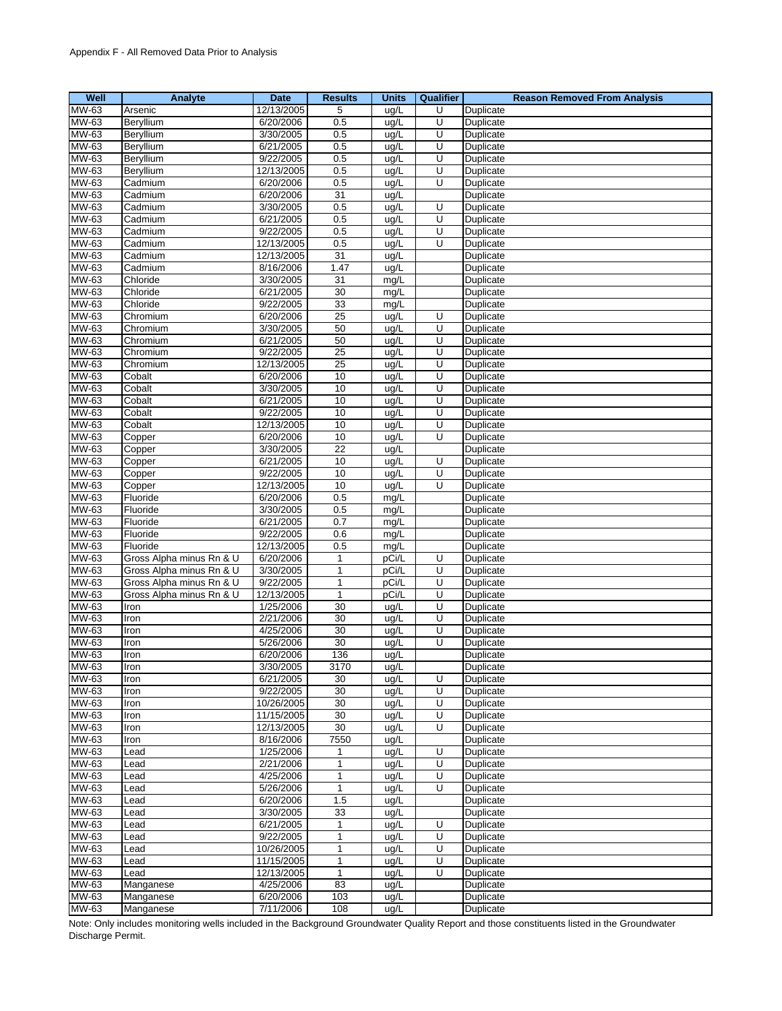| Well         | Analyte                  | <b>Date</b> | <b>Results</b>  | <b>Units</b>       | Qualifier | <b>Reason Removed From Analysis</b> |
|--------------|--------------------------|-------------|-----------------|--------------------|-----------|-------------------------------------|
| MW-63        | Arsenic                  | 12/13/2005  | 5               | ug/L               | U         | Duplicate                           |
| MW-63        | Beryllium                | 6/20/2006   | 0.5             | ug/L               | U         | Duplicate                           |
| MW-63        | Beryllium                | 3/30/2005   | 0.5             | ug/L               | U         | Duplicate                           |
| MW-63        | Beryllium                | 6/21/2005   | 0.5             | ug/L               | U         | Duplicate                           |
| MW-63        | Beryllium                | 9/22/2005   | 0.5             | ug/L               | U         | Duplicate                           |
| MW-63        | Beryllium                | 12/13/2005  | 0.5             | ug/L               | U         | Duplicate                           |
| MW-63        | Cadmium                  | 6/20/2006   | 0.5             | ug/L               | U         | <b>Duplicate</b>                    |
| MW-63        | Cadmium                  | 6/20/2006   | 31              | ug/L               |           | Duplicate                           |
| MW-63        | Cadmium                  | 3/30/2005   | 0.5             | ug/L               | U         | Duplicate                           |
| MW-63        | Cadmium                  | 6/21/2005   | 0.5             | ug/L               | U         | Duplicate                           |
| MW-63        | Cadmium                  | 9/22/2005   | 0.5             | ug/L               | U         | Duplicate                           |
| MW-63        | Cadmium                  | 12/13/2005  | 0.5             | ug/L               | U         | Duplicate                           |
| MW-63        | Cadmium                  | 12/13/2005  | 31              | ug/L               |           | Duplicate                           |
| MW-63        | Cadmium                  | 8/16/2006   | 1.47            | ug/L               |           | Duplicate                           |
| MW-63        | Chloride                 | 3/30/2005   | 31              | mg/L               |           | Duplicate                           |
| MW-63        | Chloride                 | 6/21/2005   | 30              | mg/L               |           | Duplicate                           |
| MW-63        | Chloride                 | 9/22/2005   | 33              | mg/L               |           | Duplicate                           |
| MW-63        | Chromium                 | 6/20/2006   | 25              | ug/L               | U         | Duplicate                           |
| MW-63        | Chromium                 | 3/30/2005   | 50              | ug/L               | U         | Duplicate                           |
| MW-63        | Chromium                 | 6/21/2005   | 50              | ug/L               | U         | Duplicate                           |
| MW-63        | Chromium                 | 9/22/2005   | $\overline{25}$ | ug/L               | U         | Duplicate                           |
| MW-63        | Chromium                 | 12/13/2005  | 25              | ug/L               | U         | Duplicate                           |
| MW-63        | Cobalt                   | 6/20/2006   | 10              | ug/L               | U         | Duplicate                           |
| MW-63        | Cobalt                   | 3/30/2005   | 10              | ug/L               | U         | Duplicate                           |
| MW-63        | Cobalt                   | 6/21/2005   | 10              | ug/L               | U         | Duplicate                           |
| MW-63        | Cobalt                   | 9/22/2005   | 10              | ug/L               | U         | Duplicate                           |
| MW-63        | Cobalt                   | 12/13/2005  | 10              | ug/L               | U         | Duplicate                           |
| MW-63        | Copper                   | 6/20/2006   | 10              | ug/L               | U         | Duplicate                           |
| MW-63        | Copper                   | 3/30/2005   | 22              | ug/L               |           | Duplicate                           |
| MW-63        | Copper                   | 6/21/2005   | 10              | ug/L               | U         | Duplicate                           |
| MW-63        | Copper                   | 9/22/2005   | 10              | ug/L               | U         | Duplicate                           |
| MW-63        | Copper                   | 12/13/2005  | 10              | ug/L               | U         | Duplicate                           |
| MW-63        | Fluoride                 | 6/20/2006   | 0.5             | mg/L               |           | Duplicate                           |
| MW-63        | Fluoride                 | 3/30/2005   | 0.5             | mg/L               |           | Duplicate                           |
| MW-63        | Fluoride                 | 6/21/2005   | 0.7             | mg/L               |           | Duplicate                           |
| MW-63        | Fluoride                 | 9/22/2005   | 0.6             | mg/L               |           | Duplicate                           |
| MW-63        | Fluoride                 | 12/13/2005  | 0.5             | mg/L               |           | Duplicate                           |
| MW-63        | Gross Alpha minus Rn & U | 6/20/2006   | $\mathbf{1}$    | pCi/L              | U         | Duplicate                           |
| MW-63        | Gross Alpha minus Rn & U | 3/30/2005   | 1               | pCi/L              | U         | Duplicate                           |
| MW-63        | Gross Alpha minus Rn & U | 9/22/2005   | 1               | pCi/L              | U         | Duplicate                           |
| MW-63        | Gross Alpha minus Rn & U | 12/13/2005  | $\mathbf{1}$    | pCi/L              | U         | Duplicate                           |
| MW-63        | Iron                     | 1/25/2006   | 30              | ug/L               | U         | Duplicate                           |
| MW-63        | Iron                     | 2/21/2006   | 30              | ug/L               | U         | Duplicate                           |
| MW-63        | Iron                     | 4/25/2006   | 30              | ug/L               | U         | Duplicate                           |
| MW-63        | Iron                     | 5/26/2006   | 30              | ug/L               | U         | Duplicate                           |
| <b>MW-63</b> | Iron                     | 6/20/2006   | 136             | ug/L               |           | Duplicate                           |
| MW-63        | Iron                     | 3/30/2005   | 3170            | ug/L               |           | Duplicate                           |
| MW-63        | Iron                     | 6/21/2005   | 30              | ug/L               | U         | Duplicate                           |
| MW-63        | Iron                     | 9/22/2005   | 30              | ug/L               | U         | Duplicate                           |
| MW-63        | Iron                     | 10/26/2005  | 30              | ug/L               | U         | Duplicate                           |
| MW-63        | Iron                     | 11/15/2005  | 30              | ug/L               | U         | Duplicate                           |
| MW-63        | Iron                     | 12/13/2005  | 30              | ug/L               | U         | Duplicate                           |
| MW-63        | Iron                     | 8/16/2006   | 7550            | ug/L               |           | Duplicate                           |
| MW-63        | Lead                     | 1/25/2006   | 1               | ug/L               | U         | Duplicate                           |
| MW-63        | Lead                     | 2/21/2006   | 1               | ug/L               | U         | Duplicate                           |
| MW-63        | Lead                     | 4/25/2006   | $\mathbf{1}$    | ug/L               | U         | Duplicate                           |
| MW-63        | Lead                     | 5/26/2006   | 1               | ug/L               | U         | Duplicate                           |
| MW-63        | Lead                     | 6/20/2006   | 1.5             | ug/L               |           | Duplicate                           |
| MW-63        | Lead                     | 3/30/2005   | 33              | ug/L               |           | Duplicate                           |
| MW-63        | Lead                     | 6/21/2005   | 1               | ug/L               | U         | Duplicate                           |
| MW-63        | Lead                     | 9/22/2005   | 1               | ug/L               | U         | Duplicate                           |
| MW-63        | Lead                     | 10/26/2005  | 1               | ug/L               | U         | Duplicate                           |
| MW-63        | Lead                     | 11/15/2005  | $\mathbf{1}$    | ug/L               | U         | Duplicate                           |
| MW-63        | Lead                     | 12/13/2005  | $\mathbf{1}$    | $\overline{u}$ g/L | U         | Duplicate                           |
| MW-63        | Manganese                | 4/25/2006   | 83              | ug/L               |           | Duplicate                           |
| MW-63        | Manganese                | 6/20/2006   | 103             | ug/L               |           | Duplicate                           |
| MW-63        | Manganese                | 7/11/2006   | 108             | ug/L               |           | Duplicate                           |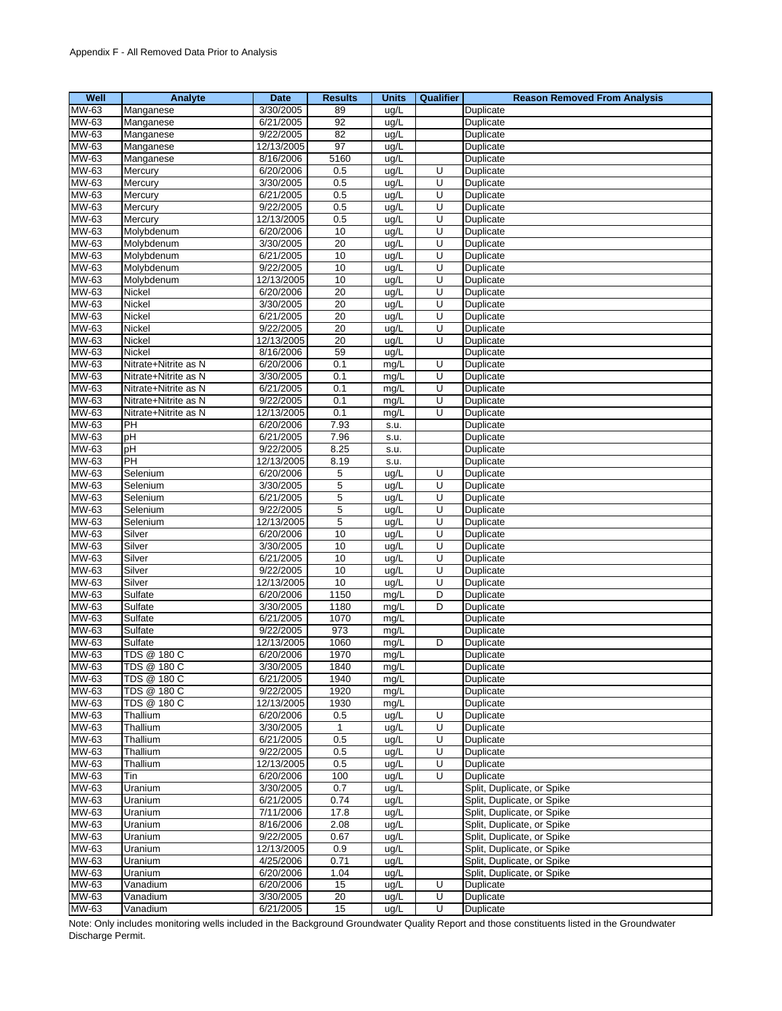| Well  | Analyte              | <b>Date</b> | <b>Results</b>  | <b>Units</b> | <b>Qualifier</b> | <b>Reason Removed From Analysis</b> |
|-------|----------------------|-------------|-----------------|--------------|------------------|-------------------------------------|
| MW-63 | Manganese            | 3/30/2005   | 89              | ug/L         |                  | Duplicate                           |
| MW-63 | Manganese            | 6/21/2005   | 92              | ug/L         |                  | Duplicate                           |
| MW-63 | Manganese            | 9/22/2005   | $\overline{82}$ | ug/L         |                  | Duplicate                           |
| MW-63 | Manganese            | 12/13/2005  | 97              | ug/L         |                  | Duplicate                           |
| MW-63 | Manganese            | 8/16/2006   | 5160            | ug/L         |                  | Duplicate                           |
| MW-63 | Mercury              | 6/20/2006   | 0.5             | ug/L         | U                | Duplicate                           |
| MW-63 | Mercury              | 3/30/2005   | 0.5             | ug/L         | U                | Duplicate                           |
| MW-63 | Mercury              | 6/21/2005   | 0.5             | ug/L         | U                | Duplicate                           |
| MW-63 | Mercury              | 9/22/2005   | 0.5             | ug/L         | U                | Duplicate                           |
| MW-63 | Mercury              | 12/13/2005  | 0.5             | ug/L         | U                | Duplicate                           |
| MW-63 | Molybdenum           | 6/20/2006   | 10              | ug/L         | U                | Duplicate                           |
| MW-63 |                      | 3/30/2005   | 20              |              | U                | Duplicate                           |
| MW-63 | Molybdenum           |             |                 | ug/L         | U                |                                     |
|       | Molybdenum           | 6/21/2005   | 10              | ug/L         |                  | Duplicate                           |
| MW-63 | Molybdenum           | 9/22/2005   | 10              | ug/L         | U                | Duplicate                           |
| MW-63 | Molybdenum           | 12/13/2005  | 10              | ug/L         | U                | Duplicate                           |
| MW-63 | Nickel               | 6/20/2006   | 20              | ug/L         | U                | Duplicate                           |
| MW-63 | <b>Nickel</b>        | 3/30/2005   | 20              | ug/L         | Ū                | Duplicate                           |
| MW-63 | Nickel               | 6/21/2005   | 20              | ug/L         | U                | Duplicate                           |
| MW-63 | Nickel               | 9/22/2005   | 20              | ug/L         | U                | Duplicate                           |
| MW-63 | Nickel               | 12/13/2005  | $\overline{20}$ | ug/L         | U                | Duplicate                           |
| MW-63 | Nickel               | 8/16/2006   | 59              | ug/L         |                  | Duplicate                           |
| MW-63 | Nitrate+Nitrite as N | 6/20/2006   | 0.1             | mg/L         | U                | Duplicate                           |
| MW-63 | Nitrate+Nitrite as N | 3/30/2005   | 0.1             | mg/L         | U                | Duplicate                           |
| MW-63 | Nitrate+Nitrite as N | 6/21/2005   | 0.1             | mg/L         | U                | Duplicate                           |
| MW-63 | Nitrate+Nitrite as N | 9/22/2005   | 0.1             | mg/L         | U                | Duplicate                           |
| MW-63 | Nitrate+Nitrite as N | 12/13/2005  | 0.1             | mg/L         | U                | Duplicate                           |
| MW-63 | PH                   | 6/20/2006   | 7.93            | s.u.         |                  | Duplicate                           |
| MW-63 | pH                   | 6/21/2005   | 7.96            | s.u.         |                  | Duplicate                           |
| MW-63 | pH                   | 9/22/2005   | 8.25            | s.u.         |                  | Duplicate                           |
| MW-63 | <b>PH</b>            | 12/13/2005  | 8.19            | s.u.         |                  | Duplicate                           |
| MW-63 | Selenium             | 6/20/2006   | 5               | ug/L         | U                | Duplicate                           |
| MW-63 | Selenium             | 3/30/2005   | 5               | ug/L         | U                | Duplicate                           |
| MW-63 | Selenium             | 6/21/2005   | 5               | ug/L         | U                | Duplicate                           |
| MW-63 | Selenium             | 9/22/2005   | 5               | ug/L         | U                | Duplicate                           |
| MW-63 | Selenium             | 12/13/2005  | 5               | ug/L         | U                | Duplicate                           |
| MW-63 | Silver               | 6/20/2006   | 10              | ug/L         | U                | Duplicate                           |
| MW-63 | Silver               | 3/30/2005   | 10              | ug/L         | U                | Duplicate                           |
| MW-63 | Silver               | 6/21/2005   | 10              | ug/L         | U                | Duplicate                           |
| MW-63 | Silver               | 9/22/2005   | 10              | ug/L         | U                | Duplicate                           |
| MW-63 | Silver               | 12/13/2005  | 10              | ug/L         | U                | Duplicate                           |
| MW-63 | Sulfate              | 6/20/2006   | 1150            | mg/L         | D                | Duplicate                           |
| MW-63 | Sulfate              | 3/30/2005   | 1180            | mg/L         | D                | Duplicate                           |
| MW-63 | Sulfate              | 6/21/2005   | 1070            | mg/L         |                  | Duplicate                           |
| MW-63 | Sulfate              | 9/22/2005   | 973             | mg/L         |                  | Duplicate                           |
| MW-63 | Sulfate              | 12/13/2005  | 1060            | mg/L         | D                | Duplicate                           |
| MW-63 | <b>TDS @ 180 C</b>   | 6/20/2006   | 1970            | mg/L         |                  | Duplicate                           |
| MW-63 | TDS @ 180 C          | 3/30/2005   | 1840            |              |                  | Duplicate                           |
| MW-63 | TDS @ 180 C          | 6/21/2005   | 1940            | mg/L<br>mg/L |                  | Duplicate                           |
| MW-63 | TDS @ 180 C          | 9/22/2005   | 1920            | mg/L         |                  | Duplicate                           |
| MW-63 | TDS @ 180 C          | 12/13/2005  | 1930            |              |                  | Duplicate                           |
| MW-63 |                      | 6/20/2006   |                 | mg/L         | U                | Duplicate                           |
| MW-63 | Thallium             | 3/30/2005   | 0.5             | ug/L         |                  |                                     |
| MW-63 | Thallium<br>Thallium | 6/21/2005   | 1<br>0.5        | ug/L         | U<br>U           | Duplicate                           |
|       |                      | 9/22/2005   |                 | ug/L         |                  | Duplicate                           |
| MW-63 | Thallium             |             | 0.5             | ug/L         | U                | Duplicate                           |
| MW-63 | Thallium             | 12/13/2005  | 0.5             | ug/L         | U                | Duplicate                           |
| MW-63 | Tin                  | 6/20/2006   | 100             | ug/L         | U                | Duplicate                           |
| MW-63 | Uranium              | 3/30/2005   | 0.7             | ug/L         |                  | Split, Duplicate, or Spike          |
| MW-63 | Uranium              | 6/21/2005   | 0.74            | ug/L         |                  | Split, Duplicate, or Spike          |
| MW-63 | Uranium              | 7/11/2006   | 17.8            | ug/L         |                  | Split, Duplicate, or Spike          |
| MW-63 | Uranium              | 8/16/2006   | 2.08            | ug/L         |                  | Split, Duplicate, or Spike          |
| MW-63 | Uranium              | 9/22/2005   | 0.67            | ug/L         |                  | Split, Duplicate, or Spike          |
| MW-63 | Uranium              | 12/13/2005  | 0.9             | ug/L         |                  | Split, Duplicate, or Spike          |
| MW-63 | Uranium              | 4/25/2006   | 0.71            | ug/L         |                  | Split, Duplicate, or Spike          |
| MW-63 | Uranium              | 6/20/2006   | 1.04            | ug/L         |                  | Split, Duplicate, or Spike          |
| MW-63 | Vanadium             | 6/20/2006   | 15              | ug/L         | U                | Duplicate                           |
| MW-63 | Vanadium             | 3/30/2005   | 20              | ug/L         | U                | Duplicate                           |
| MW-63 | Vanadium             | 6/21/2005   | 15              | ug/L         | U                | Duplicate                           |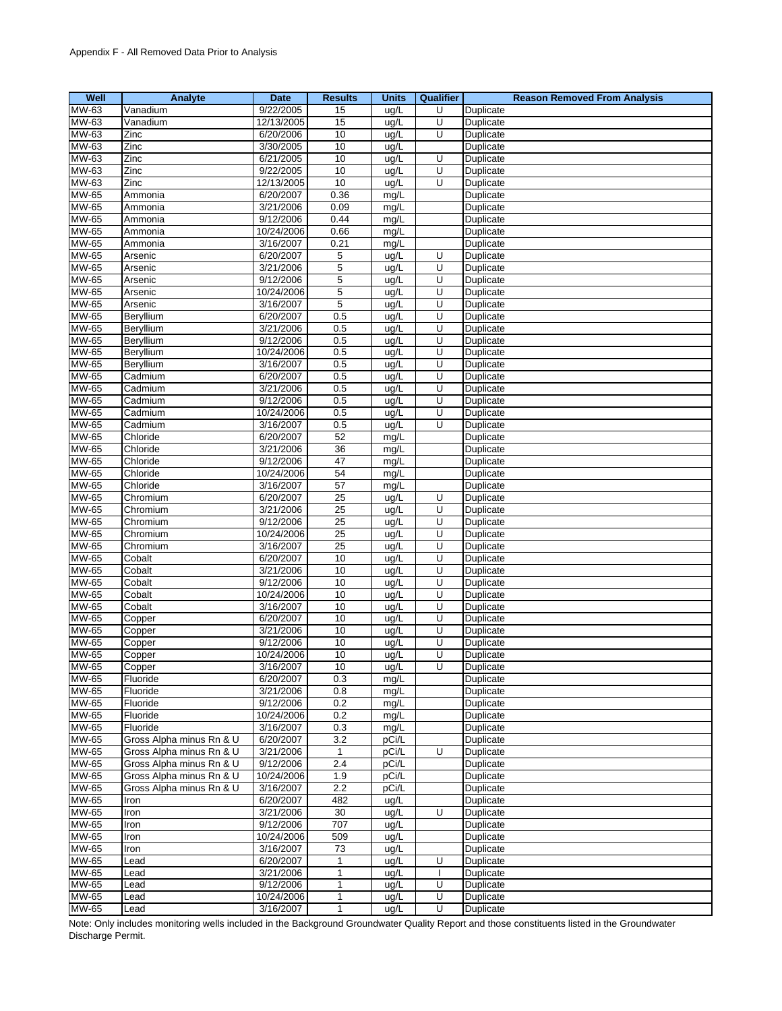| Well         | Analyte                  | Date       | <b>Results</b>  | <b>Units</b> | Qualifier | <b>Reason Removed From Analysis</b> |
|--------------|--------------------------|------------|-----------------|--------------|-----------|-------------------------------------|
| MW-63        | Vanadium                 | 9/22/2005  | 15              | ug/L         | U         | Duplicate                           |
| MW-63        | Vanadium                 | 12/13/2005 | 15              | ug/L         | U         | Duplicate                           |
| MW-63        | Zinc                     | 6/20/2006  | 10              | ug/L         | U         | Duplicate                           |
| MW-63        | Zinc                     | 3/30/2005  | 10              | ug/L         |           | Duplicate                           |
| MW-63        | Zinc                     | 6/21/2005  | 10              | ug/L         | U         | Duplicate                           |
| MW-63        | Zinc                     | 9/22/2005  | 10              | ug/L         | U         | Duplicate                           |
| MW-63        | Zinc                     | 12/13/2005 | 10              | ug/L         | U         | Duplicate                           |
| MW-65        | Ammonia                  | 6/20/2007  | 0.36            | mg/L         |           | Duplicate                           |
| MW-65        | Ammonia                  | 3/21/2006  | 0.09            | mg/L         |           | Duplicate                           |
| <b>MW-65</b> | Ammonia                  | 9/12/2006  | 0.44            | mg/L         |           | Duplicate                           |
| <b>MW-65</b> | Ammonia                  | 10/24/2006 | 0.66            | mg/L         |           | Duplicate                           |
| MW-65        | Ammonia                  | 3/16/2007  | 0.21            | mg/L         |           | Duplicate                           |
| <b>MW-65</b> | Arsenic                  | 6/20/2007  | 5               | ug/L         | U         | Duplicate                           |
| <b>MW-65</b> | Arsenic                  | 3/21/2006  | 5               | ug/L         | U         | Duplicate                           |
| MW-65        | Arsenic                  | 9/12/2006  | 5               | ug/L         | U         | Duplicate                           |
| MW-65        | Arsenic                  | 10/24/2006 | 5               | ug/L         | U         | Duplicate                           |
| MW-65        | Arsenic                  | 3/16/2007  | 5               | ug/L         | U         | Duplicate                           |
| MW-65        | Beryllium                | 6/20/2007  | 0.5             | ug/L         | U         | Duplicate                           |
| MW-65        | Beryllium                | 3/21/2006  | 0.5             | ug/L         | U         | Duplicate                           |
| <b>MW-65</b> | Beryllium                | 9/12/2006  | 0.5             | ug/L         | U         | Duplicate                           |
| MW-65        | Beryllium                | 10/24/2006 | 0.5             | ug/L         | U         | Duplicate                           |
| MW-65        | Beryllium                | 3/16/2007  | 0.5             | ug/L         | U         | Duplicate                           |
| MW-65        | Cadmium                  | 6/20/2007  | 0.5             | ug/L         | U         | Duplicate                           |
| MW-65        | Cadmium                  | 3/21/2006  | 0.5             | ug/L         | U         | Duplicate                           |
| <b>MW-65</b> | Cadmium                  | 9/12/2006  | 0.5             | ug/L         | U         | Duplicate                           |
| MW-65        | Cadmium                  | 10/24/2006 | 0.5             | ug/L         | U         | Duplicate                           |
| <b>MW-65</b> | Cadmium                  | 3/16/2007  | 0.5             | ug/L         | U         | Duplicate                           |
| <b>MW-65</b> | Chloride                 | 6/20/2007  | 52              | mg/L         |           | Duplicate                           |
| <b>MW-65</b> | Chloride                 | 3/21/2006  | 36              | mg/L         |           | Duplicate                           |
| MW-65        | Chloride                 | 9/12/2006  | 47              | mg/L         |           | Duplicate                           |
| MW-65        | Chloride                 | 10/24/2006 | 54              | mg/L         |           | Duplicate                           |
| MW-65        | Chloride                 | 3/16/2007  | $\overline{57}$ | mg/L         |           | Duplicate                           |
| <b>MW-65</b> | Chromium                 | 6/20/2007  | 25              | ug/L         | U         | Duplicate                           |
| MW-65        | Chromium                 | 3/21/2006  | 25              | ug/L         | U         | Duplicate                           |
| <b>MW-65</b> | Chromium                 | 9/12/2006  | 25              | ug/L         | U         | Duplicate                           |
| MW-65        | Chromium                 | 10/24/2006 | 25              | ug/L         | U         | Duplicate                           |
| <b>MW-65</b> | Chromium                 | 3/16/2007  | 25              | ug/L         | U         | Duplicate                           |
| <b>MW-65</b> | Cobalt                   | 6/20/2007  | 10              | ug/L         | U         | Duplicate                           |
| <b>MW-65</b> | Cobalt                   | 3/21/2006  | 10              | ug/L         | U         | Duplicate                           |
| MW-65        | Cobalt                   | 9/12/2006  | 10              | ug/L         | U         | Duplicate                           |
| <b>MW-65</b> | Cobalt                   | 10/24/2006 | 10              | ug/L         | U         | Duplicate                           |
| <b>MW-65</b> | Cobalt                   | 3/16/2007  | 10              | ug/L         | U         | Duplicate                           |
| MW-65        | Copper                   | 6/20/2007  | $10$            | ug/L         | U         | Duplicate                           |
| MW-65        | Copper                   | 3/21/2006  | 10              | ug/L         | U         | Duplicate                           |
| MW-65        | Copper                   | 9/12/2006  | 10              | ug/L         | U         | Duplicate                           |
| MW-65        | Copper                   | 10/24/2006 | 10              | ug/L         | U         | <b>Duplicate</b>                    |
| MW-65        | Copper                   | 3/16/2007  | 10              | ug/L         | U         | Duplicate                           |
| MW-65        | Fluoride                 | 6/20/2007  | 0.3             | mg/L         |           | Duplicate                           |
| <b>MW-65</b> | Fluoride                 | 3/21/2006  | 0.8             | mg/L         |           | Duplicate                           |
| MW-65        | Fluoride                 | 9/12/2006  | 0.2             | mg/L         |           | Duplicate                           |
| MW-65        | Fluoride                 | 10/24/2006 | 0.2             | mg/L         |           | Duplicate                           |
| MW-65        | Fluoride                 | 3/16/2007  | 0.3             | mg/L         |           | Duplicate                           |
| MW-65        | Gross Alpha minus Rn & U | 6/20/2007  | 3.2             | pCi/L        |           | Duplicate                           |
| MW-65        | Gross Alpha minus Rn & U | 3/21/2006  | $\mathbf{1}$    | pCi/L        | U         | Duplicate                           |
| MW-65        | Gross Alpha minus Rn & U | 9/12/2006  | 2.4             | pCi/L        |           | Duplicate                           |
| MW-65        | Gross Alpha minus Rn & U | 10/24/2006 | 1.9             | pCi/L        |           | Duplicate                           |
| MW-65        | Gross Alpha minus Rn & U | 3/16/2007  | $2.2\,$         | pCi/L        |           | Duplicate                           |
| MW-65        | Iron                     | 6/20/2007  | 482             | ug/L         |           | Duplicate                           |
| MW-65        | Iron                     | 3/21/2006  | 30              | ug/L         | U         | Duplicate                           |
| MW-65        | Iron                     | 9/12/2006  | 707             | ug/L         |           | Duplicate                           |
| MW-65        | Iron                     | 10/24/2006 | 509             | ug/L         |           | Duplicate                           |
| MW-65        | Iron                     | 3/16/2007  | 73              | ug/L         |           | Duplicate                           |
| MW-65        | Lead                     | 6/20/2007  | $\mathbf{1}$    | ug/L         | U         | Duplicate                           |
| MW-65        | Lead                     | 3/21/2006  | 1               | ug/L         |           | Duplicate                           |
| MW-65        | Lead                     | 9/12/2006  | $\mathbf{1}$    | ug/L         | U         | Duplicate                           |
| MW-65        | _ead                     | 10/24/2006 | 1               | ug/L         | U         | Duplicate                           |
| MW-65        | Lead                     | 3/16/2007  | $\mathbf{1}$    | ug/L         | U         | Duplicate                           |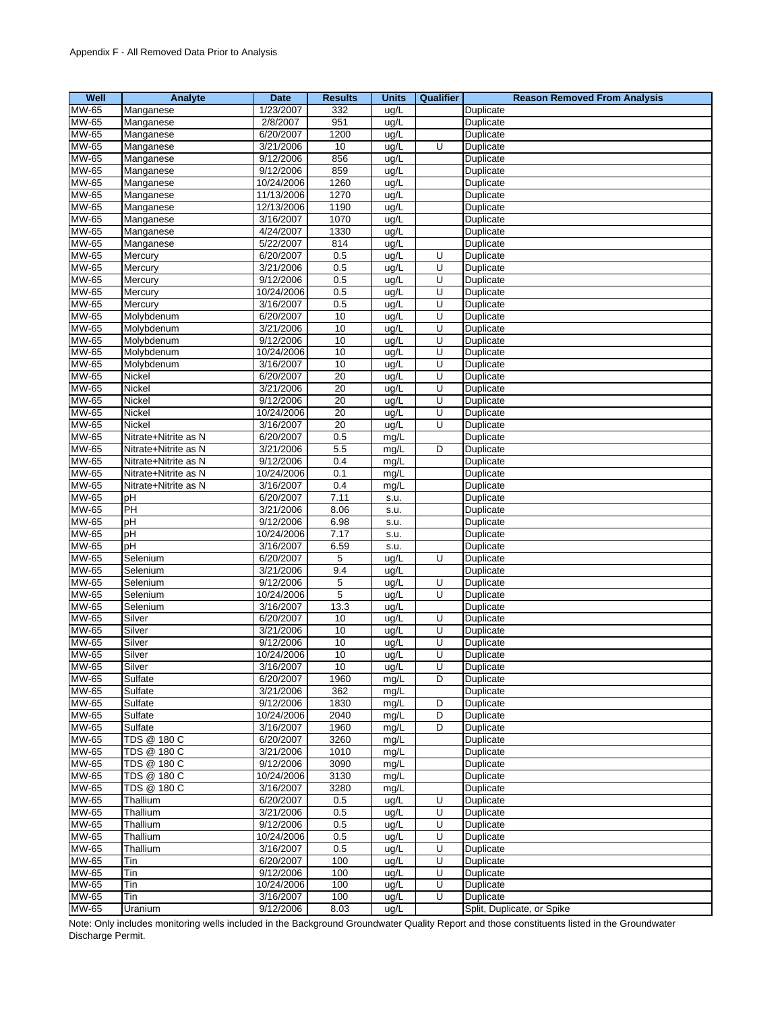| Well                      | Analyte                | <b>Date</b>             | <b>Results</b>  | <b>Units</b> | <b>Qualifier</b> | <b>Reason Removed From Analysis</b> |
|---------------------------|------------------------|-------------------------|-----------------|--------------|------------------|-------------------------------------|
| <b>MW-65</b>              | Manganese              | 1/23/2007               | 332             | ug/L         |                  | Duplicate                           |
| MW-65                     | Manganese              | 2/8/2007                | 951             | ug/L         |                  | Duplicate                           |
| MW-65                     | Manganese              | 6/20/2007               | 1200            | ug/L         |                  | Duplicate                           |
| MW-65                     | Manganese              | 3/21/2006               | 10              | ug/L         | U                | Duplicate                           |
| MW-65                     | Manganese              | 9/12/2006               | 856             | ug/L         |                  | Duplicate                           |
| <b>MW-65</b>              | Manganese              | 9/12/2006               | 859             | ug/L         |                  | Duplicate                           |
| MW-65                     | Manganese              | 10/24/2006              | 1260            | ug/L         |                  | Duplicate                           |
| MW-65                     | Manganese              | 11/13/2006              | 1270            | ug/L         |                  | Duplicate                           |
| MW-65                     | Manganese              | 12/13/2006              | 1190            | ug/L         |                  | Duplicate                           |
| MW-65                     | Manganese              | 3/16/2007               | 1070            | ug/L         |                  | Duplicate                           |
| MW-65                     | Manganese              | 4/24/2007               | 1330            | ug/L         |                  | Duplicate                           |
| MW-65                     | Manganese              | 5/22/2007               | 814             | ug/L         |                  | Duplicate                           |
| MW-65                     | Mercury                | 6/20/2007               | 0.5             | ug/L         | U                | Duplicate                           |
| MW-65                     | Mercury                | 3/21/2006               | 0.5             | ug/L         | U                | Duplicate                           |
| MW-65                     | Mercury                | 9/12/2006               | 0.5             | ug/L         | $\overline{U}$   | Duplicate                           |
| MW-65                     | Mercury                | 10/24/2006              | 0.5             | ug/L         | U                | Duplicate                           |
| MW-65                     | Mercury                | 3/16/2007               | 0.5             | ug/L         | U                | Duplicate                           |
| MW-65                     | Molybdenum             | 6/20/2007               | $10$            | ug/L         | U                | Duplicate                           |
| MW-65                     | Molybdenum             | 3/21/2006               | 10              | ug/L         | U                | Duplicate                           |
| MW-65                     | Molybdenum             | 9/12/2006               | 10              | ug/L         | U                | Duplicate                           |
| MW-65                     | Molybdenum             | 10/24/2006              | 10              | ug/L         | U                | Duplicate                           |
| MW-65                     | Molybdenum             | 3/16/2007               | 10              | ug/L         | U                | Duplicate                           |
| MW-65                     | Nickel                 | 6/20/2007               | 20              | ug/L         | U                | Duplicate                           |
| MW-65                     | Nickel                 | 3/21/2006               | $\overline{20}$ | ug/L         | U                | Duplicate                           |
| MW-65                     | Nickel                 | 9/12/2006               | $\overline{20}$ | ug/L         | U                | Duplicate                           |
| MW-65                     | Nickel                 | 10/24/2006              | 20              | ug/L         | U                | Duplicate                           |
| MW-65                     | <b>Nickel</b>          | 3/16/2007               | $\overline{20}$ | ug/L         | U                | Duplicate                           |
| MW-65                     | Nitrate+Nitrite as N   | 6/20/2007               | 0.5             | mg/L         |                  | Duplicate                           |
| MW-65                     | Nitrate+Nitrite as N   | 3/21/2006               | 5.5             | mg/L         | D                | Duplicate                           |
| MW-65                     | Nitrate+Nitrite as N   | 9/12/2006               | 0.4             | mg/L         |                  | Duplicate                           |
| MW-65                     | Nitrate+Nitrite as N   | 10/24/2006              | 0.1             | mg/L         |                  | Duplicate                           |
| MW-65                     | Nitrate+Nitrite as N   | 3/16/2007               | 0.4             | mg/L         |                  | Duplicate                           |
| MW-65                     | pH                     | 6/20/2007               | 7.11            | s.u.         |                  | Duplicate                           |
| MW-65                     | PH                     | 3/21/2006               | 8.06            | s.u.         |                  | Duplicate                           |
| MW-65                     | pH                     | 9/12/2006               | 6.98            | s.u.         |                  | Duplicate                           |
| MW-65                     | pH                     | 10/24/2006              | 7.17            | s.u.         |                  | Duplicate                           |
| MW-65                     | pH                     | 3/16/2007               | 6.59            | s.u.         |                  | Duplicate                           |
| MW-65                     | Selenium               | 6/20/2007               | 5               | ug/L         | U                | Duplicate                           |
| MW-65                     | Selenium               | 3/21/2006               | 9.4             | ug/L         |                  | Duplicate                           |
| MW-65                     | Selenium               | 9/12/2006               | 5               | ug/L         | U                | Duplicate                           |
| MW-65                     | Selenium               | 10/24/2006              | 5               | ug/L         | U                | Duplicate                           |
| MW-65                     | Selenium               | 3/16/2007               | 13.3            | ug/L         |                  | Duplicate                           |
| MW-65                     | Silver                 | 6/20/2007               | 10              | ug/L         | U                | Duplicate                           |
| MW-65                     | Silver                 | 3/21/2006               | 10              | ug/L         | U                | Duplicate                           |
| MW-65                     | Silver                 | 9/12/2006               | 10<br>10        | ug/L         | U<br>U           | Duplicate                           |
| MW-65                     | Silver                 | 10/24/2006              |                 | ug/L         |                  | Duplicate                           |
| MW-65                     | Silver                 | 3/16/2007               | 10              | ug/L         | U                | Duplicate                           |
| $MW-65$<br><b>MW-65</b>   | Sulfate                | 6/20/2007               | 1960            | mg/L         | D                | Duplicate                           |
|                           | Sulfate                | 3/21/2006               | 362             | mg/L         |                  | Duplicate                           |
| MW-65<br>MW-65            | Sulfate                | 9/12/2006<br>10/24/2006 | 1830            | mg/L         | D                | Duplicate<br>Duplicate              |
| <b>MW-65</b>              | Sulfate                |                         | 2040<br>1960    | mg/L         | D<br>D           |                                     |
| MW-65                     | Sulfate<br>TDS @ 180 C | 3/16/2007<br>6/20/2007  | 3260            | mg/L         |                  | Duplicate                           |
| MW-65                     | TDS @ 180 C            | 3/21/2006               | 1010            | mg/L         |                  | Duplicate                           |
| MW-65                     | TDS @ 180 C            | 9/12/2006               | 3090            | mg/L         |                  | Duplicate                           |
| MW-65                     | TDS @ 180 C            | 10/24/2006              | 3130            | mg/L         |                  | Duplicate<br>Duplicate              |
|                           |                        |                         |                 | mg/L         |                  |                                     |
| MW-65<br>MW-65            | TDS @ 180 C            | 3/16/2007<br>6/20/2007  | 3280            | mg/L         |                  | Duplicate<br>Duplicate              |
| MW-65                     | Thallium<br>Thallium   | 3/21/2006               | 0.5<br>0.5      | ug/L         | U                | Duplicate                           |
| MW-65                     | Thallium               | 9/12/2006               | 0.5             | ug/L         | U<br>U           |                                     |
|                           |                        |                         |                 | ug/L         | U                | Duplicate                           |
| MW-65<br>MW-65            | Thallium<br>Thallium   | 10/24/2006<br>3/16/2007 | 0.5<br>0.5      | ug/L         | U                | Duplicate                           |
| MW-65                     |                        | 6/20/2007               | 100             | ug/L         | U                | Duplicate                           |
| MW-65                     | Tin                    | 9/12/2006               |                 | ug/L         |                  | Duplicate                           |
| MW-65                     | Tin<br>Tin             | 10/24/2006              | 100<br>100      | ug/L<br>ug/L | U<br>U           | Duplicate<br>Duplicate              |
| MW-65                     | Tin                    | 3/16/2007               | 100             | ug/L         | U                | Duplicate                           |
| $\overline{\text{MW-65}}$ | Uranium                | 9/12/2006               | 8.03            | ug/L         |                  | Split, Duplicate, or Spike          |
|                           |                        |                         |                 |              |                  |                                     |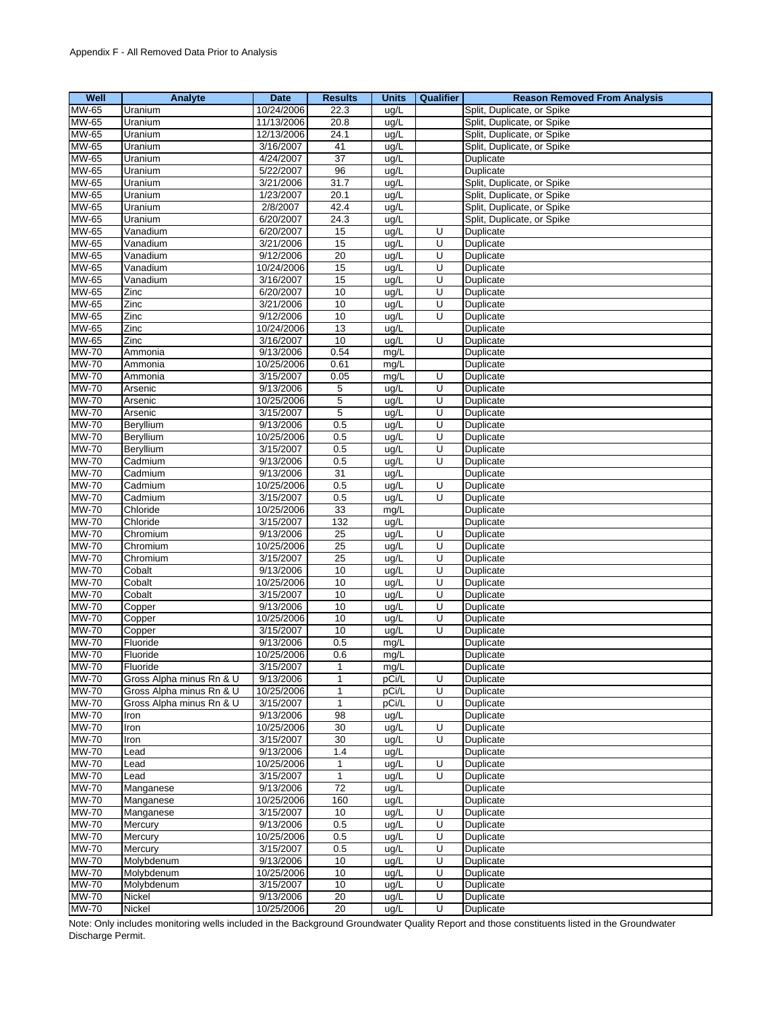| Well         | Analyte                  | Date       | <b>Results</b>  | <b>Units</b> | Qualifier | <b>Reason Removed From Analysis</b> |
|--------------|--------------------------|------------|-----------------|--------------|-----------|-------------------------------------|
| MW-65        | Uranium                  | 10/24/2006 | 22.3            | ug/L         |           | Split, Duplicate, or Spike          |
| MW-65        | Uranium                  | 11/13/2006 | 20.8            | ug/L         |           | Split, Duplicate, or Spike          |
| MW-65        | Uranium                  | 12/13/2006 | 24.1            | ug/L         |           | Split, Duplicate, or Spike          |
| MW-65        | Uranium                  | 3/16/2007  | 41              | ug/L         |           | Split, Duplicate, or Spike          |
| MW-65        | Uranium                  | 4/24/2007  | 37              | ug/L         |           | Duplicate                           |
| MW-65        | Uranium                  | 5/22/2007  | 96              | ug/L         |           | Duplicate                           |
| MW-65        | Uranium                  | 3/21/2006  | 31.7            | ug/L         |           | Split, Duplicate, or Spike          |
| MW-65        | Uranium                  | 1/23/2007  | 20.1            | ug/L         |           | Split, Duplicate, or Spike          |
| MW-65        | Uranium                  | 2/8/2007   | 42.4            | ug/L         |           | Split, Duplicate, or Spike          |
| <b>MW-65</b> | Uranium                  | 6/20/2007  | 24.3            | ug/L         |           | Split, Duplicate, or Spike          |
| MW-65        | Vanadium                 | 6/20/2007  | 15              | ug/L         | U         | Duplicate                           |
| MW-65        | Vanadium                 | 3/21/2006  | 15              | ug/L         | U         | Duplicate                           |
| <b>MW-65</b> | Vanadium                 | 9/12/2006  | $\overline{20}$ | ug/L         | U         | Duplicate                           |
| MW-65        | Vanadium                 | 10/24/2006 | 15              | ug/L         | U         | Duplicate                           |
| MW-65        | Vanadium                 | 3/16/2007  | 15              | ug/L         | U         | Duplicate                           |
| MW-65        | Zinc                     | 6/20/2007  | 10              | ug/L         | U         | Duplicate                           |
| MW-65        | Zinc                     | 3/21/2006  | 10              | ug/L         | U         | Duplicate                           |
| MW-65        | Zinc                     | 9/12/2006  | 10              | ug/L         | U         | Duplicate                           |
| MW-65        | Zinc                     | 10/24/2006 | 13              | ug/L         |           | Duplicate                           |
| <b>MW-65</b> | Zinc                     | 3/16/2007  | 10              | ug/L         | U         | Duplicate                           |
| <b>MW-70</b> | Ammonia                  | 9/13/2006  | 0.54            | mg/L         |           | Duplicate                           |
| <b>MW-70</b> | Ammonia                  | 10/25/2006 | 0.61            | mg/L         |           | Duplicate                           |
| <b>MW-70</b> | Ammonia                  | 3/15/2007  | 0.05            | mg/L         | U         | Duplicate                           |
| <b>MW-70</b> | Arsenic                  | 9/13/2006  | 5               | ug/L         | U         | Duplicate                           |
| <b>MW-70</b> | Arsenic                  | 10/25/2006 | 5               | ug/L         | U         | Duplicate                           |
| <b>MW-70</b> | Arsenic                  | 3/15/2007  | 5               | ug/L         | U         | Duplicate                           |
| <b>MW-70</b> | Beryllium                | 9/13/2006  | 0.5             | ug/L         | U         | Duplicate                           |
| <b>MW-70</b> | Beryllium                | 10/25/2006 | 0.5             | ug/L         | U         | Duplicate                           |
| <b>MW-70</b> | Beryllium                | 3/15/2007  | 0.5             | ug/L         | U         | Duplicate                           |
| <b>MW-70</b> | Cadmium                  | 9/13/2006  | 0.5             | ug/L         | U         | Duplicate                           |
| <b>MW-70</b> | Cadmium                  | 9/13/2006  | 31              | ug/L         |           | Duplicate                           |
| <b>MW-70</b> | Cadmium                  | 10/25/2006 | 0.5             | ug/L         | Ū         | Duplicate                           |
| <b>MW-70</b> | Cadmium                  | 3/15/2007  | 0.5             | ug/L         | U         | Duplicate                           |
| <b>MW-70</b> | Chloride                 | 10/25/2006 | 33              | mg/L         |           | Duplicate                           |
| <b>MW-70</b> | Chloride                 | 3/15/2007  | 132             | ug/L         |           | Duplicate                           |
| <b>MW-70</b> | Chromium                 | 9/13/2006  | 25              | ug/L         | U         | Duplicate                           |
| <b>MW-70</b> | Chromium                 | 10/25/2006 | 25              | ug/L         | U         | Duplicate                           |
| <b>MW-70</b> | Chromium                 | 3/15/2007  | $\overline{25}$ | ug/L         | U         | Duplicate                           |
| <b>MW-70</b> | Cobalt                   | 9/13/2006  | 10              | ug/L         | U         | Duplicate                           |
| <b>MW-70</b> | Cobalt                   | 10/25/2006 | 10              | ug/L         | U         | Duplicate                           |
| <b>MW-70</b> | Cobalt                   | 3/15/2007  | 10              | ug/L         | U         | Duplicate                           |
| <b>MW-70</b> | Copper                   | 9/13/2006  | 10              | ug/L         | U         | Duplicate                           |
| <b>MW-70</b> | Copper                   | 10/25/2006 | 10              | ug/L         | U         | Duplicate                           |
| <b>MW-70</b> | Copper                   | 3/15/2007  | 10              | ug/L         | Ù         | Duplicate                           |
| <b>MW-70</b> | Fluoride                 | 9/13/2006  | 0.5             | mg/L         |           | Duplicate                           |
| <b>MW-70</b> | Fluoride                 | 10/25/2006 | 0.6             | mg/L         |           | Duplicate                           |
| MW-70        | Fluoride                 | 3/15/2007  | 1               | mg/L         |           | Duplicate                           |
| <b>MW-70</b> | Gross Alpha minus Rn & U | 9/13/2006  | 1               | pCi/L        | U         | Duplicate                           |
| <b>MW-70</b> | Gross Alpha minus Rn & U | 10/25/2006 | 1               | pCi/L        | U         | <b>Duplicate</b>                    |
| <b>MW-70</b> | Gross Alpha minus Rn & U | 3/15/2007  | $\mathbf{1}$    | pCi/L        | U         | Duplicate                           |
| <b>MW-70</b> | Iron                     | 9/13/2006  | 98              | ug/L         |           | Duplicate                           |
| <b>MW-70</b> | Iron                     | 10/25/2006 | 30              | ug/L         | U         | Duplicate                           |
| <b>MW-70</b> | Iron                     | 3/15/2007  | 30              | ug/L         | U         | Duplicate                           |
| <b>MW-70</b> | Lead                     | 9/13/2006  | 1.4             | ug/L         |           | Duplicate                           |
| <b>MW-70</b> | Lead                     | 10/25/2006 | $\mathbf{1}$    | ug/L         | U         | Duplicate                           |
| <b>MW-70</b> | Lead                     | 3/15/2007  | $\mathbf{1}$    | ug/L         | U         | Duplicate                           |
| <b>MW-70</b> | Manganese                | 9/13/2006  | 72              | ug/L         |           | Duplicate                           |
| <b>MW-70</b> | Manganese                | 10/25/2006 | 160             | ug/L         |           | Duplicate                           |
| <b>MW-70</b> | Manganese                | 3/15/2007  | 10              | ug/L         | U         | Duplicate                           |
| <b>MW-70</b> | Mercury                  | 9/13/2006  | 0.5             | ug/L         | U         | Duplicate                           |
| <b>MW-70</b> | Mercury                  | 10/25/2006 | 0.5             | ug/L         | U         | Duplicate                           |
| <b>MW-70</b> | Mercury                  | 3/15/2007  | 0.5             | ug/L         | U         | Duplicate                           |
| <b>MW-70</b> | Molybdenum               | 9/13/2006  | 10              | ug/L         | U         | Duplicate                           |
| <b>MW-70</b> | Molybdenum               | 10/25/2006 | 10              | ug/L         | U         | Duplicate                           |
| <b>MW-70</b> | Molybdenum               | 3/15/2007  | 10              | ug/L         | U         | Duplicate                           |
| <b>MW-70</b> | Nickel                   | 9/13/2006  | 20              | ug/L         | U         | Duplicate                           |
| <b>MW-70</b> | Nickel                   | 10/25/2006 | 20              | ug/L         | Ū         | Duplicate                           |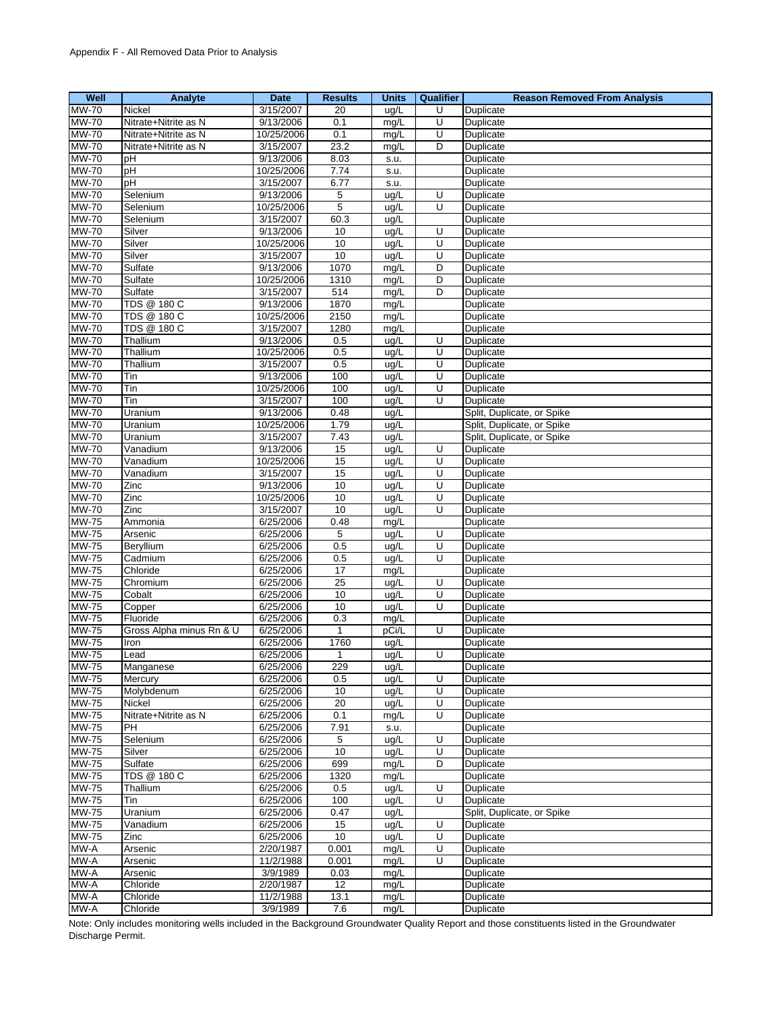| Well                         | Analyte                  | <b>Date</b>            | <b>Results</b>  | <b>Units</b> | <b>Qualifier</b> | <b>Reason Removed From Analysis</b> |
|------------------------------|--------------------------|------------------------|-----------------|--------------|------------------|-------------------------------------|
| <b>MW-70</b>                 | Nickel                   | 3/15/2007              | 20              | ug/L         | U                | Duplicate                           |
| <b>MW-70</b>                 | Nitrate+Nitrite as N     | 9/13/2006              | 0.1             | mg/L         | U                | Duplicate                           |
| <b>MW-70</b>                 | Nitrate+Nitrite as N     | 10/25/2006             | 0.1             | mg/L         | U                | Duplicate                           |
| <b>MW-70</b>                 | Nitrate+Nitrite as N     | 3/15/2007              | 23.2            | mg/L         | D                | Duplicate                           |
| <b>MW-70</b>                 | рH                       | 9/13/2006              | 8.03            | s.u.         |                  | Duplicate                           |
| <b>MW-70</b>                 | pH                       | 10/25/2006             | 7.74            | s.u.         |                  | Duplicate                           |
| <b>MW-70</b>                 | pH                       | 3/15/2007              | 6.77            | s.u.         |                  | Duplicate                           |
| <b>MW-70</b>                 | Selenium                 | 9/13/2006              | 5               | ug/L         | U                | Duplicate                           |
| <b>MW-70</b>                 | Selenium                 | 10/25/2006             | 5               | ug/L         | U                | Duplicate                           |
| <b>MW-70</b>                 | Selenium                 | 3/15/2007              | 60.3            | ug/L         |                  | Duplicate                           |
| <b>MW-70</b>                 | Silver                   | 9/13/2006              | 10              | ug/L         | U                | Duplicate                           |
| <b>MW-70</b>                 | Silver                   | 10/25/2006             | 10              | ug/L         | U                | Duplicate                           |
| <b>MW-70</b>                 | Silver                   | 3/15/2007              | 10              | ug/L         | U                | Duplicate                           |
| <b>MW-70</b>                 | Sulfate                  | 9/13/2006              | 1070            | mg/L         | D                | Duplicate                           |
| <b>MW-70</b>                 | Sulfate                  | 10/25/2006             | 1310            | mg/L         | D                | Duplicate                           |
| <b>MW-70</b>                 | Sulfate                  | 3/15/2007              | 514             | mg/L         | D                | Duplicate                           |
| <b>MW-70</b>                 | <b>TDS @ 180 C</b>       | 9/13/2006              | 1870            | mg/L         |                  | Duplicate                           |
| <b>MW-70</b>                 | TDS @ 180 C              | 10/25/2006             | 2150            | mg/L         |                  | Duplicate                           |
| <b>MW-70</b>                 | TDS @ 180 C              | 3/15/2007              | 1280            | mg/L         |                  | Duplicate                           |
| <b>MW-70</b>                 | Thallium                 | 9/13/2006              | 0.5             | ug/L         | U                | Duplicate                           |
| <b>MW-70</b>                 | Thallium                 | 10/25/2006             | 0.5             | ug/L         | U                | Duplicate                           |
| <b>MW-70</b>                 | Thallium                 | 3/15/2007              | 0.5             | ug/L         | U                | Duplicate                           |
| <b>MW-70</b>                 | Tin                      | 9/13/2006              | 100             | ug/L         | U                | Duplicate                           |
| <b>MW-70</b>                 | Tin                      | 10/25/2006             | 100             | ug/L         | U                | Duplicate                           |
| <b>MW-70</b>                 | Tin                      | 3/15/2007              | 100             | ug/L         | U                | Duplicate                           |
| <b>MW-70</b>                 | Uranium                  | 9/13/2006              | 0.48            | ug/L         |                  | Split, Duplicate, or Spike          |
| <b>MW-70</b>                 | Uranium                  | 10/25/2006             | 1.79            | ug/L         |                  | Split, Duplicate, or Spike          |
| <b>MW-70</b>                 | Uranium                  | 3/15/2007              | 7.43            | ug/L         |                  | Split, Duplicate, or Spike          |
| <b>MW-70</b>                 | Vanadium                 | 9/13/2006              | 15              | ug/L         | U                | Duplicate                           |
| <b>MW-70</b>                 | Vanadium                 | 10/25/2006             | 15              | ug/L         | U                | Duplicate                           |
| <b>MW-70</b>                 | Vanadium                 | 3/15/2007              | 15              | ug/L         | U                | Duplicate                           |
| <b>MW-70</b>                 | Zinc                     | 9/13/2006              | 10              | ug/L         | U                | Duplicate                           |
| <b>MW-70</b>                 | Zinc                     | 10/25/2006             | 10              | ug/L         | U                | Duplicate                           |
| <b>MW-70</b>                 | Zinc                     | 3/15/2007              | 10              | ug/L         | U                | Duplicate                           |
| <b>MW-75</b>                 | Ammonia                  | 6/25/2006              | 0.48            | mg/L         |                  | Duplicate                           |
| <b>MW-75</b>                 | Arsenic                  | 6/25/2006              | 5               | ug/L         | U                | Duplicate                           |
| <b>MW-75</b>                 | Beryllium                | 6/25/2006              | 0.5             | ug/L         | U                | Duplicate                           |
| <b>MW-75</b>                 | Cadmium                  | 6/25/2006              | 0.5             | ug/L         | U                | Duplicate                           |
| <b>MW-75</b>                 | Chloride                 | 6/25/2006              | $\overline{17}$ | mg/L         |                  | Duplicate                           |
| <b>MW-75</b>                 | Chromium                 | 6/25/2006              | $\overline{25}$ | ug/L         | U                | Duplicate                           |
| <b>MW-75</b>                 | Cobalt                   | 6/25/2006              | 10              | ug/L         | U                | Duplicate                           |
| <b>MW-75</b>                 | Copper                   | 6/25/2006              | 10              | ug/L         | U                | Duplicate                           |
| <b>MW-75</b>                 | Fluoride                 | 6/25/2006              | 0.3             | mg/L         |                  | Duplicate                           |
| <b>MW-75</b>                 | Gross Alpha minus Rn & U | 6/25/2006              | $\mathbf{1}$    | pCi/L        | U                | Duplicate                           |
| <b>MW-75</b>                 | Iron                     | 6/25/2006              | 1760            | ug/L         |                  | Duplicate<br><b>Duplicate</b>       |
| <b>MW-75</b>                 | Lead                     | 6/25/2006              | $\mathbf{1}$    | ug/L         | U                |                                     |
| MW-75                        | Manganese                | 6/25/2006              | 229             | ug/L         |                  | Duplicate                           |
| MW-75                        | Mercury                  | 6/25/2006              | 0.5             | ug/L         | U                | Duplicate                           |
| <b>MW-75</b>                 | Molybdenum               | 6/25/2006              | 10              | ug/L         | U                | <b>Duplicate</b>                    |
| <b>MW-75</b><br><b>MW-75</b> | Nickel                   | 6/25/2006              | 20              | ug/L         | U<br>U           | Duplicate                           |
| <b>MW-75</b>                 | Nitrate+Nitrite as N     | 6/25/2006<br>6/25/2006 | 0.1<br>7.91     | mg/L         |                  | Duplicate<br>Duplicate              |
| MW-75                        | PН<br>Selenium           | 6/25/2006              | 5               | s.u.         | U                |                                     |
|                              |                          |                        |                 | ug/L         | U                | Duplicate                           |
| <b>MW-75</b><br><b>MW-75</b> | Silver<br>Sulfate        | 6/25/2006<br>6/25/2006 | 10<br>699       | ug/L         |                  | Duplicate<br>Duplicate              |
| <b>MW-75</b>                 | <b>TDS @ 180 C</b>       | 6/25/2006              | 1320            | mg/L         | D                | Duplicate                           |
| <b>MW-75</b>                 | Thallium                 | 6/25/2006              |                 | mg/L         | U                |                                     |
| <b>MW-75</b>                 |                          |                        | 0.5             | ug/L         | U                | Duplicate                           |
| <b>MW-75</b>                 | Tin                      | 6/25/2006              | 100             | ug/L         |                  | Duplicate                           |
| <b>MW-75</b>                 | Uranium<br>Vanadium      | 6/25/2006<br>6/25/2006 | 0.47<br>15      | ug/L         | U                | Split, Duplicate, or Spike          |
|                              |                          |                        |                 | ug/L         | U                | Duplicate                           |
| <b>MW-75</b>                 | Zinc                     | 6/25/2006              | $10$            | ug/L         |                  | Duplicate                           |
| MW-A                         | Arsenic                  | 2/20/1987              | 0.001           | mg/L         | U<br>U           | Duplicate                           |
| MW-A<br>MW-A                 | Arsenic                  | 11/2/1988<br>3/9/1989  | 0.001           | mg/L         |                  | Duplicate                           |
| MW-A                         | Arsenic<br>Chloride      | 2/20/1987              | 0.03<br>12      | mg/L         |                  | Duplicate<br>Duplicate              |
| MW-A                         | Chloride                 | 11/2/1988              | 13.1            | mg/L<br>mg/L |                  | Duplicate                           |
| MW-A                         | Chloride                 | 3/9/1989               | 7.6             | mg/L         |                  | Duplicate                           |
|                              |                          |                        |                 |              |                  |                                     |